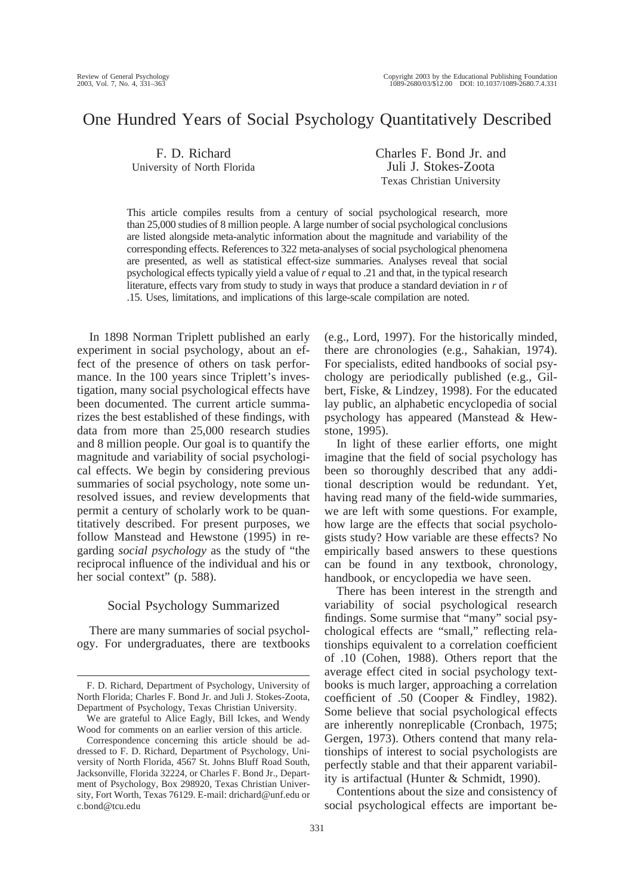# One Hundred Years of Social Psychology Quantitatively Described

F. D. Richard University of North Florida

Charles F. Bond Jr. and Juli J. Stokes-Zoota Texas Christian University

This article compiles results from a century of social psychological research, more than 25,000 studies of 8 million people. A large number of social psychological conclusions are listed alongside meta-analytic information about the magnitude and variability of the corresponding effects. References to 322 meta-analyses of social psychological phenomena are presented, as well as statistical effect-size summaries. Analyses reveal that social psychological effects typically yield a value of *r* equal to .21 and that, in the typical research literature, effects vary from study to study in ways that produce a standard deviation in *r* of .15. Uses, limitations, and implications of this large-scale compilation are noted.

In 1898 Norman Triplett published an early experiment in social psychology, about an effect of the presence of others on task performance. In the 100 years since Triplett's investigation, many social psychological effects have been documented. The current article summarizes the best established of these findings, with data from more than 25,000 research studies and 8 million people. Our goal is to quantify the magnitude and variability of social psychological effects. We begin by considering previous summaries of social psychology, note some unresolved issues, and review developments that permit a century of scholarly work to be quantitatively described. For present purposes, we follow Manstead and Hewstone (1995) in regarding *social psychology* as the study of "the reciprocal influence of the individual and his or her social context" (p. 588).

## Social Psychology Summarized

There are many summaries of social psychology. For undergraduates, there are textbooks (e.g., Lord, 1997). For the historically minded, there are chronologies (e.g., Sahakian, 1974). For specialists, edited handbooks of social psychology are periodically published (e.g., Gilbert, Fiske, & Lindzey, 1998). For the educated lay public, an alphabetic encyclopedia of social psychology has appeared (Manstead & Hewstone, 1995).

In light of these earlier efforts, one might imagine that the field of social psychology has been so thoroughly described that any additional description would be redundant. Yet, having read many of the field-wide summaries, we are left with some questions. For example, how large are the effects that social psychologists study? How variable are these effects? No empirically based answers to these questions can be found in any textbook, chronology, handbook, or encyclopedia we have seen.

There has been interest in the strength and variability of social psychological research findings. Some surmise that "many" social psychological effects are "small," reflecting relationships equivalent to a correlation coefficient of .10 (Cohen, 1988). Others report that the average effect cited in social psychology textbooks is much larger, approaching a correlation coefficient of .50 (Cooper & Findley, 1982). Some believe that social psychological effects are inherently nonreplicable (Cronbach, 1975; Gergen, 1973). Others contend that many relationships of interest to social psychologists are perfectly stable and that their apparent variability is artifactual (Hunter & Schmidt, 1990).

Contentions about the size and consistency of social psychological effects are important be-

F. D. Richard, Department of Psychology, University of North Florida; Charles F. Bond Jr. and Juli J. Stokes-Zoota, Department of Psychology, Texas Christian University.

We are grateful to Alice Eagly, Bill Ickes, and Wendy Wood for comments on an earlier version of this article.

Correspondence concerning this article should be addressed to F. D. Richard, Department of Psychology, University of North Florida, 4567 St. Johns Bluff Road South, Jacksonville, Florida 32224, or Charles F. Bond Jr., Department of Psychology, Box 298920, Texas Christian University, Fort Worth, Texas 76129. E-mail: drichard@unf.edu or c.bond@tcu.edu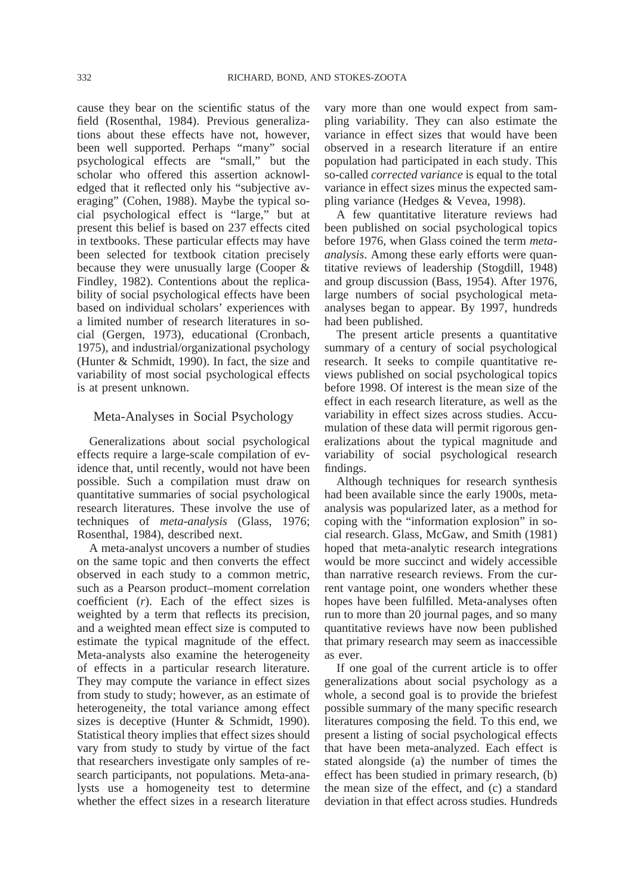cause they bear on the scientific status of the field (Rosenthal, 1984). Previous generalizations about these effects have not, however, been well supported. Perhaps "many" social psychological effects are "small," but the scholar who offered this assertion acknowledged that it reflected only his "subjective averaging" (Cohen, 1988). Maybe the typical social psychological effect is "large," but at present this belief is based on 237 effects cited in textbooks. These particular effects may have been selected for textbook citation precisely because they were unusually large (Cooper & Findley, 1982). Contentions about the replicability of social psychological effects have been based on individual scholars' experiences with a limited number of research literatures in social (Gergen, 1973), educational (Cronbach, 1975), and industrial/organizational psychology (Hunter & Schmidt, 1990). In fact, the size and variability of most social psychological effects is at present unknown.

## Meta-Analyses in Social Psychology

Generalizations about social psychological effects require a large-scale compilation of evidence that, until recently, would not have been possible. Such a compilation must draw on quantitative summaries of social psychological research literatures. These involve the use of techniques of *meta-analysis* (Glass, 1976; Rosenthal, 1984), described next.

A meta-analyst uncovers a number of studies on the same topic and then converts the effect observed in each study to a common metric, such as a Pearson product–moment correlation coefficient (*r*). Each of the effect sizes is weighted by a term that reflects its precision, and a weighted mean effect size is computed to estimate the typical magnitude of the effect. Meta-analysts also examine the heterogeneity of effects in a particular research literature. They may compute the variance in effect sizes from study to study; however, as an estimate of heterogeneity, the total variance among effect sizes is deceptive (Hunter & Schmidt, 1990). Statistical theory implies that effect sizes should vary from study to study by virtue of the fact that researchers investigate only samples of research participants, not populations. Meta-analysts use a homogeneity test to determine whether the effect sizes in a research literature

vary more than one would expect from sampling variability. They can also estimate the variance in effect sizes that would have been observed in a research literature if an entire population had participated in each study. This so-called *corrected variance* is equal to the total variance in effect sizes minus the expected sampling variance (Hedges & Vevea, 1998).

A few quantitative literature reviews had been published on social psychological topics before 1976, when Glass coined the term *metaanalysis*. Among these early efforts were quantitative reviews of leadership (Stogdill, 1948) and group discussion (Bass, 1954). After 1976, large numbers of social psychological metaanalyses began to appear. By 1997, hundreds had been published.

The present article presents a quantitative summary of a century of social psychological research. It seeks to compile quantitative reviews published on social psychological topics before 1998. Of interest is the mean size of the effect in each research literature, as well as the variability in effect sizes across studies. Accumulation of these data will permit rigorous generalizations about the typical magnitude and variability of social psychological research findings.

Although techniques for research synthesis had been available since the early 1900s, metaanalysis was popularized later, as a method for coping with the "information explosion" in social research. Glass, McGaw, and Smith (1981) hoped that meta-analytic research integrations would be more succinct and widely accessible than narrative research reviews. From the current vantage point, one wonders whether these hopes have been fulfilled. Meta-analyses often run to more than 20 journal pages, and so many quantitative reviews have now been published that primary research may seem as inaccessible as ever.

If one goal of the current article is to offer generalizations about social psychology as a whole, a second goal is to provide the briefest possible summary of the many specific research literatures composing the field. To this end, we present a listing of social psychological effects that have been meta-analyzed. Each effect is stated alongside (a) the number of times the effect has been studied in primary research, (b) the mean size of the effect, and (c) a standard deviation in that effect across studies. Hundreds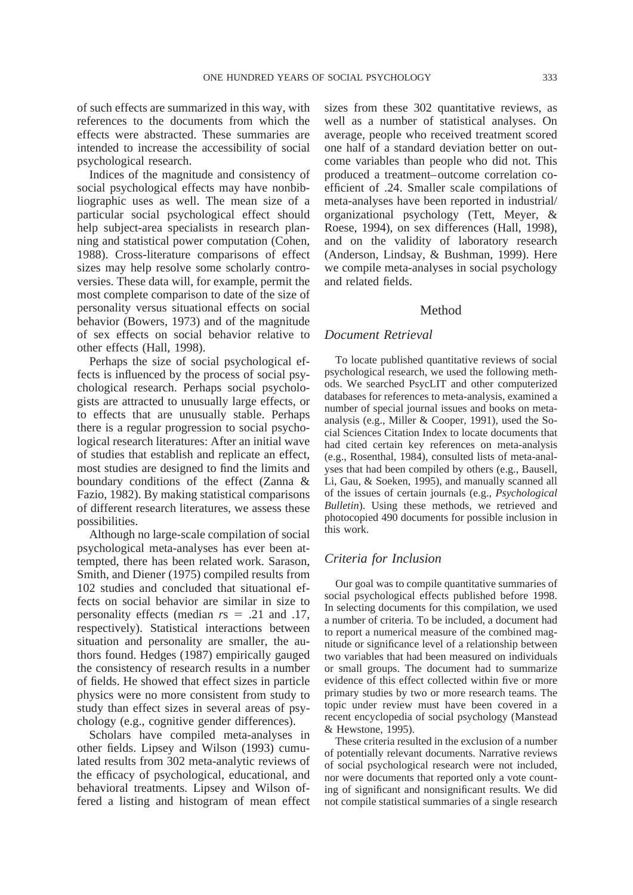of such effects are summarized in this way, with references to the documents from which the effects were abstracted. These summaries are intended to increase the accessibility of social psychological research.

Indices of the magnitude and consistency of social psychological effects may have nonbibliographic uses as well. The mean size of a particular social psychological effect should help subject-area specialists in research planning and statistical power computation (Cohen, 1988). Cross-literature comparisons of effect sizes may help resolve some scholarly controversies. These data will, for example, permit the most complete comparison to date of the size of personality versus situational effects on social behavior (Bowers, 1973) and of the magnitude of sex effects on social behavior relative to other effects (Hall, 1998).

Perhaps the size of social psychological effects is influenced by the process of social psychological research. Perhaps social psychologists are attracted to unusually large effects, or to effects that are unusually stable. Perhaps there is a regular progression to social psychological research literatures: After an initial wave of studies that establish and replicate an effect, most studies are designed to find the limits and boundary conditions of the effect (Zanna & Fazio, 1982). By making statistical comparisons of different research literatures, we assess these possibilities.

Although no large-scale compilation of social psychological meta-analyses has ever been attempted, there has been related work. Sarason, Smith, and Diener (1975) compiled results from 102 studies and concluded that situational effects on social behavior are similar in size to personality effects (median  $rs = .21$  and .17, respectively). Statistical interactions between situation and personality are smaller, the authors found. Hedges (1987) empirically gauged the consistency of research results in a number of fields. He showed that effect sizes in particle physics were no more consistent from study to study than effect sizes in several areas of psychology (e.g., cognitive gender differences).

Scholars have compiled meta-analyses in other fields. Lipsey and Wilson (1993) cumulated results from 302 meta-analytic reviews of the efficacy of psychological, educational, and behavioral treatments. Lipsey and Wilson offered a listing and histogram of mean effect

sizes from these 302 quantitative reviews, as well as a number of statistical analyses. On average, people who received treatment scored one half of a standard deviation better on outcome variables than people who did not. This produced a treatment–outcome correlation coefficient of .24. Smaller scale compilations of meta-analyses have been reported in industrial/ organizational psychology (Tett, Meyer, & Roese, 1994), on sex differences (Hall, 1998), and on the validity of laboratory research (Anderson, Lindsay, & Bushman, 1999). Here we compile meta-analyses in social psychology and related fields.

#### Method

#### *Document Retrieval*

To locate published quantitative reviews of social psychological research, we used the following methods. We searched PsycLIT and other computerized databases for references to meta-analysis, examined a number of special journal issues and books on metaanalysis (e.g., Miller & Cooper, 1991), used the Social Sciences Citation Index to locate documents that had cited certain key references on meta-analysis (e.g., Rosenthal, 1984), consulted lists of meta-analyses that had been compiled by others (e.g., Bausell, Li, Gau, & Soeken, 1995), and manually scanned all of the issues of certain journals (e.g., *Psychological Bulletin*). Using these methods, we retrieved and photocopied 490 documents for possible inclusion in this work.

## *Criteria for Inclusion*

Our goal was to compile quantitative summaries of social psychological effects published before 1998. In selecting documents for this compilation, we used a number of criteria. To be included, a document had to report a numerical measure of the combined magnitude or significance level of a relationship between two variables that had been measured on individuals or small groups. The document had to summarize evidence of this effect collected within five or more primary studies by two or more research teams. The topic under review must have been covered in a recent encyclopedia of social psychology (Manstead & Hewstone, 1995).

These criteria resulted in the exclusion of a number of potentially relevant documents. Narrative reviews of social psychological research were not included, nor were documents that reported only a vote counting of significant and nonsignificant results. We did not compile statistical summaries of a single research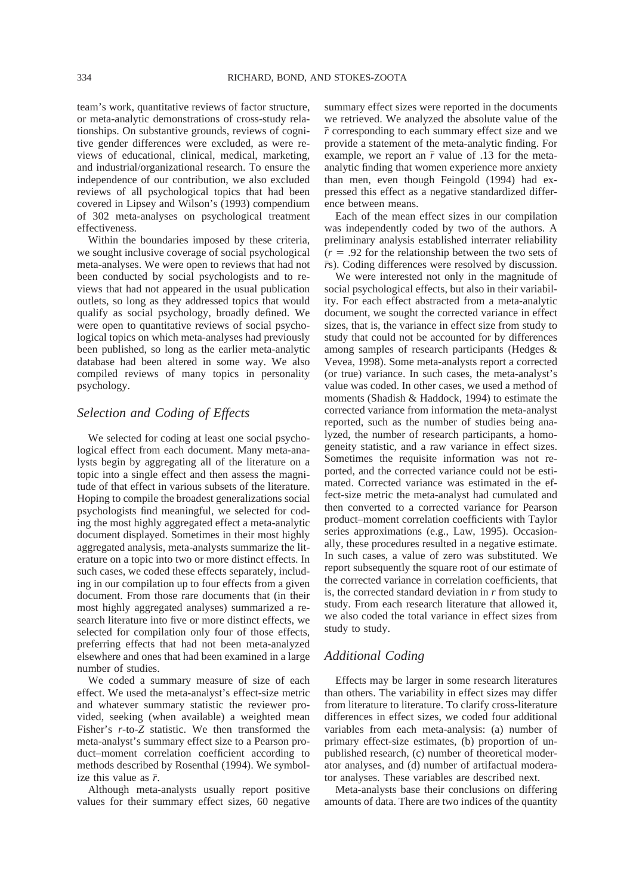team's work, quantitative reviews of factor structure, or meta-analytic demonstrations of cross-study relationships. On substantive grounds, reviews of cognitive gender differences were excluded, as were reviews of educational, clinical, medical, marketing, and industrial/organizational research. To ensure the independence of our contribution, we also excluded reviews of all psychological topics that had been covered in Lipsey and Wilson's (1993) compendium of 302 meta-analyses on psychological treatment effectiveness.

Within the boundaries imposed by these criteria, we sought inclusive coverage of social psychological meta-analyses. We were open to reviews that had not been conducted by social psychologists and to reviews that had not appeared in the usual publication outlets, so long as they addressed topics that would qualify as social psychology, broadly defined. We were open to quantitative reviews of social psychological topics on which meta-analyses had previously been published, so long as the earlier meta-analytic database had been altered in some way. We also compiled reviews of many topics in personality psychology.

## *Selection and Coding of Effects*

We selected for coding at least one social psychological effect from each document. Many meta-analysts begin by aggregating all of the literature on a topic into a single effect and then assess the magnitude of that effect in various subsets of the literature. Hoping to compile the broadest generalizations social psychologists find meaningful, we selected for coding the most highly aggregated effect a meta-analytic document displayed. Sometimes in their most highly aggregated analysis, meta-analysts summarize the literature on a topic into two or more distinct effects. In such cases, we coded these effects separately, including in our compilation up to four effects from a given document. From those rare documents that (in their most highly aggregated analyses) summarized a research literature into five or more distinct effects, we selected for compilation only four of those effects, preferring effects that had not been meta-analyzed elsewhere and ones that had been examined in a large number of studies.

We coded a summary measure of size of each effect. We used the meta-analyst's effect-size metric and whatever summary statistic the reviewer provided, seeking (when available) a weighted mean Fisher's *r*-to-*Z* statistic. We then transformed the meta-analyst's summary effect size to a Pearson product–moment correlation coefficient according to methods described by Rosenthal (1994). We symbolize this value as *r*.

Although meta-analysts usually report positive values for their summary effect sizes, 60 negative summary effect sizes were reported in the documents we retrieved. We analyzed the absolute value of the *r* corresponding to each summary effect size and we provide a statement of the meta-analytic finding. For example, we report an  $\bar{r}$  value of .13 for the metaanalytic finding that women experience more anxiety than men, even though Feingold (1994) had expressed this effect as a negative standardized difference between means.

Each of the mean effect sizes in our compilation was independently coded by two of the authors. A preliminary analysis established interrater reliability  $(r = .92$  for the relationship between the two sets of *r*s). Coding differences were resolved by discussion.

We were interested not only in the magnitude of social psychological effects, but also in their variability. For each effect abstracted from a meta-analytic document, we sought the corrected variance in effect sizes, that is, the variance in effect size from study to study that could not be accounted for by differences among samples of research participants (Hedges & Vevea, 1998). Some meta-analysts report a corrected (or true) variance. In such cases, the meta-analyst's value was coded. In other cases, we used a method of moments (Shadish & Haddock, 1994) to estimate the corrected variance from information the meta-analyst reported, such as the number of studies being analyzed, the number of research participants, a homogeneity statistic, and a raw variance in effect sizes. Sometimes the requisite information was not reported, and the corrected variance could not be estimated. Corrected variance was estimated in the effect-size metric the meta-analyst had cumulated and then converted to a corrected variance for Pearson product–moment correlation coefficients with Taylor series approximations (e.g., Law, 1995). Occasionally, these procedures resulted in a negative estimate. In such cases, a value of zero was substituted. We report subsequently the square root of our estimate of the corrected variance in correlation coefficients, that is, the corrected standard deviation in *r* from study to study. From each research literature that allowed it, we also coded the total variance in effect sizes from study to study.

## *Additional Coding*

Effects may be larger in some research literatures than others. The variability in effect sizes may differ from literature to literature. To clarify cross-literature differences in effect sizes, we coded four additional variables from each meta-analysis: (a) number of primary effect-size estimates, (b) proportion of unpublished research, (c) number of theoretical moderator analyses, and (d) number of artifactual moderator analyses. These variables are described next.

Meta-analysts base their conclusions on differing amounts of data. There are two indices of the quantity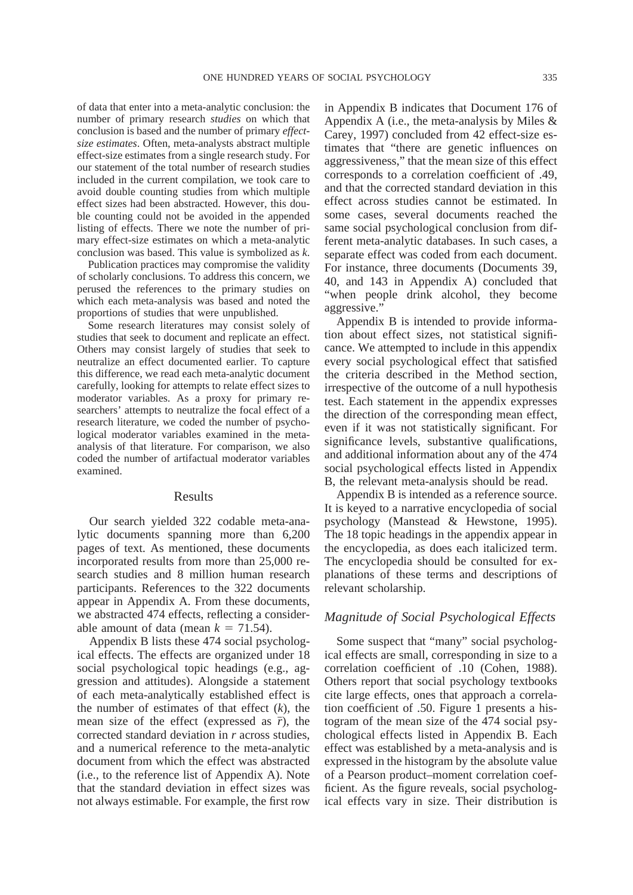of data that enter into a meta-analytic conclusion: the number of primary research *studies* on which that conclusion is based and the number of primary *effectsize estimates*. Often, meta-analysts abstract multiple effect-size estimates from a single research study. For our statement of the total number of research studies included in the current compilation, we took care to avoid double counting studies from which multiple effect sizes had been abstracted. However, this double counting could not be avoided in the appended listing of effects. There we note the number of primary effect-size estimates on which a meta-analytic conclusion was based. This value is symbolized as *k*.

Publication practices may compromise the validity of scholarly conclusions. To address this concern, we perused the references to the primary studies on which each meta-analysis was based and noted the proportions of studies that were unpublished.

Some research literatures may consist solely of studies that seek to document and replicate an effect. Others may consist largely of studies that seek to neutralize an effect documented earlier. To capture this difference, we read each meta-analytic document carefully, looking for attempts to relate effect sizes to moderator variables. As a proxy for primary researchers' attempts to neutralize the focal effect of a research literature, we coded the number of psychological moderator variables examined in the metaanalysis of that literature. For comparison, we also coded the number of artifactual moderator variables examined.

#### Results

Our search yielded 322 codable meta-analytic documents spanning more than 6,200 pages of text. As mentioned, these documents incorporated results from more than 25,000 research studies and 8 million human research participants. References to the 322 documents appear in Appendix A. From these documents, we abstracted 474 effects, reflecting a considerable amount of data (mean  $k = 71.54$ ).

Appendix B lists these 474 social psychological effects. The effects are organized under 18 social psychological topic headings (e.g., aggression and attitudes). Alongside a statement of each meta-analytically established effect is the number of estimates of that effect (*k*), the mean size of the effect (expressed as  $\bar{r}$ ), the corrected standard deviation in *r* across studies, and a numerical reference to the meta-analytic document from which the effect was abstracted (i.e., to the reference list of Appendix A). Note that the standard deviation in effect sizes was not always estimable. For example, the first row

in Appendix B indicates that Document 176 of Appendix A (i.e., the meta-analysis by Miles & Carey, 1997) concluded from 42 effect-size estimates that "there are genetic influences on aggressiveness," that the mean size of this effect corresponds to a correlation coefficient of .49, and that the corrected standard deviation in this effect across studies cannot be estimated. In some cases, several documents reached the same social psychological conclusion from different meta-analytic databases. In such cases, a separate effect was coded from each document. For instance, three documents (Documents 39, 40, and 143 in Appendix A) concluded that "when people drink alcohol, they become aggressive."

Appendix B is intended to provide information about effect sizes, not statistical significance. We attempted to include in this appendix every social psychological effect that satisfied the criteria described in the Method section, irrespective of the outcome of a null hypothesis test. Each statement in the appendix expresses the direction of the corresponding mean effect, even if it was not statistically significant. For significance levels, substantive qualifications, and additional information about any of the 474 social psychological effects listed in Appendix B, the relevant meta-analysis should be read.

Appendix B is intended as a reference source. It is keyed to a narrative encyclopedia of social psychology (Manstead & Hewstone, 1995). The 18 topic headings in the appendix appear in the encyclopedia, as does each italicized term. The encyclopedia should be consulted for explanations of these terms and descriptions of relevant scholarship.

## *Magnitude of Social Psychological Effects*

Some suspect that "many" social psychological effects are small, corresponding in size to a correlation coefficient of .10 (Cohen, 1988). Others report that social psychology textbooks cite large effects, ones that approach a correlation coefficient of .50. Figure 1 presents a histogram of the mean size of the 474 social psychological effects listed in Appendix B. Each effect was established by a meta-analysis and is expressed in the histogram by the absolute value of a Pearson product–moment correlation coefficient. As the figure reveals, social psychological effects vary in size. Their distribution is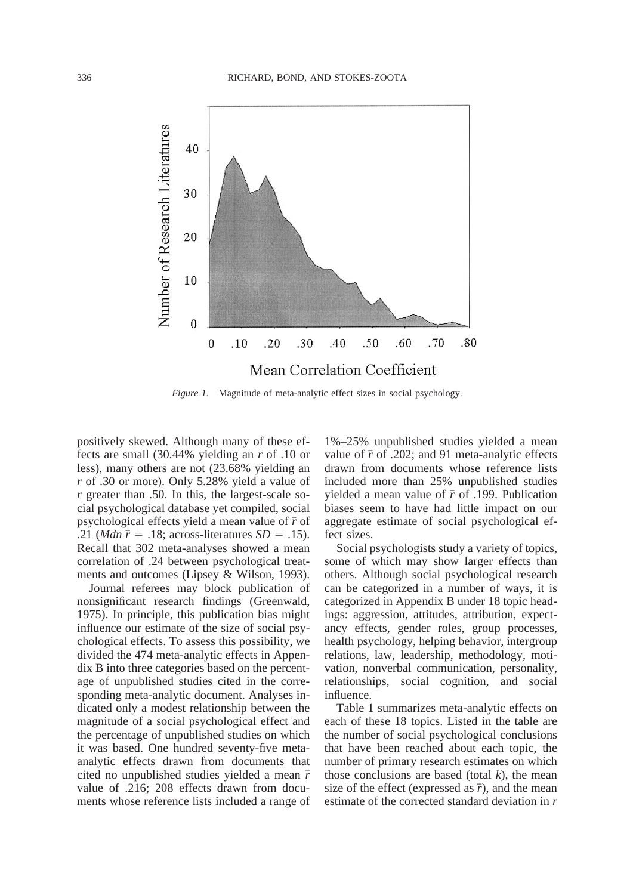

*Figure 1.* Magnitude of meta-analytic effect sizes in social psychology.

positively skewed. Although many of these effects are small (30.44% yielding an *r* of .10 or less), many others are not (23.68% yielding an *r* of .30 or more). Only 5.28% yield a value of *r* greater than .50. In this, the largest-scale social psychological database yet compiled, social psychological effects yield a mean value of *r* of .21 (*Mdn*  $\bar{r}$  = .18; across-literatures *SD* = .15). Recall that 302 meta-analyses showed a mean correlation of .24 between psychological treatments and outcomes (Lipsey & Wilson, 1993).

Journal referees may block publication of nonsignificant research findings (Greenwald, 1975). In principle, this publication bias might influence our estimate of the size of social psychological effects. To assess this possibility, we divided the 474 meta-analytic effects in Appendix B into three categories based on the percentage of unpublished studies cited in the corresponding meta-analytic document. Analyses indicated only a modest relationship between the magnitude of a social psychological effect and the percentage of unpublished studies on which it was based. One hundred seventy-five metaanalytic effects drawn from documents that cited no unpublished studies yielded a mean *r* value of .216; 208 effects drawn from documents whose reference lists included a range of

1%–25% unpublished studies yielded a mean value of  $\bar{r}$  of .202; and 91 meta-analytic effects drawn from documents whose reference lists included more than 25% unpublished studies yielded a mean value of  $\bar{r}$  of .199. Publication biases seem to have had little impact on our aggregate estimate of social psychological effect sizes.

Social psychologists study a variety of topics, some of which may show larger effects than others. Although social psychological research can be categorized in a number of ways, it is categorized in Appendix B under 18 topic headings: aggression, attitudes, attribution, expectancy effects, gender roles, group processes, health psychology, helping behavior, intergroup relations, law, leadership, methodology, motivation, nonverbal communication, personality, relationships, social cognition, and social influence.

Table 1 summarizes meta-analytic effects on each of these 18 topics. Listed in the table are the number of social psychological conclusions that have been reached about each topic, the number of primary research estimates on which those conclusions are based (total *k*), the mean size of the effect (expressed as  $\bar{r}$ ), and the mean estimate of the corrected standard deviation in *r*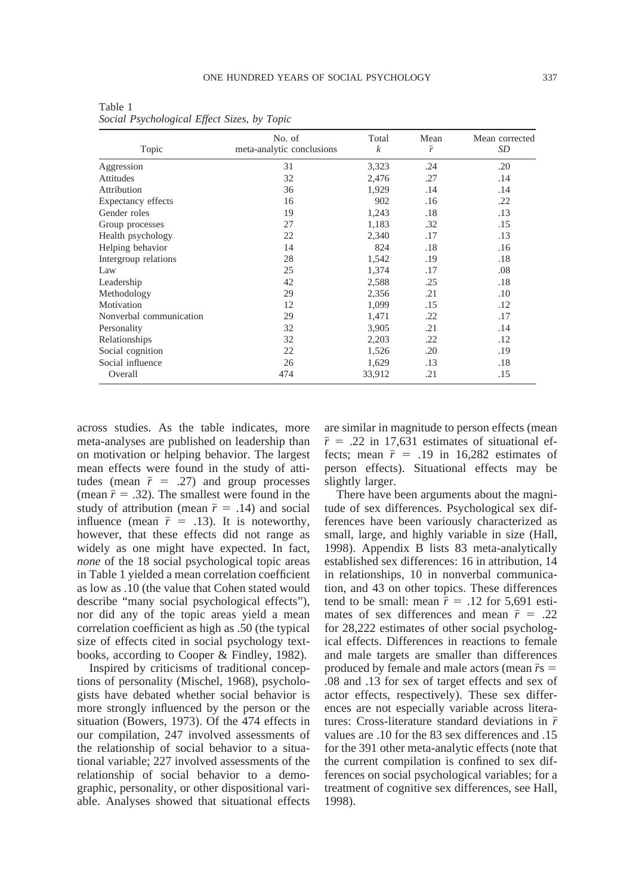| Topic                   | No. of<br>meta-analytic conclusions | Total<br>$\boldsymbol{k}$ | Mean<br>$\bar{r}$ | Mean corrected<br>SD |
|-------------------------|-------------------------------------|---------------------------|-------------------|----------------------|
| Aggression              | 31                                  | 3,323                     | .24               | .20                  |
| Attitudes               | 32                                  | 2,476                     | .27               | .14                  |
| Attribution             | 36                                  | 1,929                     | .14               | .14                  |
| Expectancy effects      | 16                                  | 902                       | .16               | .22                  |
| Gender roles            | 19                                  | 1,243                     | .18               | .13                  |
| Group processes         | 27                                  | 1,183                     | .32               | .15                  |
| Health psychology       | 22                                  | 2,340                     | .17               | .13                  |
| Helping behavior        | 14                                  | 824                       | .18               | .16                  |
| Intergroup relations    | 28                                  | 1,542                     | .19               | .18                  |
| Law                     | 25                                  | 1,374                     | .17               | .08                  |
| Leadership              | 42                                  | 2,588                     | .25               | .18                  |
| Methodology             | 29                                  | 2,356                     | .21               | .10                  |
| Motivation              | 12                                  | 1,099                     | .15               | .12                  |
| Nonverbal communication | 29                                  | 1,471                     | .22               | .17                  |
| Personality             | 32                                  | 3,905                     | .21               | .14                  |
| Relationships           | 32                                  | 2,203                     | .22               | .12                  |
| Social cognition        | 22                                  | 1,526                     | .20               | .19                  |
| Social influence        | 26                                  | 1,629                     | .13               | .18                  |
| Overall                 | 474                                 | 33,912                    | .21               | .15                  |

Table 1 *Social Psychological Effect Sizes, by Topic*

across studies. As the table indicates, more meta-analyses are published on leadership than on motivation or helping behavior. The largest mean effects were found in the study of attitudes (mean  $\bar{r}$  = .27) and group processes (mean  $\bar{r}$  = .32). The smallest were found in the study of attribution (mean  $\bar{r}$  = .14) and social influence (mean  $\bar{r}$  = .13). It is noteworthy, however, that these effects did not range as widely as one might have expected. In fact, *none* of the 18 social psychological topic areas in Table 1 yielded a mean correlation coefficient as low as .10 (the value that Cohen stated would describe "many social psychological effects"), nor did any of the topic areas yield a mean correlation coefficient as high as .50 (the typical size of effects cited in social psychology textbooks, according to Cooper & Findley, 1982).

Inspired by criticisms of traditional conceptions of personality (Mischel, 1968), psychologists have debated whether social behavior is more strongly influenced by the person or the situation (Bowers, 1973). Of the 474 effects in our compilation, 247 involved assessments of the relationship of social behavior to a situational variable; 227 involved assessments of the relationship of social behavior to a demographic, personality, or other dispositional variable. Analyses showed that situational effects

are similar in magnitude to person effects (mean  $\bar{r}$  = .22 in 17,631 estimates of situational effects; mean  $\bar{r}$  = .19 in 16,282 estimates of person effects). Situational effects may be slightly larger.

There have been arguments about the magnitude of sex differences. Psychological sex differences have been variously characterized as small, large, and highly variable in size (Hall, 1998). Appendix B lists 83 meta-analytically established sex differences: 16 in attribution, 14 in relationships, 10 in nonverbal communication, and 43 on other topics. These differences tend to be small: mean  $\bar{r}$  = .12 for 5,691 estimates of sex differences and mean  $\bar{r} = .22$ for 28,222 estimates of other social psychological effects. Differences in reactions to female and male targets are smaller than differences produced by female and male actors (mean *r*s .08 and .13 for sex of target effects and sex of actor effects, respectively). These sex differences are not especially variable across literatures: Cross-literature standard deviations in *r* values are .10 for the 83 sex differences and .15 for the 391 other meta-analytic effects (note that the current compilation is confined to sex differences on social psychological variables; for a treatment of cognitive sex differences, see Hall, 1998).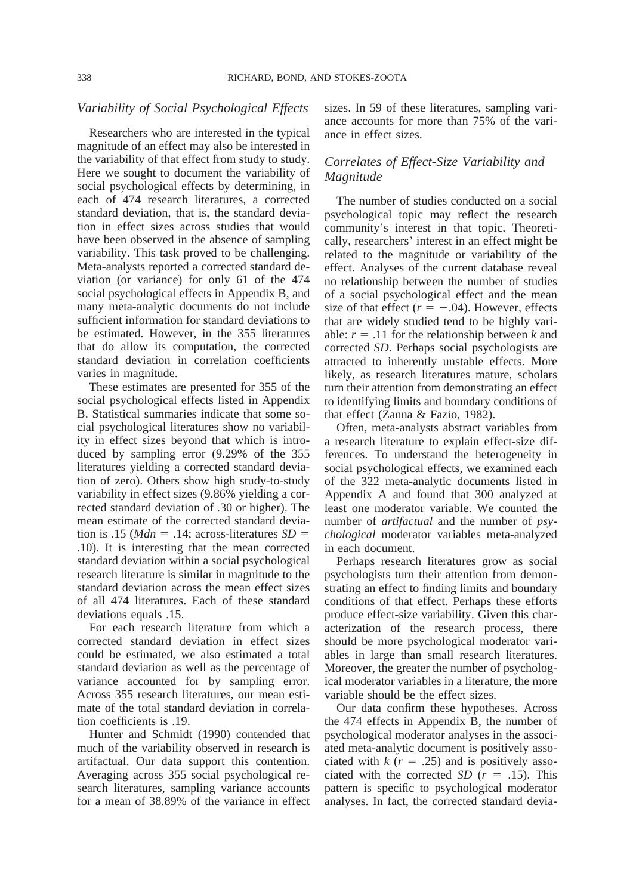# *Variability of Social Psychological Effects*

Researchers who are interested in the typical magnitude of an effect may also be interested in the variability of that effect from study to study. Here we sought to document the variability of social psychological effects by determining, in each of 474 research literatures, a corrected standard deviation, that is, the standard deviation in effect sizes across studies that would have been observed in the absence of sampling variability. This task proved to be challenging. Meta-analysts reported a corrected standard deviation (or variance) for only 61 of the 474 social psychological effects in Appendix B, and many meta-analytic documents do not include sufficient information for standard deviations to be estimated. However, in the 355 literatures that do allow its computation, the corrected standard deviation in correlation coefficients varies in magnitude.

These estimates are presented for 355 of the social psychological effects listed in Appendix B. Statistical summaries indicate that some social psychological literatures show no variability in effect sizes beyond that which is introduced by sampling error (9.29% of the 355 literatures yielding a corrected standard deviation of zero). Others show high study-to-study variability in effect sizes (9.86% yielding a corrected standard deviation of .30 or higher). The mean estimate of the corrected standard deviation is .15 (*Mdn* = .14; across-literatures  $SD =$ .10). It is interesting that the mean corrected standard deviation within a social psychological research literature is similar in magnitude to the standard deviation across the mean effect sizes of all 474 literatures. Each of these standard deviations equals .15.

For each research literature from which a corrected standard deviation in effect sizes could be estimated, we also estimated a total standard deviation as well as the percentage of variance accounted for by sampling error. Across 355 research literatures, our mean estimate of the total standard deviation in correlation coefficients is .19.

Hunter and Schmidt (1990) contended that much of the variability observed in research is artifactual. Our data support this contention. Averaging across 355 social psychological research literatures, sampling variance accounts for a mean of 38.89% of the variance in effect

sizes. In 59 of these literatures, sampling variance accounts for more than 75% of the variance in effect sizes.

# *Correlates of Effect-Size Variability and Magnitude*

The number of studies conducted on a social psychological topic may reflect the research community's interest in that topic. Theoretically, researchers' interest in an effect might be related to the magnitude or variability of the effect. Analyses of the current database reveal no relationship between the number of studies of a social psychological effect and the mean size of that effect  $(r = -.04)$ . However, effects that are widely studied tend to be highly variable:  $r = .11$  for the relationship between *k* and corrected *SD*. Perhaps social psychologists are attracted to inherently unstable effects. More likely, as research literatures mature, scholars turn their attention from demonstrating an effect to identifying limits and boundary conditions of that effect (Zanna & Fazio, 1982).

Often, meta-analysts abstract variables from a research literature to explain effect-size differences. To understand the heterogeneity in social psychological effects, we examined each of the 322 meta-analytic documents listed in Appendix A and found that 300 analyzed at least one moderator variable. We counted the number of *artifactual* and the number of *psychological* moderator variables meta-analyzed in each document.

Perhaps research literatures grow as social psychologists turn their attention from demonstrating an effect to finding limits and boundary conditions of that effect. Perhaps these efforts produce effect-size variability. Given this characterization of the research process, there should be more psychological moderator variables in large than small research literatures. Moreover, the greater the number of psychological moderator variables in a literature, the more variable should be the effect sizes.

Our data confirm these hypotheses. Across the 474 effects in Appendix B, the number of psychological moderator analyses in the associated meta-analytic document is positively associated with  $k$  ( $r = .25$ ) and is positively associated with the corrected *SD* ( $r = .15$ ). This pattern is specific to psychological moderator analyses. In fact, the corrected standard devia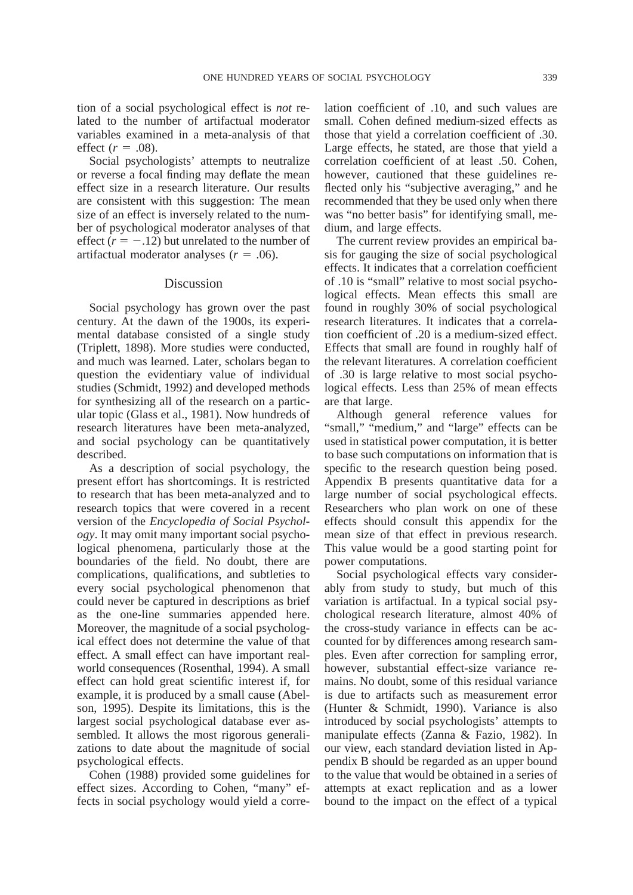tion of a social psychological effect is *not* related to the number of artifactual moderator variables examined in a meta-analysis of that effect  $(r = .08)$ .

Social psychologists' attempts to neutralize or reverse a focal finding may deflate the mean effect size in a research literature. Our results are consistent with this suggestion: The mean size of an effect is inversely related to the number of psychological moderator analyses of that effect  $(r = -.12)$  but unrelated to the number of artifactual moderator analyses  $(r = .06)$ .

#### Discussion

Social psychology has grown over the past century. At the dawn of the 1900s, its experimental database consisted of a single study (Triplett, 1898). More studies were conducted, and much was learned. Later, scholars began to question the evidentiary value of individual studies (Schmidt, 1992) and developed methods for synthesizing all of the research on a particular topic (Glass et al., 1981). Now hundreds of research literatures have been meta-analyzed, and social psychology can be quantitatively described.

As a description of social psychology, the present effort has shortcomings. It is restricted to research that has been meta-analyzed and to research topics that were covered in a recent version of the *Encyclopedia of Social Psychology*. It may omit many important social psychological phenomena, particularly those at the boundaries of the field. No doubt, there are complications, qualifications, and subtleties to every social psychological phenomenon that could never be captured in descriptions as brief as the one-line summaries appended here. Moreover, the magnitude of a social psychological effect does not determine the value of that effect. A small effect can have important realworld consequences (Rosenthal, 1994). A small effect can hold great scientific interest if, for example, it is produced by a small cause (Abelson, 1995). Despite its limitations, this is the largest social psychological database ever assembled. It allows the most rigorous generalizations to date about the magnitude of social psychological effects.

Cohen (1988) provided some guidelines for effect sizes. According to Cohen, "many" effects in social psychology would yield a correlation coefficient of .10, and such values are small. Cohen defined medium-sized effects as those that yield a correlation coefficient of .30. Large effects, he stated, are those that yield a correlation coefficient of at least .50. Cohen, however, cautioned that these guidelines reflected only his "subjective averaging," and he recommended that they be used only when there was "no better basis" for identifying small, medium, and large effects.

The current review provides an empirical basis for gauging the size of social psychological effects. It indicates that a correlation coefficient of .10 is "small" relative to most social psychological effects. Mean effects this small are found in roughly 30% of social psychological research literatures. It indicates that a correlation coefficient of .20 is a medium-sized effect. Effects that small are found in roughly half of the relevant literatures. A correlation coefficient of .30 is large relative to most social psychological effects. Less than 25% of mean effects are that large.

Although general reference values for "small," "medium," and "large" effects can be used in statistical power computation, it is better to base such computations on information that is specific to the research question being posed. Appendix B presents quantitative data for a large number of social psychological effects. Researchers who plan work on one of these effects should consult this appendix for the mean size of that effect in previous research. This value would be a good starting point for power computations.

Social psychological effects vary considerably from study to study, but much of this variation is artifactual. In a typical social psychological research literature, almost 40% of the cross-study variance in effects can be accounted for by differences among research samples. Even after correction for sampling error, however, substantial effect-size variance remains. No doubt, some of this residual variance is due to artifacts such as measurement error (Hunter & Schmidt, 1990). Variance is also introduced by social psychologists' attempts to manipulate effects (Zanna & Fazio, 1982). In our view, each standard deviation listed in Appendix B should be regarded as an upper bound to the value that would be obtained in a series of attempts at exact replication and as a lower bound to the impact on the effect of a typical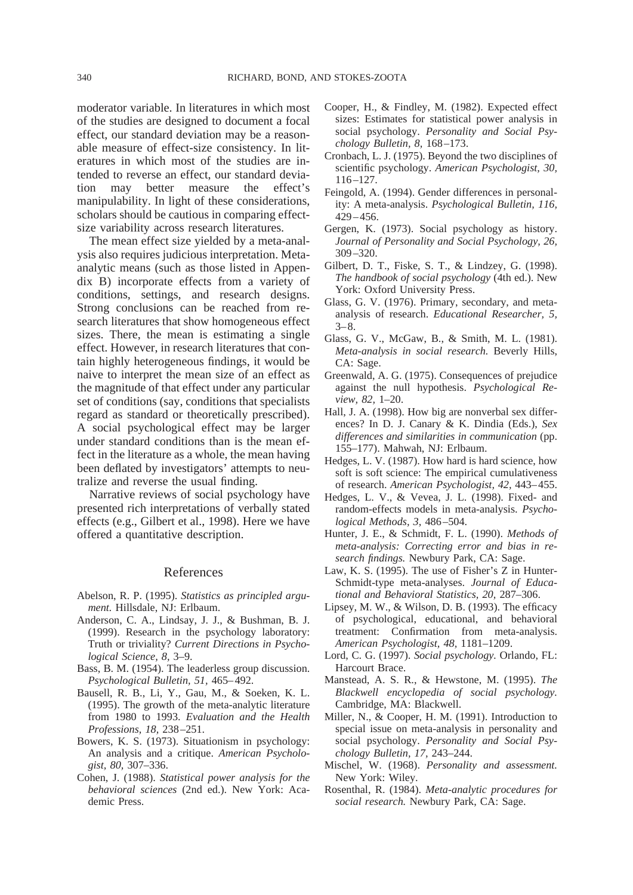moderator variable. In literatures in which most of the studies are designed to document a focal effect, our standard deviation may be a reasonable measure of effect-size consistency. In literatures in which most of the studies are intended to reverse an effect, our standard deviation may better measure the effect's manipulability. In light of these considerations, scholars should be cautious in comparing effectsize variability across research literatures.

The mean effect size yielded by a meta-analysis also requires judicious interpretation. Metaanalytic means (such as those listed in Appendix B) incorporate effects from a variety of conditions, settings, and research designs. Strong conclusions can be reached from research literatures that show homogeneous effect sizes. There, the mean is estimating a single effect. However, in research literatures that contain highly heterogeneous findings, it would be naive to interpret the mean size of an effect as the magnitude of that effect under any particular set of conditions (say, conditions that specialists regard as standard or theoretically prescribed). A social psychological effect may be larger under standard conditions than is the mean effect in the literature as a whole, the mean having been deflated by investigators' attempts to neutralize and reverse the usual finding.

Narrative reviews of social psychology have presented rich interpretations of verbally stated effects (e.g., Gilbert et al., 1998). Here we have offered a quantitative description.

## References

- Abelson, R. P. (1995). *Statistics as principled argument.* Hillsdale, NJ: Erlbaum.
- Anderson, C. A., Lindsay, J. J., & Bushman, B. J. (1999). Research in the psychology laboratory: Truth or triviality? *Current Directions in Psychological Science, 8,* 3–9.
- Bass, B. M. (1954). The leaderless group discussion. *Psychological Bulletin, 51,* 465–492.
- Bausell, R. B., Li, Y., Gau, M., & Soeken, K. L. (1995). The growth of the meta-analytic literature from 1980 to 1993. *Evaluation and the Health Professions, 18,* 238–251.
- Bowers, K. S. (1973). Situationism in psychology: An analysis and a critique. *American Psychologist, 80,* 307–336.
- Cohen, J. (1988). *Statistical power analysis for the behavioral sciences* (2nd ed.). New York: Academic Press.
- Cooper, H., & Findley, M. (1982). Expected effect sizes: Estimates for statistical power analysis in social psychology. *Personality and Social Psychology Bulletin, 8,* 168–173.
- Cronbach, L. J. (1975). Beyond the two disciplines of scientific psychology. *American Psychologist, 30,* 116–127.
- Feingold, A. (1994). Gender differences in personality: A meta-analysis. *Psychological Bulletin, 116,* 429–456.
- Gergen, K. (1973). Social psychology as history. *Journal of Personality and Social Psychology, 26,* 309–320.
- Gilbert, D. T., Fiske, S. T., & Lindzey, G. (1998). *The handbook of social psychology* (4th ed.). New York: Oxford University Press.
- Glass, G. V. (1976). Primary, secondary, and metaanalysis of research. *Educational Researcher, 5,*  $3 - 8$ .
- Glass, G. V., McGaw, B., & Smith, M. L. (1981). *Meta-analysis in social research.* Beverly Hills, CA: Sage.
- Greenwald, A. G. (1975). Consequences of prejudice against the null hypothesis. *Psychological Review, 82,* 1–20.
- Hall, J. A. (1998). How big are nonverbal sex differences? In D. J. Canary & K. Dindia (Eds.), *Sex differences and similarities in communication* (pp. 155–177). Mahwah, NJ: Erlbaum.
- Hedges, L. V. (1987). How hard is hard science, how soft is soft science: The empirical cumulativeness of research. *American Psychologist, 42,* 443–455.
- Hedges, L. V., & Vevea, J. L. (1998). Fixed- and random-effects models in meta-analysis. *Psychological Methods, 3,* 486–504.
- Hunter, J. E., & Schmidt, F. L. (1990). *Methods of meta-analysis: Correcting error and bias in research findings.* Newbury Park, CA: Sage.
- Law, K. S. (1995). The use of Fisher's Z in Hunter-Schmidt-type meta-analyses. *Journal of Educational and Behavioral Statistics, 20,* 287–306.
- Lipsey, M. W., & Wilson, D. B. (1993). The efficacy of psychological, educational, and behavioral treatment: Confirmation from meta-analysis. *American Psychologist, 48,* 1181–1209.
- Lord, C. G. (1997). *Social psychology.* Orlando, FL: Harcourt Brace.
- Manstead, A. S. R., & Hewstone, M. (1995). *The Blackwell encyclopedia of social psychology.* Cambridge, MA: Blackwell.
- Miller, N., & Cooper, H. M. (1991). Introduction to special issue on meta-analysis in personality and social psychology. *Personality and Social Psychology Bulletin, 17,* 243–244.
- Mischel, W. (1968). *Personality and assessment.* New York: Wiley.
- Rosenthal, R. (1984). *Meta-analytic procedures for social research.* Newbury Park, CA: Sage.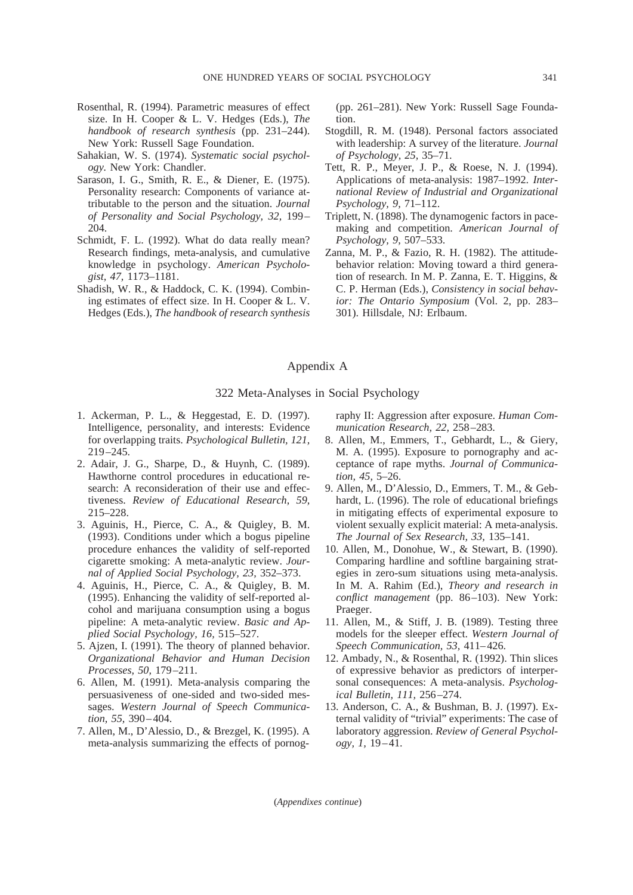- Rosenthal, R. (1994). Parametric measures of effect size. In H. Cooper & L. V. Hedges (Eds.), *The handbook of research synthesis* (pp. 231–244). New York: Russell Sage Foundation.
- Sahakian, W. S. (1974). *Systematic social psychology.* New York: Chandler.
- Sarason, I. G., Smith, R. E., & Diener, E. (1975). Personality research: Components of variance attributable to the person and the situation. *Journal of Personality and Social Psychology, 32,* 199– 204.
- Schmidt, F. L. (1992). What do data really mean? Research findings, meta-analysis, and cumulative knowledge in psychology. *American Psychologist, 47,* 1173–1181.
- Shadish, W. R., & Haddock, C. K. (1994). Combining estimates of effect size. In H. Cooper & L. V. Hedges (Eds.), *The handbook of research synthesis*

(pp. 261–281). New York: Russell Sage Foundation.

- Stogdill, R. M. (1948). Personal factors associated with leadership: A survey of the literature. *Journal of Psychology, 25,* 35–71.
- Tett, R. P., Meyer, J. P., & Roese, N. J. (1994). Applications of meta-analysis: 1987–1992. *International Review of Industrial and Organizational Psychology, 9,* 71–112.
- Triplett, N. (1898). The dynamogenic factors in pacemaking and competition. *American Journal of Psychology, 9,* 507–533.
- Zanna, M. P., & Fazio, R. H. (1982). The attitudebehavior relation: Moving toward a third generation of research. In M. P. Zanna, E. T. Higgins, & C. P. Herman (Eds.), *Consistency in social behavior: The Ontario Symposium* (Vol. 2, pp. 283– 301). Hillsdale, NJ: Erlbaum.

## Appendix A

#### 322 Meta-Analyses in Social Psychology

- 1. Ackerman, P. L., & Heggestad, E. D. (1997). Intelligence, personality, and interests: Evidence for overlapping traits. *Psychological Bulletin, 121,* 219–245.
- 2. Adair, J. G., Sharpe, D., & Huynh, C. (1989). Hawthorne control procedures in educational research: A reconsideration of their use and effectiveness. *Review of Educational Research, 59,* 215–228.
- 3. Aguinis, H., Pierce, C. A., & Quigley, B. M. (1993). Conditions under which a bogus pipeline procedure enhances the validity of self-reported cigarette smoking: A meta-analytic review. *Journal of Applied Social Psychology, 23,* 352–373.
- 4. Aguinis, H., Pierce, C. A., & Quigley, B. M. (1995). Enhancing the validity of self-reported alcohol and marijuana consumption using a bogus pipeline: A meta-analytic review. *Basic and Applied Social Psychology, 16,* 515–527.
- 5. Ajzen, I. (1991). The theory of planned behavior. *Organizational Behavior and Human Decision Processes, 50,* 179–211.
- 6. Allen, M. (1991). Meta-analysis comparing the persuasiveness of one-sided and two-sided messages. *Western Journal of Speech Communication, 55,* 390–404.
- 7. Allen, M., D'Alessio, D., & Brezgel, K. (1995). A meta-analysis summarizing the effects of pornog-

raphy II: Aggression after exposure. *Human Communication Research, 22,* 258–283.

- 8. Allen, M., Emmers, T., Gebhardt, L., & Giery, M. A. (1995). Exposure to pornography and acceptance of rape myths. *Journal of Communication, 45,* 5–26.
- 9. Allen, M., D'Alessio, D., Emmers, T. M., & Gebhardt, L. (1996). The role of educational briefings in mitigating effects of experimental exposure to violent sexually explicit material: A meta-analysis. *The Journal of Sex Research, 33,* 135–141.
- 10. Allen, M., Donohue, W., & Stewart, B. (1990). Comparing hardline and softline bargaining strategies in zero-sum situations using meta-analysis. In M. A. Rahim (Ed.), *Theory and research in conflict management* (pp. 86–103). New York: Praeger.
- 11. Allen, M., & Stiff, J. B. (1989). Testing three models for the sleeper effect. *Western Journal of Speech Communication, 53,* 411–426.
- 12. Ambady, N., & Rosenthal, R. (1992). Thin slices of expressive behavior as predictors of interpersonal consequences: A meta-analysis. *Psychological Bulletin, 111,* 256–274.
- 13. Anderson, C. A., & Bushman, B. J. (1997). External validity of "trivial" experiments: The case of laboratory aggression. *Review of General Psychology, 1,* 19–41.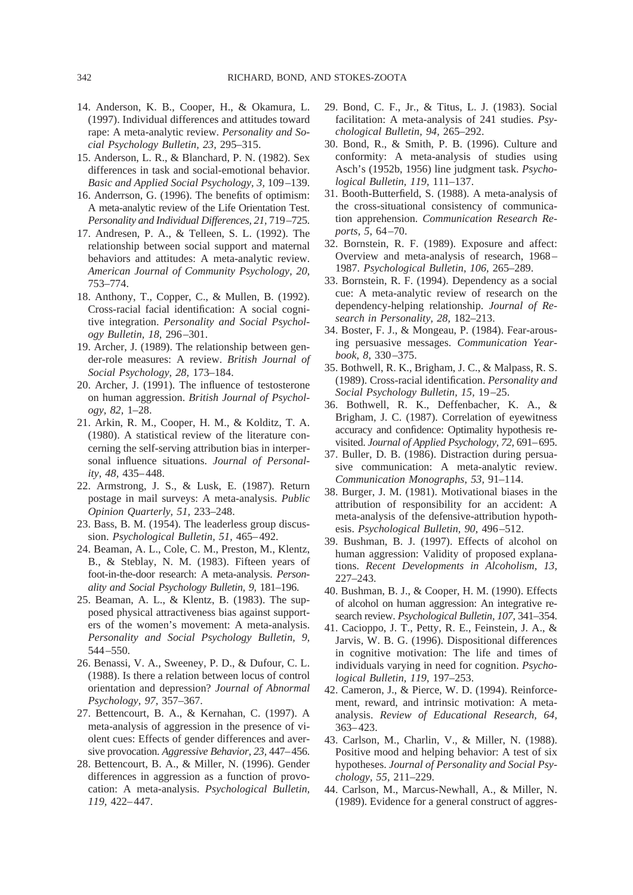- 14. Anderson, K. B., Cooper, H., & Okamura, L. (1997). Individual differences and attitudes toward rape: A meta-analytic review. *Personality and Social Psychology Bulletin, 23,* 295–315.
- 15. Anderson, L. R., & Blanchard, P. N. (1982). Sex differences in task and social-emotional behavior. *Basic and Applied Social Psychology, 3,* 109–139.
- 16. Anderrson, G. (1996). The benefits of optimism: A meta-analytic review of the Life Orientation Test. *Personality and Individual Differences, 21,* 719–725.
- 17. Andresen, P. A., & Telleen, S. L. (1992). The relationship between social support and maternal behaviors and attitudes: A meta-analytic review. *American Journal of Community Psychology, 20,* 753–774.
- 18. Anthony, T., Copper, C., & Mullen, B. (1992). Cross-racial facial identification: A social cognitive integration. *Personality and Social Psychology Bulletin, 18,* 296–301.
- 19. Archer, J. (1989). The relationship between gender-role measures: A review. *British Journal of Social Psychology, 28,* 173–184.
- 20. Archer, J. (1991). The influence of testosterone on human aggression. *British Journal of Psychology, 82,* 1–28.
- 21. Arkin, R. M., Cooper, H. M., & Kolditz, T. A. (1980). A statistical review of the literature concerning the self-serving attribution bias in interpersonal influence situations. *Journal of Personality, 48,* 435–448.
- 22. Armstrong, J. S., & Lusk, E. (1987). Return postage in mail surveys: A meta-analysis. *Public Opinion Quarterly, 51,* 233–248.
- 23. Bass, B. M. (1954). The leaderless group discussion. *Psychological Bulletin, 51,* 465–492.
- 24. Beaman, A. L., Cole, C. M., Preston, M., Klentz, B., & Steblay, N. M. (1983). Fifteen years of foot-in-the-door research: A meta-analysis. *Personality and Social Psychology Bulletin, 9,* 181–196.
- 25. Beaman, A. L., & Klentz, B. (1983). The supposed physical attractiveness bias against supporters of the women's movement: A meta-analysis. *Personality and Social Psychology Bulletin, 9,* 544–550.
- 26. Benassi, V. A., Sweeney, P. D., & Dufour, C. L. (1988). Is there a relation between locus of control orientation and depression? *Journal of Abnormal Psychology, 97,* 357–367.
- 27. Bettencourt, B. A., & Kernahan, C. (1997). A meta-analysis of aggression in the presence of violent cues: Effects of gender differences and aversive provocation. *Aggressive Behavior, 23,* 447–456.
- 28. Bettencourt, B. A., & Miller, N. (1996). Gender differences in aggression as a function of provocation: A meta-analysis. *Psychological Bulletin, 119,* 422–447.
- 29. Bond, C. F., Jr., & Titus, L. J. (1983). Social facilitation: A meta-analysis of 241 studies. *Psychological Bulletin, 94,* 265–292.
- 30. Bond, R., & Smith, P. B. (1996). Culture and conformity: A meta-analysis of studies using Asch's (1952b, 1956) line judgment task. *Psychological Bulletin, 119,* 111–137.
- 31. Booth-Butterfield, S. (1988). A meta-analysis of the cross-situational consistency of communication apprehension. *Communication Research Reports, 5,* 64–70.
- 32. Bornstein, R. F. (1989). Exposure and affect: Overview and meta-analysis of research, 1968– 1987. *Psychological Bulletin, 106,* 265–289.
- 33. Bornstein, R. F. (1994). Dependency as a social cue: A meta-analytic review of research on the dependency-helping relationship. *Journal of Research in Personality, 28,* 182–213.
- 34. Boster, F. J., & Mongeau, P. (1984). Fear-arousing persuasive messages. *Communication Yearbook, 8,* 330–375.
- 35. Bothwell, R. K., Brigham, J. C., & Malpass, R. S. (1989). Cross-racial identification. *Personality and Social Psychology Bulletin, 15,* 19–25.
- 36. Bothwell, R. K., Deffenbacher, K. A., & Brigham, J. C. (1987). Correlation of eyewitness accuracy and confidence: Optimality hypothesis revisited. *Journal of Applied Psychology, 72,* 691–695.
- 37. Buller, D. B. (1986). Distraction during persuasive communication: A meta-analytic review. *Communication Monographs, 53,* 91–114.
- 38. Burger, J. M. (1981). Motivational biases in the attribution of responsibility for an accident: A meta-analysis of the defensive-attribution hypothesis. *Psychological Bulletin, 90,* 496–512.
- 39. Bushman, B. J. (1997). Effects of alcohol on human aggression: Validity of proposed explanations. *Recent Developments in Alcoholism, 13,* 227–243.
- 40. Bushman, B. J., & Cooper, H. M. (1990). Effects of alcohol on human aggression: An integrative research review. *Psychological Bulletin, 107,* 341–354.
- 41. Cacioppo, J. T., Petty, R. E., Feinstein, J. A., & Jarvis, W. B. G. (1996). Dispositional differences in cognitive motivation: The life and times of individuals varying in need for cognition. *Psychological Bulletin, 119,* 197–253.
- 42. Cameron, J., & Pierce, W. D. (1994). Reinforcement, reward, and intrinsic motivation: A metaanalysis. *Review of Educational Research, 64,* 363–423.
- 43. Carlson, M., Charlin, V., & Miller, N. (1988). Positive mood and helping behavior: A test of six hypotheses. *Journal of Personality and Social Psychology, 55,* 211–229.
- 44. Carlson, M., Marcus-Newhall, A., & Miller, N. (1989). Evidence for a general construct of aggres-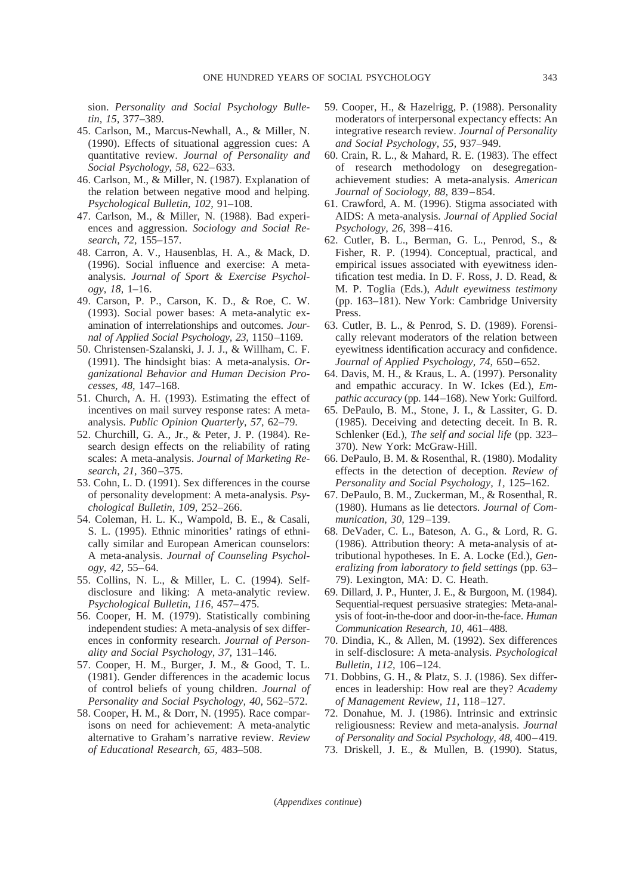sion. *Personality and Social Psychology Bulletin, 15,* 377–389.

- 45. Carlson, M., Marcus-Newhall, A., & Miller, N. (1990). Effects of situational aggression cues: A quantitative review. *Journal of Personality and Social Psychology, 58,* 622–633.
- 46. Carlson, M., & Miller, N. (1987). Explanation of the relation between negative mood and helping. *Psychological Bulletin, 102,* 91–108.
- 47. Carlson, M., & Miller, N. (1988). Bad experiences and aggression. *Sociology and Social Research, 72,* 155–157.
- 48. Carron, A. V., Hausenblas, H. A., & Mack, D. (1996). Social influence and exercise: A metaanalysis. *Journal of Sport & Exercise Psychology, 18,* 1–16.
- 49. Carson, P. P., Carson, K. D., & Roe, C. W. (1993). Social power bases: A meta-analytic examination of interrelationships and outcomes. *Journal of Applied Social Psychology, 23,* 1150–1169.
- 50. Christensen-Szalanski, J. J. J., & Willham, C. F. (1991). The hindsight bias: A meta-analysis. *Organizational Behavior and Human Decision Processes, 48,* 147–168.
- 51. Church, A. H. (1993). Estimating the effect of incentives on mail survey response rates: A metaanalysis. *Public Opinion Quarterly, 57,* 62–79.
- 52. Churchill, G. A., Jr., & Peter, J. P. (1984). Research design effects on the reliability of rating scales: A meta-analysis. *Journal of Marketing Research, 21,* 360–375.
- 53. Cohn, L. D. (1991). Sex differences in the course of personality development: A meta-analysis. *Psychological Bulletin, 109,* 252–266.
- 54. Coleman, H. L. K., Wampold, B. E., & Casali, S. L. (1995). Ethnic minorities' ratings of ethnically similar and European American counselors: A meta-analysis. *Journal of Counseling Psychology, 42,* 55–64.
- 55. Collins, N. L., & Miller, L. C. (1994). Selfdisclosure and liking: A meta-analytic review. *Psychological Bulletin, 116,* 457–475.
- 56. Cooper, H. M. (1979). Statistically combining independent studies: A meta-analysis of sex differences in conformity research. *Journal of Personality and Social Psychology, 37,* 131–146.
- 57. Cooper, H. M., Burger, J. M., & Good, T. L. (1981). Gender differences in the academic locus of control beliefs of young children. *Journal of Personality and Social Psychology, 40,* 562–572.
- 58. Cooper, H. M., & Dorr, N. (1995). Race comparisons on need for achievement: A meta-analytic alternative to Graham's narrative review. *Review of Educational Research, 65,* 483–508.
- 59. Cooper, H., & Hazelrigg, P. (1988). Personality moderators of interpersonal expectancy effects: An integrative research review. *Journal of Personality and Social Psychology, 55,* 937–949.
- 60. Crain, R. L., & Mahard, R. E. (1983). The effect of research methodology on desegregationachievement studies: A meta-analysis. *American Journal of Sociology, 88,* 839–854.
- 61. Crawford, A. M. (1996). Stigma associated with AIDS: A meta-analysis. *Journal of Applied Social Psychology, 26,* 398–416.
- 62. Cutler, B. L., Berman, G. L., Penrod, S., & Fisher, R. P. (1994). Conceptual, practical, and empirical issues associated with eyewitness identification test media. In D. F. Ross, J. D. Read, & M. P. Toglia (Eds.), *Adult eyewitness testimony* (pp. 163–181). New York: Cambridge University Press.
- 63. Cutler, B. L., & Penrod, S. D. (1989). Forensically relevant moderators of the relation between eyewitness identification accuracy and confidence. *Journal of Applied Psychology, 74,* 650–652.
- 64. Davis, M. H., & Kraus, L. A. (1997). Personality and empathic accuracy. In W. Ickes (Ed.), *Empathic accuracy* (pp. 144–168). New York: Guilford.
- 65. DePaulo, B. M., Stone, J. I., & Lassiter, G. D. (1985). Deceiving and detecting deceit. In B. R. Schlenker (Ed.), *The self and social life* (pp. 323– 370). New York: McGraw-Hill.
- 66. DePaulo, B. M. & Rosenthal, R. (1980). Modality effects in the detection of deception. *Review of Personality and Social Psychology, 1,* 125–162.
- 67. DePaulo, B. M., Zuckerman, M., & Rosenthal, R. (1980). Humans as lie detectors. *Journal of Communication, 30,* 129–139.
- 68. DeVader, C. L., Bateson, A. G., & Lord, R. G. (1986). Attribution theory: A meta-analysis of attributional hypotheses. In E. A. Locke (Ed.), *Generalizing from laboratory to field settings* (pp. 63– 79). Lexington, MA: D. C. Heath.
- 69. Dillard, J. P., Hunter, J. E., & Burgoon, M. (1984). Sequential-request persuasive strategies: Meta-analysis of foot-in-the-door and door-in-the-face. *Human Communication Research, 10,* 461–488.
- 70. Dindia, K., & Allen, M. (1992). Sex differences in self-disclosure: A meta-analysis. *Psychological Bulletin, 112,* 106–124.
- 71. Dobbins, G. H., & Platz, S. J. (1986). Sex differences in leadership: How real are they? *Academy of Management Review, 11,* 118–127.
- 72. Donahue, M. J. (1986). Intrinsic and extrinsic religiousness: Review and meta-analysis. *Journal of Personality and Social Psychology, 48,* 400–419.
- 73. Driskell, J. E., & Mullen, B. (1990). Status,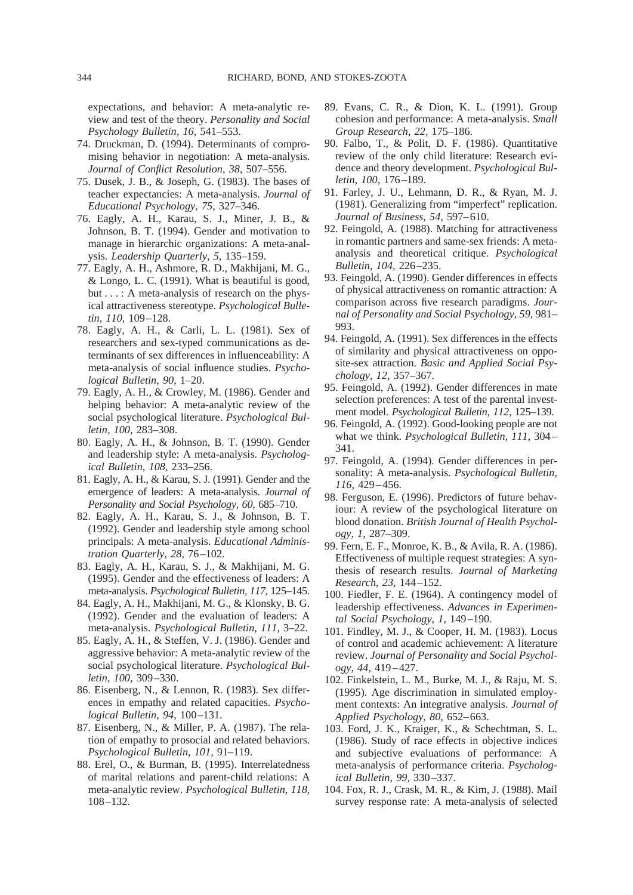expectations, and behavior: A meta-analytic review and test of the theory. *Personality and Social Psychology Bulletin, 16,* 541–553.

- 74. Druckman, D. (1994). Determinants of compromising behavior in negotiation: A meta-analysis. *Journal of Conflict Resolution, 38,* 507–556.
- 75. Dusek, J. B., & Joseph, G. (1983). The bases of teacher expectancies: A meta-analysis. *Journal of Educational Psychology, 75,* 327–346.
- 76. Eagly, A. H., Karau, S. J., Miner, J. B., & Johnson, B. T. (1994). Gender and motivation to manage in hierarchic organizations: A meta-analysis. *Leadership Quarterly, 5,* 135–159.
- 77. Eagly, A. H., Ashmore, R. D., Makhijani, M. G., & Longo, L. C. (1991). What is beautiful is good, but . . . : A meta-analysis of research on the physical attractiveness stereotype. *Psychological Bulletin, 110,* 109–128.
- 78. Eagly, A. H., & Carli, L. L. (1981). Sex of researchers and sex-typed communications as determinants of sex differences in influenceability: A meta-analysis of social influence studies. *Psychological Bulletin, 90,* 1–20.
- 79. Eagly, A. H., & Crowley, M. (1986). Gender and helping behavior: A meta-analytic review of the social psychological literature. *Psychological Bulletin, 100,* 283–308.
- 80. Eagly, A. H., & Johnson, B. T. (1990). Gender and leadership style: A meta-analysis. *Psychological Bulletin, 108,* 233–256.
- 81. Eagly, A. H., & Karau, S. J. (1991). Gender and the emergence of leaders: A meta-analysis. *Journal of Personality and Social Psychology, 60,* 685–710.
- 82. Eagly, A. H., Karau, S. J., & Johnson, B. T. (1992). Gender and leadership style among school principals: A meta-analysis. *Educational Administration Quarterly, 28,* 76–102.
- 83. Eagly, A. H., Karau, S. J., & Makhijani, M. G. (1995). Gender and the effectiveness of leaders: A meta-analysis. *Psychological Bulletin, 117,* 125–145.
- 84. Eagly, A. H., Makhijani, M. G., & Klonsky, B. G. (1992). Gender and the evaluation of leaders: A meta-analysis. *Psychological Bulletin, 111,* 3–22.
- 85. Eagly, A. H., & Steffen, V. J. (1986). Gender and aggressive behavior: A meta-analytic review of the social psychological literature. *Psychological Bulletin, 100,* 309–330.
- 86. Eisenberg, N., & Lennon, R. (1983). Sex differences in empathy and related capacities. *Psychological Bulletin, 94,* 100–131.
- 87. Eisenberg, N., & Miller, P. A. (1987). The relation of empathy to prosocial and related behaviors. *Psychological Bulletin, 101,* 91–119.
- 88. Erel, O., & Burman, B. (1995). Interrelatedness of marital relations and parent-child relations: A meta-analytic review. *Psychological Bulletin, 118,* 108–132.
- 89. Evans, C. R., & Dion, K. L. (1991). Group cohesion and performance: A meta-analysis. *Small Group Research, 22,* 175–186.
- 90. Falbo, T., & Polit, D. F. (1986). Quantitative review of the only child literature: Research evidence and theory development. *Psychological Bulletin, 100,* 176–189.
- 91. Farley, J. U., Lehmann, D. R., & Ryan, M. J. (1981). Generalizing from "imperfect" replication. *Journal of Business, 54,* 597–610.
- 92. Feingold, A. (1988). Matching for attractiveness in romantic partners and same-sex friends: A metaanalysis and theoretical critique. *Psychological Bulletin, 104,* 226–235.
- 93. Feingold, A. (1990). Gender differences in effects of physical attractiveness on romantic attraction: A comparison across five research paradigms. *Journal of Personality and Social Psychology, 59,* 981– 993.
- 94. Feingold, A. (1991). Sex differences in the effects of similarity and physical attractiveness on opposite-sex attraction. *Basic and Applied Social Psychology, 12,* 357–367.
- 95. Feingold, A. (1992). Gender differences in mate selection preferences: A test of the parental investment model. *Psychological Bulletin, 112,* 125–139.
- 96. Feingold, A. (1992). Good-looking people are not what we think. *Psychological Bulletin, 111,* 304– 341.
- 97. Feingold, A. (1994). Gender differences in personality: A meta-analysis. *Psychological Bulletin, 116,* 429–456.
- 98. Ferguson, E. (1996). Predictors of future behaviour: A review of the psychological literature on blood donation. *British Journal of Health Psychology, 1,* 287–309.
- 99. Fern, E. F., Monroe, K. B., & Avila, R. A. (1986). Effectiveness of multiple request strategies: A synthesis of research results. *Journal of Marketing Research, 23,* 144–152.
- 100. Fiedler, F. E. (1964). A contingency model of leadership effectiveness. *Advances in Experimental Social Psychology, 1,* 149–190.
- 101. Findley, M. J., & Cooper, H. M. (1983). Locus of control and academic achievement: A literature review. *Journal of Personality and Social Psychology, 44,* 419–427.
- 102. Finkelstein, L. M., Burke, M. J., & Raju, M. S. (1995). Age discrimination in simulated employment contexts: An integrative analysis. *Journal of Applied Psychology, 80,* 652–663.
- 103. Ford, J. K., Kraiger, K., & Schechtman, S. L. (1986). Study of race effects in objective indices and subjective evaluations of performance: A meta-analysis of performance criteria. *Psychological Bulletin, 99,* 330–337.
- 104. Fox, R. J., Crask, M. R., & Kim, J. (1988). Mail survey response rate: A meta-analysis of selected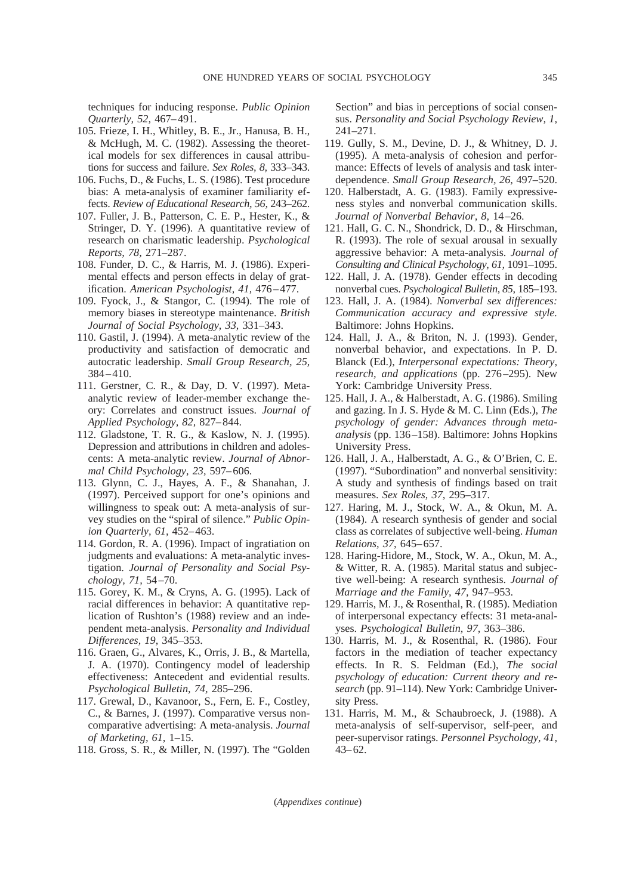techniques for inducing response. *Public Opinion Quarterly, 52,* 467–491.

- 105. Frieze, I. H., Whitley, B. E., Jr., Hanusa, B. H., & McHugh, M. C. (1982). Assessing the theoretical models for sex differences in causal attributions for success and failure. *Sex Roles, 8,* 333–343.
- 106. Fuchs, D., & Fuchs, L. S. (1986). Test procedure bias: A meta-analysis of examiner familiarity effects. *Review of Educational Research, 56,* 243–262.
- 107. Fuller, J. B., Patterson, C. E. P., Hester, K., & Stringer, D. Y. (1996). A quantitative review of research on charismatic leadership. *Psychological Reports, 78,* 271–287.
- 108. Funder, D. C., & Harris, M. J. (1986). Experimental effects and person effects in delay of gratification. *American Psychologist, 41,* 476–477.
- 109. Fyock, J., & Stangor, C. (1994). The role of memory biases in stereotype maintenance. *British Journal of Social Psychology, 33,* 331–343.
- 110. Gastil, J. (1994). A meta-analytic review of the productivity and satisfaction of democratic and autocratic leadership. *Small Group Research, 25,* 384–410.
- 111. Gerstner, C. R., & Day, D. V. (1997). Metaanalytic review of leader-member exchange theory: Correlates and construct issues. *Journal of Applied Psychology, 82,* 827–844.
- 112. Gladstone, T. R. G., & Kaslow, N. J. (1995). Depression and attributions in children and adolescents: A meta-analytic review. *Journal of Abnormal Child Psychology, 23,* 597–606.
- 113. Glynn, C. J., Hayes, A. F., & Shanahan, J. (1997). Perceived support for one's opinions and willingness to speak out: A meta-analysis of survey studies on the "spiral of silence." *Public Opinion Quarterly, 61,* 452–463.
- 114. Gordon, R. A. (1996). Impact of ingratiation on judgments and evaluations: A meta-analytic investigation. *Journal of Personality and Social Psychology, 71,* 54–70.
- 115. Gorey, K. M., & Cryns, A. G. (1995). Lack of racial differences in behavior: A quantitative replication of Rushton's (1988) review and an independent meta-analysis. *Personality and Individual Differences, 19,* 345–353.
- 116. Graen, G., Alvares, K., Orris, J. B., & Martella, J. A. (1970). Contingency model of leadership effectiveness: Antecedent and evidential results. *Psychological Bulletin, 74,* 285–296.
- 117. Grewal, D., Kavanoor, S., Fern, E. F., Costley, C., & Barnes, J. (1997). Comparative versus noncomparative advertising: A meta-analysis. *Journal of Marketing, 61,* 1–15.
- 118. Gross, S. R., & Miller, N. (1997). The "Golden

Section" and bias in perceptions of social consensus. *Personality and Social Psychology Review, 1,* 241–271.

- 119. Gully, S. M., Devine, D. J., & Whitney, D. J. (1995). A meta-analysis of cohesion and performance: Effects of levels of analysis and task interdependence. *Small Group Research, 26,* 497–520.
- 120. Halberstadt, A. G. (1983). Family expressiveness styles and nonverbal communication skills. *Journal of Nonverbal Behavior, 8,* 14–26.
- 121. Hall, G. C. N., Shondrick, D. D., & Hirschman, R. (1993). The role of sexual arousal in sexually aggressive behavior: A meta-analysis. *Journal of Consulting and Clinical Psychology, 61,* 1091–1095.
- 122. Hall, J. A. (1978). Gender effects in decoding nonverbal cues. *Psychological Bulletin, 85,* 185–193.
- 123. Hall, J. A. (1984). *Nonverbal sex differences: Communication accuracy and expressive style.* Baltimore: Johns Hopkins.
- 124. Hall, J. A., & Briton, N. J. (1993). Gender, nonverbal behavior, and expectations. In P. D. Blanck (Ed.), *Interpersonal expectations: Theory, research, and applications* (pp. 276–295). New York: Cambridge University Press.
- 125. Hall, J. A., & Halberstadt, A. G. (1986). Smiling and gazing. In J. S. Hyde & M. C. Linn (Eds.), *The psychology of gender: Advances through metaanalysis* (pp. 136–158). Baltimore: Johns Hopkins University Press.
- 126. Hall, J. A., Halberstadt, A. G., & O'Brien, C. E. (1997). "Subordination" and nonverbal sensitivity: A study and synthesis of findings based on trait measures. *Sex Roles, 37,* 295–317.
- 127. Haring, M. J., Stock, W. A., & Okun, M. A. (1984). A research synthesis of gender and social class as correlates of subjective well-being. *Human Relations, 37,* 645–657.
- 128. Haring-Hidore, M., Stock, W. A., Okun, M. A., & Witter, R. A. (1985). Marital status and subjective well-being: A research synthesis. *Journal of Marriage and the Family, 47,* 947–953.
- 129. Harris, M. J., & Rosenthal, R. (1985). Mediation of interpersonal expectancy effects: 31 meta-analyses. *Psychological Bulletin, 97,* 363–386.
- 130. Harris, M. J., & Rosenthal, R. (1986). Four factors in the mediation of teacher expectancy effects. In R. S. Feldman (Ed.), *The social psychology of education: Current theory and research* (pp. 91–114). New York: Cambridge University Press.
- 131. Harris, M. M., & Schaubroeck, J. (1988). A meta-analysis of self-supervisor, self-peer, and peer-supervisor ratings. *Personnel Psychology, 41,* 43–62.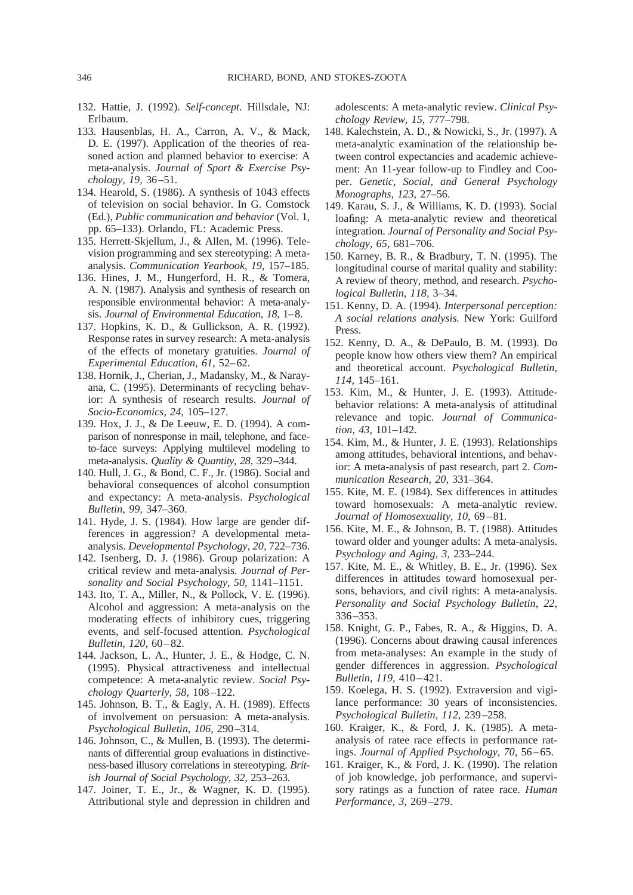- 132. Hattie, J. (1992). *Self-concept.* Hillsdale, NJ: Erlbaum.
- 133. Hausenblas, H. A., Carron, A. V., & Mack, D. E. (1997). Application of the theories of reasoned action and planned behavior to exercise: A meta-analysis. *Journal of Sport & Exercise Psychology, 19,* 36–51.
- 134. Hearold, S. (1986). A synthesis of 1043 effects of television on social behavior. In G. Comstock (Ed.), *Public communication and behavior* (Vol. 1, pp. 65–133). Orlando, FL: Academic Press.
- 135. Herrett-Skjellum, J., & Allen, M. (1996). Television programming and sex stereotyping: A metaanalysis. *Communication Yearbook, 19,* 157–185.
- 136. Hines, J. M., Hungerford, H. R., & Tomera, A. N. (1987). Analysis and synthesis of research on responsible environmental behavior: A meta-analysis. *Journal of Environmental Education, 18,* 1–8.
- 137. Hopkins, K. D., & Gullickson, A. R. (1992). Response rates in survey research: A meta-analysis of the effects of monetary gratuities. *Journal of Experimental Education, 61,* 52–62.
- 138. Hornik, J., Cherian, J., Madansky, M., & Narayana, C. (1995). Determinants of recycling behavior: A synthesis of research results. *Journal of Socio-Economics, 24,* 105–127.
- 139. Hox, J. J., & De Leeuw, E. D. (1994). A comparison of nonresponse in mail, telephone, and faceto-face surveys: Applying multilevel modeling to meta-analysis. *Quality & Quantity, 28,* 329–344.
- 140. Hull, J. G., & Bond, C. F., Jr. (1986). Social and behavioral consequences of alcohol consumption and expectancy: A meta-analysis. *Psychological Bulletin, 99,* 347–360.
- 141. Hyde, J. S. (1984). How large are gender differences in aggression? A developmental metaanalysis. *Developmental Psychology, 20,* 722–736.
- 142. Isenberg, D. J. (1986). Group polarization: A critical review and meta-analysis. *Journal of Personality and Social Psychology, 50,* 1141–1151.
- 143. Ito, T. A., Miller, N., & Pollock, V. E. (1996). Alcohol and aggression: A meta-analysis on the moderating effects of inhibitory cues, triggering events, and self-focused attention. *Psychological Bulletin, 120,* 60–82.
- 144. Jackson, L. A., Hunter, J. E., & Hodge, C. N. (1995). Physical attractiveness and intellectual competence: A meta-analytic review. *Social Psychology Quarterly, 58,* 108–122.
- 145. Johnson, B. T., & Eagly, A. H. (1989). Effects of involvement on persuasion: A meta-analysis. *Psychological Bulletin, 106,* 290–314.
- 146. Johnson, C., & Mullen, B. (1993). The determinants of differential group evaluations in distinctiveness-based illusory correlations in stereotyping. *British Journal of Social Psychology, 32,* 253–263.
- 147. Joiner, T. E., Jr., & Wagner, K. D. (1995). Attributional style and depression in children and

adolescents: A meta-analytic review. *Clinical Psychology Review, 15,* 777–798.

- 148. Kalechstein, A. D., & Nowicki, S., Jr. (1997). A meta-analytic examination of the relationship between control expectancies and academic achievement: An 11-year follow-up to Findley and Cooper. *Genetic, Social, and General Psychology Monographs, 123,* 27–56.
- 149. Karau, S. J., & Williams, K. D. (1993). Social loafing: A meta-analytic review and theoretical integration. *Journal of Personality and Social Psychology, 65,* 681–706.
- 150. Karney, B. R., & Bradbury, T. N. (1995). The longitudinal course of marital quality and stability: A review of theory, method, and research. *Psychological Bulletin, 118,* 3–34.
- 151. Kenny, D. A. (1994). *Interpersonal perception: A social relations analysis.* New York: Guilford Press.
- 152. Kenny, D. A., & DePaulo, B. M. (1993). Do people know how others view them? An empirical and theoretical account. *Psychological Bulletin, 114,* 145–161.
- 153. Kim, M., & Hunter, J. E. (1993). Attitudebehavior relations: A meta-analysis of attitudinal relevance and topic. *Journal of Communication, 43,* 101–142.
- 154. Kim, M., & Hunter, J. E. (1993). Relationships among attitudes, behavioral intentions, and behavior: A meta-analysis of past research, part 2. *Communication Research, 20,* 331–364.
- 155. Kite, M. E. (1984). Sex differences in attitudes toward homosexuals: A meta-analytic review. *Journal of Homosexuality, 10,* 69–81.
- 156. Kite, M. E., & Johnson, B. T. (1988). Attitudes toward older and younger adults: A meta-analysis. *Psychology and Aging, 3,* 233–244.
- 157. Kite, M. E., & Whitley, B. E., Jr. (1996). Sex differences in attitudes toward homosexual persons, behaviors, and civil rights: A meta-analysis. *Personality and Social Psychology Bulletin, 22,* 336–353.
- 158. Knight, G. P., Fabes, R. A., & Higgins, D. A. (1996). Concerns about drawing causal inferences from meta-analyses: An example in the study of gender differences in aggression. *Psychological Bulletin, 119,* 410–421.
- 159. Koelega, H. S. (1992). Extraversion and vigilance performance: 30 years of inconsistencies. *Psychological Bulletin, 112,* 239–258.
- 160. Kraiger, K., & Ford, J. K. (1985). A metaanalysis of ratee race effects in performance ratings. *Journal of Applied Psychology, 70,* 56–65.
- 161. Kraiger, K., & Ford, J. K. (1990). The relation of job knowledge, job performance, and supervisory ratings as a function of ratee race. *Human Performance, 3,* 269–279.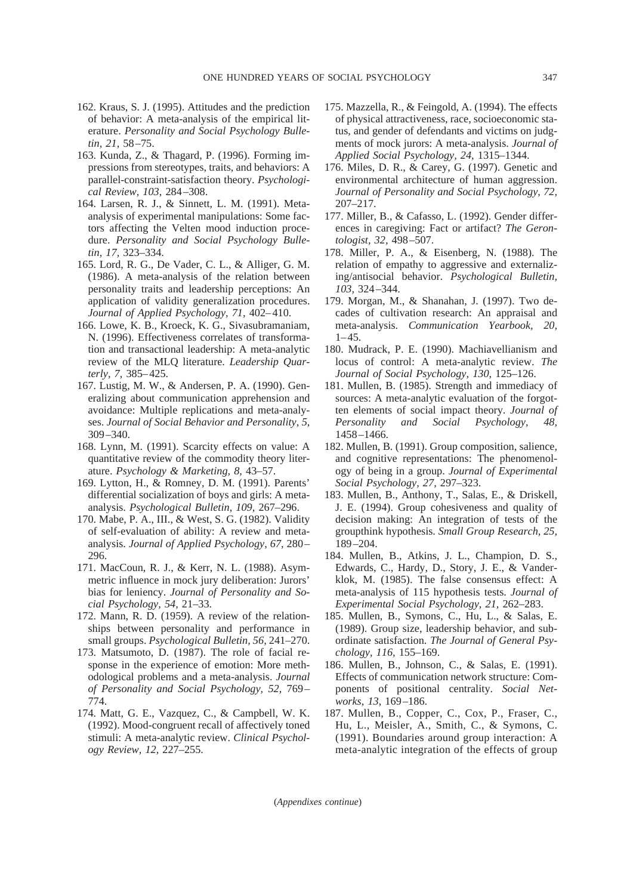- 162. Kraus, S. J. (1995). Attitudes and the prediction of behavior: A meta-analysis of the empirical literature. *Personality and Social Psychology Bulletin, 21,* 58–75.
- 163. Kunda, Z., & Thagard, P. (1996). Forming impressions from stereotypes, traits, and behaviors: A parallel-constraint-satisfaction theory. *Psychological Review, 103,* 284–308.
- 164. Larsen, R. J., & Sinnett, L. M. (1991). Metaanalysis of experimental manipulations: Some factors affecting the Velten mood induction procedure. *Personality and Social Psychology Bulletin, 17,* 323–334.
- 165. Lord, R. G., De Vader, C. L., & Alliger, G. M. (1986). A meta-analysis of the relation between personality traits and leadership perceptions: An application of validity generalization procedures. *Journal of Applied Psychology, 71,* 402–410.
- 166. Lowe, K. B., Kroeck, K. G., Sivasubramaniam, N. (1996). Effectiveness correlates of transformation and transactional leadership: A meta-analytic review of the MLQ literature. *Leadership Quarterly, 7,* 385–425.
- 167. Lustig, M. W., & Andersen, P. A. (1990). Generalizing about communication apprehension and avoidance: Multiple replications and meta-analyses. *Journal of Social Behavior and Personality, 5,* 309–340.
- 168. Lynn, M. (1991). Scarcity effects on value: A quantitative review of the commodity theory literature. *Psychology & Marketing, 8,* 43–57.
- 169. Lytton, H., & Romney, D. M. (1991). Parents' differential socialization of boys and girls: A metaanalysis. *Psychological Bulletin, 109,* 267–296.
- 170. Mabe, P. A., III., & West, S. G. (1982). Validity of self-evaluation of ability: A review and metaanalysis. *Journal of Applied Psychology, 67,* 280– 296.
- 171. MacCoun, R. J., & Kerr, N. L. (1988). Asymmetric influence in mock jury deliberation: Jurors' bias for leniency. *Journal of Personality and Social Psychology, 54,* 21–33.
- 172. Mann, R. D. (1959). A review of the relationships between personality and performance in small groups. *Psychological Bulletin, 56,* 241–270.
- 173. Matsumoto, D. (1987). The role of facial response in the experience of emotion: More methodological problems and a meta-analysis. *Journal of Personality and Social Psychology, 52,* 769– 774.
- 174. Matt, G. E., Vazquez, C., & Campbell, W. K. (1992). Mood-congruent recall of affectively toned stimuli: A meta-analytic review. *Clinical Psychology Review, 12,* 227–255.
- 175. Mazzella, R., & Feingold, A. (1994). The effects of physical attractiveness, race, socioeconomic status, and gender of defendants and victims on judgments of mock jurors: A meta-analysis. *Journal of Applied Social Psychology, 24,* 1315–1344.
- 176. Miles, D. R., & Carey, G. (1997). Genetic and environmental architecture of human aggression. *Journal of Personality and Social Psychology, 72,* 207–217.
- 177. Miller, B., & Cafasso, L. (1992). Gender differences in caregiving: Fact or artifact? *The Gerontologist, 32,* 498–507.
- 178. Miller, P. A., & Eisenberg, N. (1988). The relation of empathy to aggressive and externalizing/antisocial behavior. *Psychological Bulletin, 103,* 324–344.
- 179. Morgan, M., & Shanahan, J. (1997). Two decades of cultivation research: An appraisal and meta-analysis. *Communication Yearbook, 20,*  $1 - 45.$
- 180. Mudrack, P. E. (1990). Machiavellianism and locus of control: A meta-analytic review. *The Journal of Social Psychology, 130,* 125–126.
- 181. Mullen, B. (1985). Strength and immediacy of sources: A meta-analytic evaluation of the forgotten elements of social impact theory. *Journal of Personality and Social Psychology, 48,* 1458–1466.
- 182. Mullen, B. (1991). Group composition, salience, and cognitive representations: The phenomenology of being in a group. *Journal of Experimental Social Psychology, 27,* 297–323.
- 183. Mullen, B., Anthony, T., Salas, E., & Driskell, J. E. (1994). Group cohesiveness and quality of decision making: An integration of tests of the groupthink hypothesis. *Small Group Research, 25,* 189–204.
- 184. Mullen, B., Atkins, J. L., Champion, D. S., Edwards, C., Hardy, D., Story, J. E., & Vanderklok, M. (1985). The false consensus effect: A meta-analysis of 115 hypothesis tests. *Journal of Experimental Social Psychology, 21,* 262–283.
- 185. Mullen, B., Symons, C., Hu, L., & Salas, E. (1989). Group size, leadership behavior, and subordinate satisfaction. *The Journal of General Psychology, 116,* 155–169.
- 186. Mullen, B., Johnson, C., & Salas, E. (1991). Effects of communication network structure: Components of positional centrality. *Social Networks, 13,* 169–186.
- 187. Mullen, B., Copper, C., Cox, P., Fraser, C., Hu, L., Meisler, A., Smith, C., & Symons, C. (1991). Boundaries around group interaction: A meta-analytic integration of the effects of group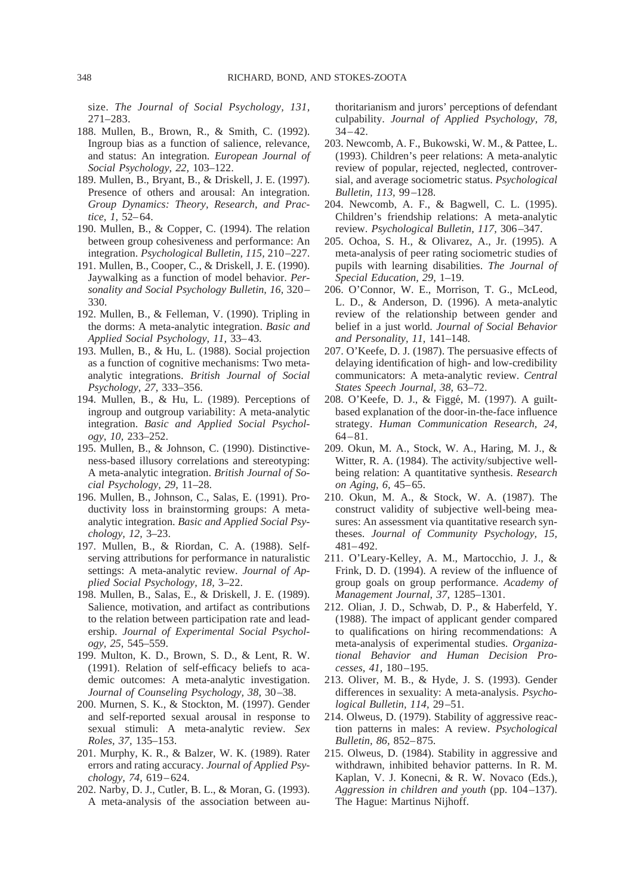size. *The Journal of Social Psychology, 131,* 271–283.

- 188. Mullen, B., Brown, R., & Smith, C. (1992). Ingroup bias as a function of salience, relevance, and status: An integration. *European Journal of Social Psychology, 22,* 103–122.
- 189. Mullen, B., Bryant, B., & Driskell, J. E. (1997). Presence of others and arousal: An integration. *Group Dynamics: Theory, Research, and Practice, 1,* 52–64.
- 190. Mullen, B., & Copper, C. (1994). The relation between group cohesiveness and performance: An integration. *Psychological Bulletin, 115,* 210–227.
- 191. Mullen, B., Cooper, C., & Driskell, J. E. (1990). Jaywalking as a function of model behavior. *Personality and Social Psychology Bulletin, 16,* 320– 330.
- 192. Mullen, B., & Felleman, V. (1990). Tripling in the dorms: A meta-analytic integration. *Basic and Applied Social Psychology, 11,* 33–43.
- 193. Mullen, B., & Hu, L. (1988). Social projection as a function of cognitive mechanisms: Two metaanalytic integrations. *British Journal of Social Psychology, 27,* 333–356.
- 194. Mullen, B., & Hu, L. (1989). Perceptions of ingroup and outgroup variability: A meta-analytic integration. *Basic and Applied Social Psychology, 10,* 233–252.
- 195. Mullen, B., & Johnson, C. (1990). Distinctiveness-based illusory correlations and stereotyping: A meta-analytic integration. *British Journal of Social Psychology, 29,* 11–28.
- 196. Mullen, B., Johnson, C., Salas, E. (1991). Productivity loss in brainstorming groups: A metaanalytic integration. *Basic and Applied Social Psychology, 12,* 3–23.
- 197. Mullen, B., & Riordan, C. A. (1988). Selfserving attributions for performance in naturalistic settings: A meta-analytic review. *Journal of Applied Social Psychology, 18,* 3–22.
- 198. Mullen, B., Salas, E., & Driskell, J. E. (1989). Salience, motivation, and artifact as contributions to the relation between participation rate and leadership. *Journal of Experimental Social Psychology, 25,* 545–559.
- 199. Multon, K. D., Brown, S. D., & Lent, R. W. (1991). Relation of self-efficacy beliefs to academic outcomes: A meta-analytic investigation. *Journal of Counseling Psychology, 38,* 30–38.
- 200. Murnen, S. K., & Stockton, M. (1997). Gender and self-reported sexual arousal in response to sexual stimuli: A meta-analytic review. *Sex Roles, 37,* 135–153.
- 201. Murphy, K. R., & Balzer, W. K. (1989). Rater errors and rating accuracy. *Journal of Applied Psychology, 74,* 619–624.
- 202. Narby, D. J., Cutler, B. L., & Moran, G. (1993). A meta-analysis of the association between au-

thoritarianism and jurors' perceptions of defendant culpability. *Journal of Applied Psychology, 78,*  $34 - 42$ .

- 203. Newcomb, A. F., Bukowski, W. M., & Pattee, L. (1993). Children's peer relations: A meta-analytic review of popular, rejected, neglected, controversial, and average sociometric status. *Psychological Bulletin, 113,* 99–128.
- 204. Newcomb, A. F., & Bagwell, C. L. (1995). Children's friendship relations: A meta-analytic review. *Psychological Bulletin, 117,* 306–347.
- 205. Ochoa, S. H., & Olivarez, A., Jr. (1995). A meta-analysis of peer rating sociometric studies of pupils with learning disabilities. *The Journal of Special Education, 29,* 1–19.
- 206. O'Connor, W. E., Morrison, T. G., McLeod, L. D., & Anderson, D. (1996). A meta-analytic review of the relationship between gender and belief in a just world. *Journal of Social Behavior and Personality, 11,* 141–148.
- 207. O'Keefe, D. J. (1987). The persuasive effects of delaying identification of high- and low-credibility communicators: A meta-analytic review. *Central States Speech Journal, 38,* 63–72.
- 208. O'Keefe, D. J., & Figgé, M. (1997). A guiltbased explanation of the door-in-the-face influence strategy. *Human Communication Research, 24,* 64–81.
- 209. Okun, M. A., Stock, W. A., Haring, M. J., & Witter, R. A. (1984). The activity/subjective wellbeing relation: A quantitative synthesis. *Research on Aging, 6,* 45–65.
- 210. Okun, M. A., & Stock, W. A. (1987). The construct validity of subjective well-being measures: An assessment via quantitative research syntheses. *Journal of Community Psychology, 15,* 481–492.
- 211. O'Leary-Kelley, A. M., Martocchio, J. J., & Frink, D. D. (1994). A review of the influence of group goals on group performance. *Academy of Management Journal, 37,* 1285–1301.
- 212. Olian, J. D., Schwab, D. P., & Haberfeld, Y. (1988). The impact of applicant gender compared to qualifications on hiring recommendations: A meta-analysis of experimental studies. *Organizational Behavior and Human Decision Processes, 41,* 180–195.
- 213. Oliver, M. B., & Hyde, J. S. (1993). Gender differences in sexuality: A meta-analysis. *Psychological Bulletin, 114,* 29–51.
- 214. Olweus, D. (1979). Stability of aggressive reaction patterns in males: A review. *Psychological Bulletin, 86,* 852–875.
- 215. Olweus, D. (1984). Stability in aggressive and withdrawn, inhibited behavior patterns. In R. M. Kaplan, V. J. Konecni, & R. W. Novaco (Eds.), *Aggression in children and youth* (pp. 104–137). The Hague: Martinus Nijhoff.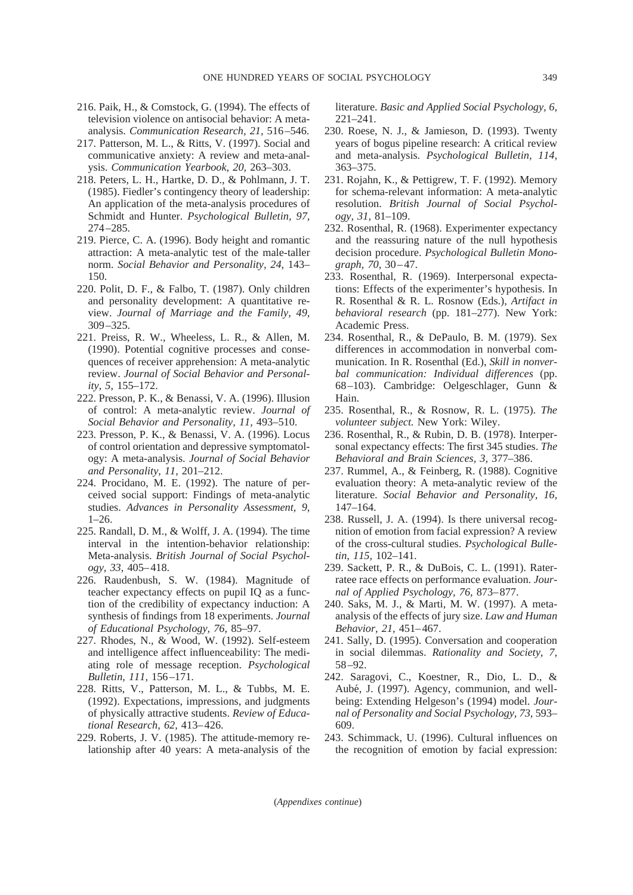- 216. Paik, H., & Comstock, G. (1994). The effects of television violence on antisocial behavior: A metaanalysis. *Communication Research, 21,* 516–546.
- 217. Patterson, M. L., & Ritts, V. (1997). Social and communicative anxiety: A review and meta-analysis. *Communication Yearbook, 20,* 263–303.
- 218. Peters, L. H., Hartke, D. D., & Pohlmann, J. T. (1985). Fiedler's contingency theory of leadership: An application of the meta-analysis procedures of Schmidt and Hunter. *Psychological Bulletin, 97,* 274–285.
- 219. Pierce, C. A. (1996). Body height and romantic attraction: A meta-analytic test of the male-taller norm. *Social Behavior and Personality, 24,* 143– 150.
- 220. Polit, D. F., & Falbo, T. (1987). Only children and personality development: A quantitative review. *Journal of Marriage and the Family, 49,* 309–325.
- 221. Preiss, R. W., Wheeless, L. R., & Allen, M. (1990). Potential cognitive processes and consequences of receiver apprehension: A meta-analytic review. *Journal of Social Behavior and Personality, 5,* 155–172.
- 222. Presson, P. K., & Benassi, V. A. (1996). Illusion of control: A meta-analytic review. *Journal of Social Behavior and Personality, 11,* 493–510.
- 223. Presson, P. K., & Benassi, V. A. (1996). Locus of control orientation and depressive symptomatology: A meta-analysis. *Journal of Social Behavior and Personality, 11,* 201–212.
- 224. Procidano, M. E. (1992). The nature of perceived social support: Findings of meta-analytic studies. *Advances in Personality Assessment, 9,* 1–26.
- 225. Randall, D. M., & Wolff, J. A. (1994). The time interval in the intention-behavior relationship: Meta-analysis. *British Journal of Social Psychology, 33,* 405–418.
- 226. Raudenbush, S. W. (1984). Magnitude of teacher expectancy effects on pupil IQ as a function of the credibility of expectancy induction: A synthesis of findings from 18 experiments. *Journal of Educational Psychology, 76,* 85–97.
- 227. Rhodes, N., & Wood, W. (1992). Self-esteem and intelligence affect influenceability: The mediating role of message reception. *Psychological Bulletin, 111,* 156–171.
- 228. Ritts, V., Patterson, M. L., & Tubbs, M. E. (1992). Expectations, impressions, and judgments of physically attractive students. *Review of Educational Research, 62,* 413–426.
- 229. Roberts, J. V. (1985). The attitude-memory relationship after 40 years: A meta-analysis of the

literature. *Basic and Applied Social Psychology, 6,* 221–241.

- 230. Roese, N. J., & Jamieson, D. (1993). Twenty years of bogus pipeline research: A critical review and meta-analysis. *Psychological Bulletin, 114,* 363–375.
- 231. Rojahn, K., & Pettigrew, T. F. (1992). Memory for schema-relevant information: A meta-analytic resolution. *British Journal of Social Psychology, 31,* 81–109.
- 232. Rosenthal, R. (1968). Experimenter expectancy and the reassuring nature of the null hypothesis decision procedure. *Psychological Bulletin Monograph, 70,* 30–47.
- 233. Rosenthal, R. (1969). Interpersonal expectations: Effects of the experimenter's hypothesis. In R. Rosenthal & R. L. Rosnow (Eds.), *Artifact in behavioral research* (pp. 181–277). New York: Academic Press.
- 234. Rosenthal, R., & DePaulo, B. M. (1979). Sex differences in accommodation in nonverbal communication. In R. Rosenthal (Ed.), *Skill in nonverbal communication: Individual differences* (pp. 68–103). Cambridge: Oelgeschlager, Gunn & Hain.
- 235. Rosenthal, R., & Rosnow, R. L. (1975). *The volunteer subject.* New York: Wiley.
- 236. Rosenthal, R., & Rubin, D. B. (1978). Interpersonal expectancy effects: The first 345 studies. *The Behavioral and Brain Sciences, 3,* 377–386.
- 237. Rummel, A., & Feinberg, R. (1988). Cognitive evaluation theory: A meta-analytic review of the literature. *Social Behavior and Personality, 16,* 147–164.
- 238. Russell, J. A. (1994). Is there universal recognition of emotion from facial expression? A review of the cross-cultural studies. *Psychological Bulletin, 115,* 102–141.
- 239. Sackett, P. R., & DuBois, C. L. (1991). Raterratee race effects on performance evaluation. *Journal of Applied Psychology, 76,* 873–877.
- 240. Saks, M. J., & Marti, M. W. (1997). A metaanalysis of the effects of jury size. *Law and Human Behavior, 21,* 451–467.
- 241. Sally, D. (1995). Conversation and cooperation in social dilemmas. *Rationality and Society, 7,* 58–92.
- 242. Saragovi, C., Koestner, R., Dio, L. D., & Aubé, J. (1997). Agency, communion, and wellbeing: Extending Helgeson's (1994) model. *Journal of Personality and Social Psychology, 73,* 593– 609.
- 243. Schimmack, U. (1996). Cultural influences on the recognition of emotion by facial expression: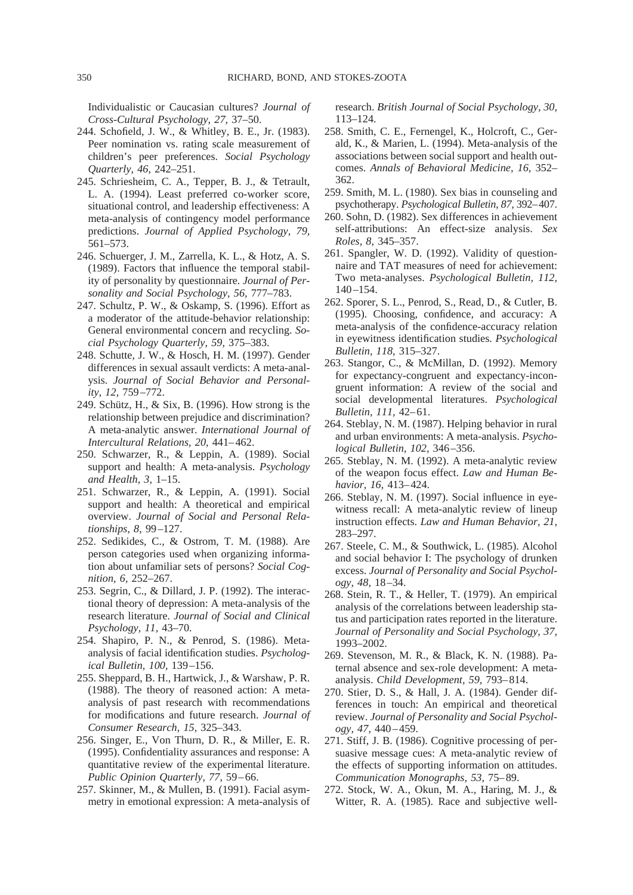Individualistic or Caucasian cultures? *Journal of Cross-Cultural Psychology, 27,* 37–50.

- 244. Schofield, J. W., & Whitley, B. E., Jr. (1983). Peer nomination vs. rating scale measurement of children's peer preferences. *Social Psychology Quarterly, 46,* 242–251.
- 245. Schriesheim, C. A., Tepper, B. J., & Tetrault, L. A. (1994). Least preferred co-worker score, situational control, and leadership effectiveness: A meta-analysis of contingency model performance predictions. *Journal of Applied Psychology, 79,* 561–573.
- 246. Schuerger, J. M., Zarrella, K. L., & Hotz, A. S. (1989). Factors that influence the temporal stability of personality by questionnaire. *Journal of Personality and Social Psychology, 56,* 777–783.
- 247. Schultz, P. W., & Oskamp, S. (1996). Effort as a moderator of the attitude-behavior relationship: General environmental concern and recycling. *Social Psychology Quarterly, 59,* 375–383.
- 248. Schutte, J. W., & Hosch, H. M. (1997). Gender differences in sexual assault verdicts: A meta-analysis. *Journal of Social Behavior and Personality, 12,* 759–772.
- 249. Schütz, H., & Six, B. (1996). How strong is the relationship between prejudice and discrimination? A meta-analytic answer. *International Journal of Intercultural Relations, 20,* 441–462.
- 250. Schwarzer, R., & Leppin, A. (1989). Social support and health: A meta-analysis. *Psychology and Health, 3,* 1–15.
- 251. Schwarzer, R., & Leppin, A. (1991). Social support and health: A theoretical and empirical overview. *Journal of Social and Personal Relationships, 8,* 99–127.
- 252. Sedikides, C., & Ostrom, T. M. (1988). Are person categories used when organizing information about unfamiliar sets of persons? *Social Cognition, 6,* 252–267.
- 253. Segrin, C., & Dillard, J. P. (1992). The interactional theory of depression: A meta-analysis of the research literature. *Journal of Social and Clinical Psychology, 11,* 43–70.
- 254. Shapiro, P. N., & Penrod, S. (1986). Metaanalysis of facial identification studies. *Psychological Bulletin, 100,* 139–156.
- 255. Sheppard, B. H., Hartwick, J., & Warshaw, P. R. (1988). The theory of reasoned action: A metaanalysis of past research with recommendations for modifications and future research. *Journal of Consumer Research, 15,* 325–343.
- 256. Singer, E., Von Thurn, D. R., & Miller, E. R. (1995). Confidentiality assurances and response: A quantitative review of the experimental literature. *Public Opinion Quarterly, 77,* 59–66.
- 257. Skinner, M., & Mullen, B. (1991). Facial asymmetry in emotional expression: A meta-analysis of

research. *British Journal of Social Psychology, 30,* 113–124.

- 258. Smith, C. E., Fernengel, K., Holcroft, C., Gerald, K., & Marien, L. (1994). Meta-analysis of the associations between social support and health outcomes. *Annals of Behavioral Medicine, 16,* 352– 362.
- 259. Smith, M. L. (1980). Sex bias in counseling and psychotherapy. *Psychological Bulletin, 87,* 392–407.
- 260. Sohn, D. (1982). Sex differences in achievement self-attributions: An effect-size analysis. *Sex Roles, 8,* 345–357.
- 261. Spangler, W. D. (1992). Validity of questionnaire and TAT measures of need for achievement: Two meta-analyses. *Psychological Bulletin, 112,* 140–154.
- 262. Sporer, S. L., Penrod, S., Read, D., & Cutler, B. (1995). Choosing, confidence, and accuracy: A meta-analysis of the confidence-accuracy relation in eyewitness identification studies. *Psychological Bulletin, 118,* 315–327.
- 263. Stangor, C., & McMillan, D. (1992). Memory for expectancy-congruent and expectancy-incongruent information: A review of the social and social developmental literatures. *Psychological Bulletin, 111,* 42–61.
- 264. Steblay, N. M. (1987). Helping behavior in rural and urban environments: A meta-analysis. *Psychological Bulletin, 102,* 346–356.
- 265. Steblay, N. M. (1992). A meta-analytic review of the weapon focus effect. *Law and Human Behavior, 16,* 413–424.
- 266. Steblay, N. M. (1997). Social influence in eyewitness recall: A meta-analytic review of lineup instruction effects. *Law and Human Behavior, 21,* 283–297.
- 267. Steele, C. M., & Southwick, L. (1985). Alcohol and social behavior I: The psychology of drunken excess. *Journal of Personality and Social Psychology, 48,* 18–34.
- 268. Stein, R. T., & Heller, T. (1979). An empirical analysis of the correlations between leadership status and participation rates reported in the literature. *Journal of Personality and Social Psychology, 37,* 1993–2002.
- 269. Stevenson, M. R., & Black, K. N. (1988). Paternal absence and sex-role development: A metaanalysis. *Child Development, 59,* 793–814.
- 270. Stier, D. S., & Hall, J. A. (1984). Gender differences in touch: An empirical and theoretical review. *Journal of Personality and Social Psychology, 47,* 440–459.
- 271. Stiff, J. B. (1986). Cognitive processing of persuasive message cues: A meta-analytic review of the effects of supporting information on attitudes. *Communication Monographs, 53,* 75–89.
- 272. Stock, W. A., Okun, M. A., Haring, M. J., & Witter, R. A. (1985). Race and subjective well-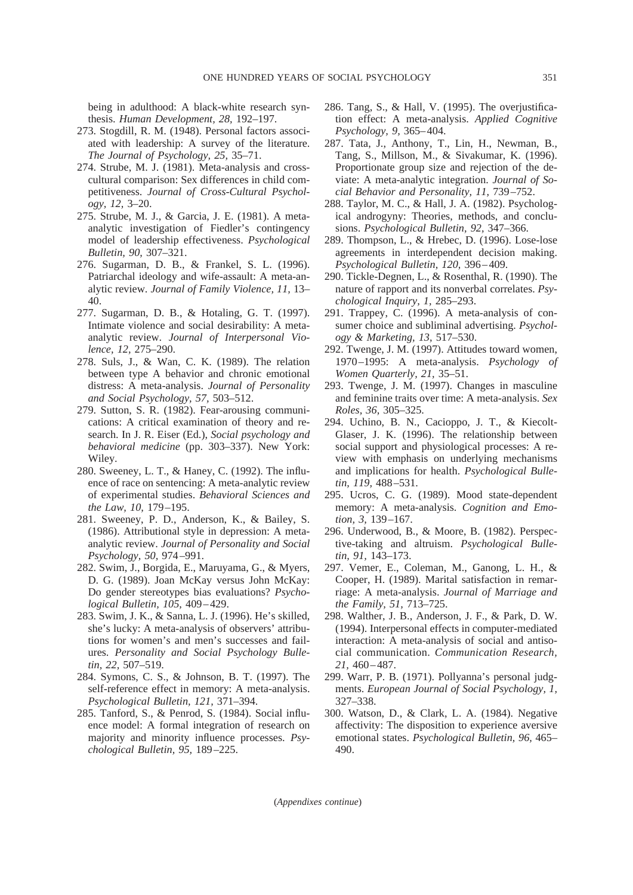being in adulthood: A black-white research synthesis. *Human Development, 28,* 192–197.

- 273. Stogdill, R. M. (1948). Personal factors associated with leadership: A survey of the literature. *The Journal of Psychology, 25,* 35–71.
- 274. Strube, M. J. (1981). Meta-analysis and crosscultural comparison: Sex differences in child competitiveness. *Journal of Cross-Cultural Psychology, 12,* 3–20.
- 275. Strube, M. J., & Garcia, J. E. (1981). A metaanalytic investigation of Fiedler's contingency model of leadership effectiveness. *Psychological Bulletin, 90,* 307–321.
- 276. Sugarman, D. B., & Frankel, S. L. (1996). Patriarchal ideology and wife-assault: A meta-analytic review. *Journal of Family Violence, 11,* 13– 40.
- 277. Sugarman, D. B., & Hotaling, G. T. (1997). Intimate violence and social desirability: A metaanalytic review. *Journal of Interpersonal Violence, 12,* 275–290.
- 278. Suls, J., & Wan, C. K. (1989). The relation between type A behavior and chronic emotional distress: A meta-analysis. *Journal of Personality and Social Psychology, 57,* 503–512.
- 279. Sutton, S. R. (1982). Fear-arousing communications: A critical examination of theory and research. In J. R. Eiser (Ed.), *Social psychology and behavioral medicine* (pp. 303–337). New York: Wiley.
- 280. Sweeney, L. T., & Haney, C. (1992). The influence of race on sentencing: A meta-analytic review of experimental studies. *Behavioral Sciences and the Law, 10,* 179–195.
- 281. Sweeney, P. D., Anderson, K., & Bailey, S. (1986). Attributional style in depression: A metaanalytic review. *Journal of Personality and Social Psychology, 50,* 974–991.
- 282. Swim, J., Borgida, E., Maruyama, G., & Myers, D. G. (1989). Joan McKay versus John McKay: Do gender stereotypes bias evaluations? *Psychological Bulletin, 105,* 409–429.
- 283. Swim, J. K., & Sanna, L. J. (1996). He's skilled, she's lucky: A meta-analysis of observers' attributions for women's and men's successes and failures. *Personality and Social Psychology Bulletin, 22,* 507–519.
- 284. Symons, C. S., & Johnson, B. T. (1997). The self-reference effect in memory: A meta-analysis. *Psychological Bulletin, 121,* 371–394.
- 285. Tanford, S., & Penrod, S. (1984). Social influence model: A formal integration of research on majority and minority influence processes. *Psychological Bulletin, 95,* 189–225.
- 286. Tang, S., & Hall, V. (1995). The overjustification effect: A meta-analysis. *Applied Cognitive Psychology, 9,* 365–404.
- 287. Tata, J., Anthony, T., Lin, H., Newman, B., Tang, S., Millson, M., & Sivakumar, K. (1996). Proportionate group size and rejection of the deviate: A meta-analytic integration. *Journal of Social Behavior and Personality, 11,* 739–752.
- 288. Taylor, M. C., & Hall, J. A. (1982). Psychological androgyny: Theories, methods, and conclusions. *Psychological Bulletin, 92,* 347–366.
- 289. Thompson, L., & Hrebec, D. (1996). Lose-lose agreements in interdependent decision making. *Psychological Bulletin, 120,* 396–409.
- 290. Tickle-Degnen, L., & Rosenthal, R. (1990). The nature of rapport and its nonverbal correlates. *Psychological Inquiry, 1,* 285–293.
- 291. Trappey, C. (1996). A meta-analysis of consumer choice and subliminal advertising. *Psychology & Marketing, 13,* 517–530.
- 292. Twenge, J. M. (1997). Attitudes toward women, 1970–1995: A meta-analysis. *Psychology of Women Quarterly, 21,* 35–51.
- 293. Twenge, J. M. (1997). Changes in masculine and feminine traits over time: A meta-analysis. *Sex Roles, 36,* 305–325.
- 294. Uchino, B. N., Cacioppo, J. T., & Kiecolt-Glaser, J. K. (1996). The relationship between social support and physiological processes: A review with emphasis on underlying mechanisms and implications for health. *Psychological Bulletin, 119,* 488–531.
- 295. Ucros, C. G. (1989). Mood state-dependent memory: A meta-analysis. *Cognition and Emotion, 3,* 139–167.
- 296. Underwood, B., & Moore, B. (1982). Perspective-taking and altruism. *Psychological Bulletin, 91,* 143–173.
- 297. Vemer, E., Coleman, M., Ganong, L. H., & Cooper, H. (1989). Marital satisfaction in remarriage: A meta-analysis. *Journal of Marriage and the Family, 51,* 713–725.
- 298. Walther, J. B., Anderson, J. F., & Park, D. W. (1994). Interpersonal effects in computer-mediated interaction: A meta-analysis of social and antisocial communication. *Communication Research, 21,* 460–487.
- 299. Warr, P. B. (1971). Pollyanna's personal judgments. *European Journal of Social Psychology, 1,* 327–338.
- 300. Watson, D., & Clark, L. A. (1984). Negative affectivity: The disposition to experience aversive emotional states. *Psychological Bulletin, 96,* 465– 490.

(*Appendixes continue*)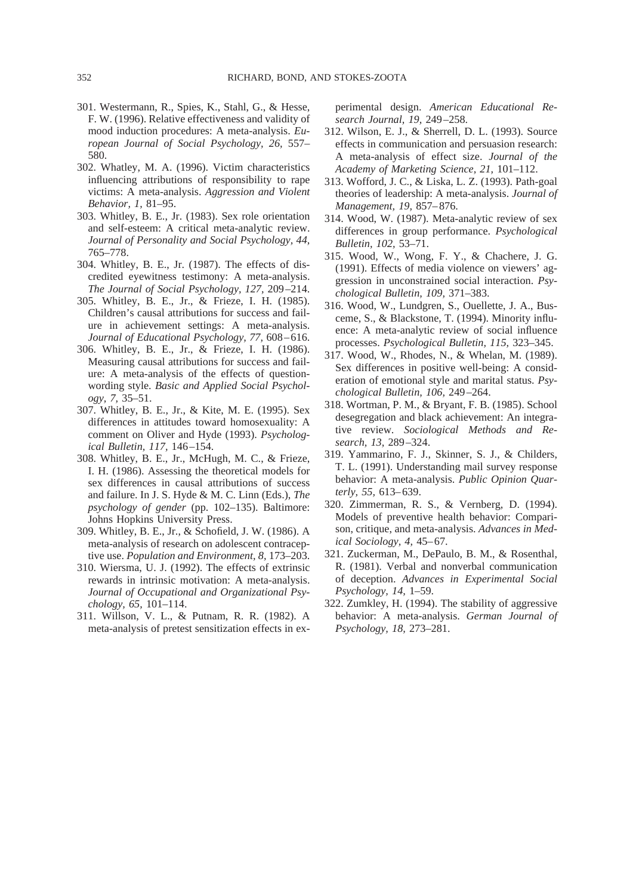- 301. Westermann, R., Spies, K., Stahl, G., & Hesse, F. W. (1996). Relative effectiveness and validity of mood induction procedures: A meta-analysis. *European Journal of Social Psychology, 26,* 557– 580.
- 302. Whatley, M. A. (1996). Victim characteristics influencing attributions of responsibility to rape victims: A meta-analysis. *Aggression and Violent Behavior, 1,* 81–95.
- 303. Whitley, B. E., Jr. (1983). Sex role orientation and self-esteem: A critical meta-analytic review. *Journal of Personality and Social Psychology, 44,* 765–778.
- 304. Whitley, B. E., Jr. (1987). The effects of discredited eyewitness testimony: A meta-analysis. *The Journal of Social Psychology, 127,* 209–214.
- 305. Whitley, B. E., Jr., & Frieze, I. H. (1985). Children's causal attributions for success and failure in achievement settings: A meta-analysis. *Journal of Educational Psychology, 77,* 608–616.
- 306. Whitley, B. E., Jr., & Frieze, I. H. (1986). Measuring causal attributions for success and failure: A meta-analysis of the effects of questionwording style. *Basic and Applied Social Psychology, 7,* 35–51.
- 307. Whitley, B. E., Jr., & Kite, M. E. (1995). Sex differences in attitudes toward homosexuality: A comment on Oliver and Hyde (1993). *Psychological Bulletin, 117,* 146–154.
- 308. Whitley, B. E., Jr., McHugh, M. C., & Frieze, I. H. (1986). Assessing the theoretical models for sex differences in causal attributions of success and failure. In J. S. Hyde & M. C. Linn (Eds.), *The psychology of gender* (pp. 102–135). Baltimore: Johns Hopkins University Press.
- 309. Whitley, B. E., Jr., & Schofield, J. W. (1986). A meta-analysis of research on adolescent contraceptive use. *Population and Environment, 8,* 173–203.
- 310. Wiersma, U. J. (1992). The effects of extrinsic rewards in intrinsic motivation: A meta-analysis. *Journal of Occupational and Organizational Psychology, 65,* 101–114.
- 311. Willson, V. L., & Putnam, R. R. (1982). A meta-analysis of pretest sensitization effects in ex-

perimental design. *American Educational Research Journal, 19,* 249–258.

- 312. Wilson, E. J., & Sherrell, D. L. (1993). Source effects in communication and persuasion research: A meta-analysis of effect size. *Journal of the Academy of Marketing Science, 21,* 101–112.
- 313. Wofford, J. C., & Liska, L. Z. (1993). Path-goal theories of leadership: A meta-analysis. *Journal of Management, 19,* 857–876.
- 314. Wood, W. (1987). Meta-analytic review of sex differences in group performance. *Psychological Bulletin, 102,* 53–71.
- 315. Wood, W., Wong, F. Y., & Chachere, J. G. (1991). Effects of media violence on viewers' aggression in unconstrained social interaction. *Psychological Bulletin, 109,* 371–383.
- 316. Wood, W., Lundgren, S., Ouellette, J. A., Busceme, S., & Blackstone, T. (1994). Minority influence: A meta-analytic review of social influence processes. *Psychological Bulletin, 115,* 323–345.
- 317. Wood, W., Rhodes, N., & Whelan, M. (1989). Sex differences in positive well-being: A consideration of emotional style and marital status. *Psychological Bulletin, 106,* 249–264.
- 318. Wortman, P. M., & Bryant, F. B. (1985). School desegregation and black achievement: An integrative review. *Sociological Methods and Research, 13,* 289–324.
- 319. Yammarino, F. J., Skinner, S. J., & Childers, T. L. (1991). Understanding mail survey response behavior: A meta-analysis. *Public Opinion Quarterly, 55,* 613–639.
- 320. Zimmerman, R. S., & Vernberg, D. (1994). Models of preventive health behavior: Comparison, critique, and meta-analysis. *Advances in Medical Sociology, 4,* 45–67.
- 321. Zuckerman, M., DePaulo, B. M., & Rosenthal, R. (1981). Verbal and nonverbal communication of deception. *Advances in Experimental Social Psychology, 14,* 1–59.
- 322. Zumkley, H. (1994). The stability of aggressive behavior: A meta-analysis. *German Journal of Psychology, 18,* 273–281.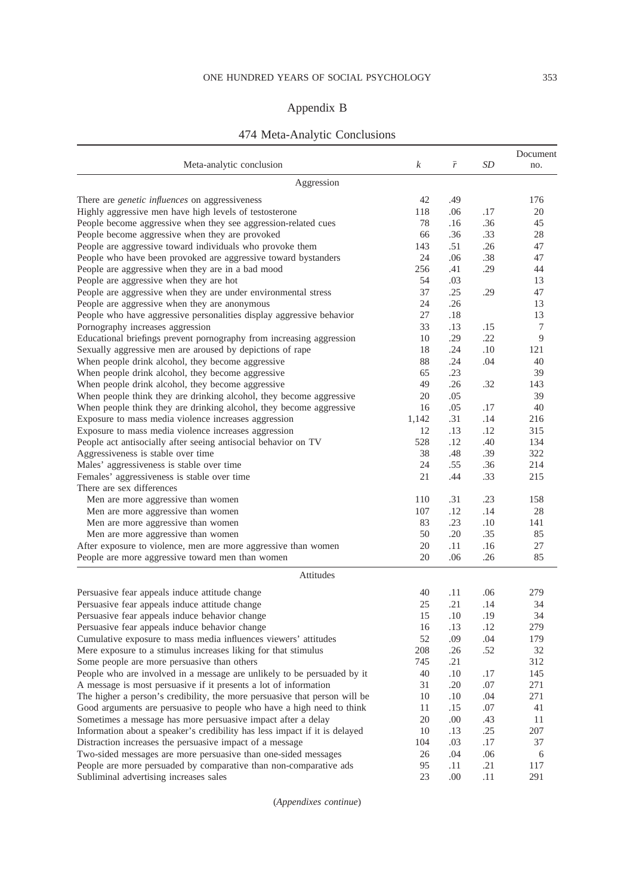# Appendix B

# 474 Meta-Analytic Conclusions

|                                                                                                      |       |           |     | Document |
|------------------------------------------------------------------------------------------------------|-------|-----------|-----|----------|
| Meta-analytic conclusion                                                                             | k     | $\bar{r}$ | SD  | no.      |
| Aggression                                                                                           |       |           |     |          |
| There are <i>genetic influences</i> on aggressiveness                                                | 42    | .49       |     | 176      |
| Highly aggressive men have high levels of testosterone                                               | 118   | .06       | .17 | 20       |
| People become aggressive when they see aggression-related cues                                       | 78    | .16       | .36 | 45       |
| People become aggressive when they are provoked                                                      | 66    | .36       | .33 | 28       |
| People are aggressive toward individuals who provoke them                                            | 143   | .51       | .26 | 47       |
| People who have been provoked are aggressive toward bystanders                                       | 24    | .06       | .38 | 47       |
| People are aggressive when they are in a bad mood                                                    | 256   | .41       | .29 | 44       |
| People are aggressive when they are hot                                                              | 54    | .03       |     | 13       |
| People are aggressive when they are under environmental stress                                       | 37    | .25       | .29 | 47       |
| People are aggressive when they are anonymous                                                        | 24    | .26       |     | 13       |
| People who have aggressive personalities display aggressive behavior                                 | 27    | .18       |     | 13       |
| Pornography increases aggression                                                                     | 33    | .13       | .15 | 7        |
| Educational briefings prevent pornography from increasing aggression                                 | 10    | .29       | .22 | 9        |
| Sexually aggressive men are aroused by depictions of rape                                            | 18    | .24       | .10 | 121      |
| When people drink alcohol, they become aggressive                                                    | 88    | .24       | .04 | 40       |
| When people drink alcohol, they become aggressive                                                    | 65    | .23       |     | 39       |
| When people drink alcohol, they become aggressive                                                    | 49    | .26       | .32 | 143      |
| When people think they are drinking alcohol, they become aggressive                                  | 20    | .05       |     | 39       |
| When people think they are drinking alcohol, they become aggressive                                  | 16    | .05       | .17 | 40       |
| Exposure to mass media violence increases aggression                                                 | 1,142 | .31       | .14 | 216      |
| Exposure to mass media violence increases aggression                                                 | 12    | .13       | .12 | 315      |
|                                                                                                      | 528   | .12       | .40 | 134      |
| People act antisocially after seeing antisocial behavior on TV<br>Aggressiveness is stable over time | 38    | .48       | .39 | 322      |
|                                                                                                      | 24    | .55       | .36 | 214      |
| Males' aggressiveness is stable over time<br>Females' aggressiveness is stable over time             | 21    | .44       | .33 | 215      |
| There are sex differences                                                                            |       |           |     |          |
|                                                                                                      | 110   | .31       | .23 | 158      |
| Men are more aggressive than women                                                                   | 107   | .12       | .14 | 28       |
| Men are more aggressive than women                                                                   | 83    | .23       | .10 | 141      |
| Men are more aggressive than women                                                                   | 50    | .20       | .35 | 85       |
| Men are more aggressive than women                                                                   |       |           |     | 27       |
| After exposure to violence, men are more aggressive than women                                       | 20    | .11       | .16 |          |
| People are more aggressive toward men than women                                                     | 20    | .06       | .26 | 85       |
| Attitudes                                                                                            |       |           |     |          |
| Persuasive fear appeals induce attitude change                                                       | 40    | .11       | .06 | 279      |
| Persuasive fear appeals induce attitude change                                                       | 25    | .21       | .14 | 34       |
| Persuasive fear appeals induce behavior change                                                       | 15    | .10       | .19 | 34       |
| Persuasive fear appeals induce behavior change                                                       | 16    | .13       | .12 | 279      |
| Cumulative exposure to mass media influences viewers' attitudes                                      | 52    | .09       | .04 | 179      |
| Mere exposure to a stimulus increases liking for that stimulus                                       | 208   | .26       | .52 | 32       |
| Some people are more persuasive than others                                                          | 745   | .21       |     | 312      |
| People who are involved in a message are unlikely to be persuaded by it                              | 40    | .10       | .17 | 145      |
| A message is most persuasive if it presents a lot of information                                     | 31    | .20       | .07 | 271      |
| The higher a person's credibility, the more persuasive that person will be                           | 10    | .10       | .04 | 271      |
| Good arguments are persuasive to people who have a high need to think                                | 11    | .15       | .07 | 41       |
| Sometimes a message has more persuasive impact after a delay                                         | 20    | .00       | .43 | 11       |
| Information about a speaker's credibility has less impact if it is delayed                           | 10    | .13       | .25 | 207      |
| Distraction increases the persuasive impact of a message                                             | 104   | .03       | .17 | 37       |
| Two-sided messages are more persuasive than one-sided messages                                       | 26    | .04       | .06 | 6        |
| People are more persuaded by comparative than non-comparative ads                                    | 95    | .11       | .21 | 117      |
| Subliminal advertising increases sales                                                               | 23    | .00       | .11 | 291      |

(*Appendixes continue*)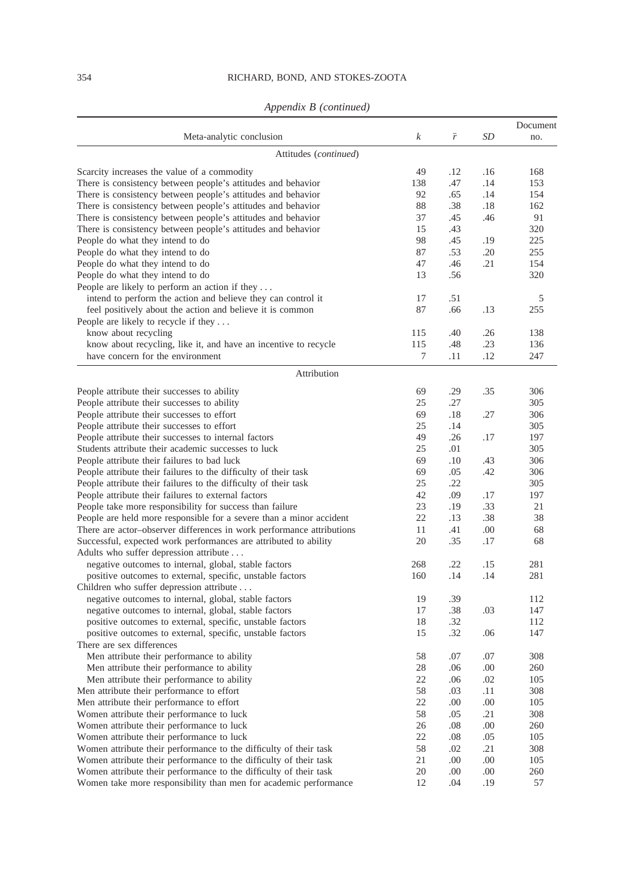### 354 RICHARD, BOND, AND STOKES-ZOOTA

| Meta-analytic conclusion                                              | k        | $\bar{r}$  | SD         | Document<br>no. |
|-----------------------------------------------------------------------|----------|------------|------------|-----------------|
| Attitudes (continued)                                                 |          |            |            |                 |
|                                                                       |          |            |            |                 |
| Scarcity increases the value of a commodity                           | 49       | .12        | .16        | 168             |
| There is consistency between people's attitudes and behavior          | 138      | .47        | .14        | 153             |
| There is consistency between people's attitudes and behavior          | 92       | .65        | .14        | 154             |
| There is consistency between people's attitudes and behavior          | 88       | .38        | .18        | 162             |
| There is consistency between people's attitudes and behavior          | 37       | .45        | .46        | 91              |
| There is consistency between people's attitudes and behavior          | 15       | .43        |            | 320             |
| People do what they intend to do                                      | 98       | .45        | .19        | 225             |
| People do what they intend to do<br>People do what they intend to do  | 87<br>47 | .53<br>.46 | .20<br>.21 | 255<br>154      |
| People do what they intend to do                                      | 13       | .56        |            | 320             |
| People are likely to perform an action if they                        |          |            |            |                 |
| intend to perform the action and believe they can control it          | 17       | .51        |            | 5               |
| feel positively about the action and believe it is common             | 87       | .66        | .13        | 255             |
| People are likely to recycle if they                                  |          |            |            |                 |
| know about recycling                                                  | 115      | .40        | .26        | 138             |
| know about recycling, like it, and have an incentive to recycle       | 115      | .48        | .23        | 136             |
| have concern for the environment                                      | 7        | .11        | .12        | 247             |
| Attribution                                                           |          |            |            |                 |
| People attribute their successes to ability                           | 69       | .29        | .35        | 306             |
| People attribute their successes to ability                           | 25       | .27        |            | 305             |
| People attribute their successes to effort                            | 69       | .18        | .27        | 306             |
| People attribute their successes to effort                            | 25       | .14        |            | 305             |
| People attribute their successes to internal factors                  | 49       | .26        | .17        | 197             |
| Students attribute their academic successes to luck                   | 25       | .01        |            | 305             |
| People attribute their failures to bad luck                           | 69       | .10        | .43        | 306             |
| People attribute their failures to the difficulty of their task       | 69       | .05        | .42        | 306             |
| People attribute their failures to the difficulty of their task       | 25       | .22        |            | 305             |
| People attribute their failures to external factors                   | 42       | .09        | .17        | 197             |
| People take more responsibility for success than failure              | 23       | .19        | .33        | 21              |
| People are held more responsible for a severe than a minor accident   | 22       | .13        | .38        | 38              |
| There are actor-observer differences in work performance attributions | 11       | .41        | .00        | 68              |
| Successful, expected work performances are attributed to ability      | 20       | .35        | .17        | 68              |
| Adults who suffer depression attribute                                |          |            |            |                 |
| negative outcomes to internal, global, stable factors                 | 268      | .22        | .15        | 281             |
| positive outcomes to external, specific, unstable factors             | 160      | .14        | .14        | 281             |
| Children who suffer depression attribute                              |          |            |            |                 |
| negative outcomes to internal, global, stable factors                 | 19       | .39        |            | 112             |
| negative outcomes to internal, global, stable factors                 | 17       | .38        | .03        | 147             |
| positive outcomes to external, specific, unstable factors             | 18       | .32        |            | 112             |
| positive outcomes to external, specific, unstable factors             | 15       | .32        | .06        | 147             |
| There are sex differences                                             |          |            |            |                 |
| Men attribute their performance to ability                            | 58       | $.07\,$    | $.07\,$    | 308             |
| Men attribute their performance to ability                            | $28\,$   | .06        | .00        | 260             |
| Men attribute their performance to ability                            | 22       | .06        | .02        | 105             |
| Men attribute their performance to effort                             | 58       | .03        | .11        | 308             |
| Men attribute their performance to effort                             | 22       | .00        | .00.       | 105             |
| Women attribute their performance to luck                             | 58       | .05        | .21        | 308             |
| Women attribute their performance to luck                             | 26       | .08        | .00.       | 260             |
| Women attribute their performance to luck                             | 22       | .08        | .05        | 105             |
| Women attribute their performance to the difficulty of their task     | 58       | .02        | .21        | 308             |
| Women attribute their performance to the difficulty of their task     | 21       | .00.       | .00.       | 105             |
| Women attribute their performance to the difficulty of their task     | 20       | .00        | .00.       | 260             |
| Women take more responsibility than men for academic performance      | 12       | .04        | .19        | 57              |

## *Appendix B (continued)*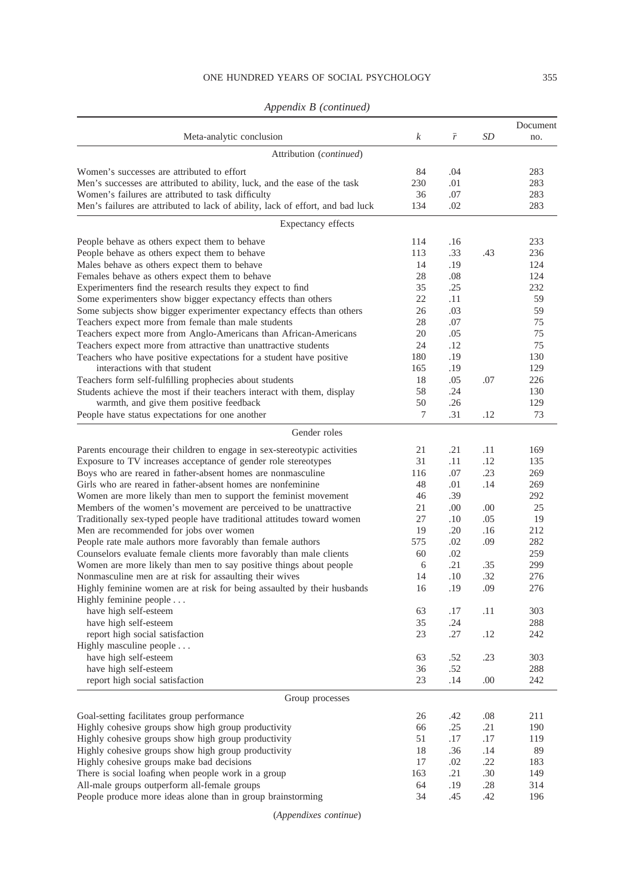### ONE HUNDRED YEARS OF SOCIAL PSYCHOLOGY 355

| Meta-analytic conclusion                                                                                                            | k        | $\bar{r}$  | SD  | Document<br>no. |
|-------------------------------------------------------------------------------------------------------------------------------------|----------|------------|-----|-----------------|
| Attribution (continued)                                                                                                             |          |            |     |                 |
| Women's successes are attributed to effort                                                                                          | 84       | .04        |     | 283             |
| Men's successes are attributed to ability, luck, and the ease of the task                                                           | 230      | .01        |     | 283             |
| Women's failures are attributed to task difficulty                                                                                  | 36       | .07        |     | 283             |
| Men's failures are attributed to lack of ability, lack of effort, and bad luck                                                      | 134      | .02        |     | 283             |
| Expectancy effects                                                                                                                  |          |            |     |                 |
| People behave as others expect them to behave                                                                                       | 114      | .16        |     | 233             |
| People behave as others expect them to behave                                                                                       | 113      | .33        | .43 | 236             |
| Males behave as others expect them to behave                                                                                        | 14       | .19        |     | 124             |
| Females behave as others expect them to behave                                                                                      | 28       | .08        |     | 124             |
| Experimenters find the research results they expect to find                                                                         | 35       | .25        |     | 232             |
| Some experimenters show bigger expectancy effects than others                                                                       | 22       | .11        |     | 59              |
| Some subjects show bigger experimenter expectancy effects than others                                                               | 26       | .03        |     | 59              |
| Teachers expect more from female than male students                                                                                 | 28<br>20 | .07<br>.05 |     | 75<br>75        |
| Teachers expect more from Anglo-Americans than African-Americans<br>Teachers expect more from attractive than unattractive students | 24       | .12        |     | 75              |
| Teachers who have positive expectations for a student have positive                                                                 | 180      | .19        |     | 130             |
| interactions with that student                                                                                                      | 165      | .19        |     | 129             |
| Teachers form self-fulfilling prophecies about students                                                                             | 18       | .05        | .07 | 226             |
| Students achieve the most if their teachers interact with them, display                                                             | 58       | .24        |     | 130             |
| warmth, and give them positive feedback                                                                                             | 50       | .26        |     | 129             |
| People have status expectations for one another                                                                                     | 7        | .31        | .12 | 73              |
| Gender roles                                                                                                                        |          |            |     |                 |
| Parents encourage their children to engage in sex-stereotypic activities                                                            | 21       | .21        | .11 | 169             |
| Exposure to TV increases acceptance of gender role stereotypes                                                                      | 31       | .11        | .12 | 135             |
| Boys who are reared in father-absent homes are nonmasculine                                                                         | 116      | .07        | .23 | 269             |
| Girls who are reared in father-absent homes are nonfeminine                                                                         | 48       | .01        | .14 | 269             |
| Women are more likely than men to support the feminist movement                                                                     | 46       | .39        |     | 292             |
| Members of the women's movement are perceived to be unattractive.                                                                   | 21       | .00        | .00 | 25              |
| Traditionally sex-typed people have traditional attitudes toward women                                                              | 27       | .10        | .05 | 19              |
| Men are recommended for jobs over women                                                                                             | 19       | .20        | .16 | 212             |
| People rate male authors more favorably than female authors                                                                         | 575      | .02        | .09 | 282             |
| Counselors evaluate female clients more favorably than male clients                                                                 | 60       | .02        |     | 259             |
| Women are more likely than men to say positive things about people                                                                  | 6        | .21        | .35 | 299             |
| Nonmasculine men are at risk for assaulting their wives                                                                             | 14       | .10        | .32 | 276             |
| Highly feminine women are at risk for being assaulted by their husbands                                                             | 16       | .19        | .09 | 276             |
| Highly feminine people<br>have high self-esteem                                                                                     | 63       | .17        | .11 | 303             |
| have high self-esteem                                                                                                               | 35       | .24        |     | 288             |
| report high social satisfaction                                                                                                     | 23       | .27        | .12 | 242             |
| Highly masculine people                                                                                                             |          |            |     |                 |
| have high self-esteem                                                                                                               | 63       | .52        | .23 | 303             |
| have high self-esteem                                                                                                               | 36       | .52        |     | 288             |
| report high social satisfaction                                                                                                     | 23       | .14        | .00 | 242             |
| Group processes                                                                                                                     |          |            |     |                 |
| Goal-setting facilitates group performance                                                                                          | 26       | .42        | .08 | 211             |
| Highly cohesive groups show high group productivity                                                                                 | 66       | .25        | .21 | 190             |
| Highly cohesive groups show high group productivity                                                                                 | 51       | .17        | .17 | 119             |
| Highly cohesive groups show high group productivity                                                                                 | 18       | .36        | .14 | 89              |
| Highly cohesive groups make bad decisions                                                                                           | 17       | .02        | .22 | 183             |
| There is social loafing when people work in a group                                                                                 | 163      | .21        | .30 | 149             |
| All-male groups outperform all-female groups                                                                                        | 64       | .19        | .28 | 314             |
| People produce more ideas alone than in group brainstorming                                                                         | 34       | .45        | .42 | 196             |

*Appendix B (continued)*

(*Appendixes continue*)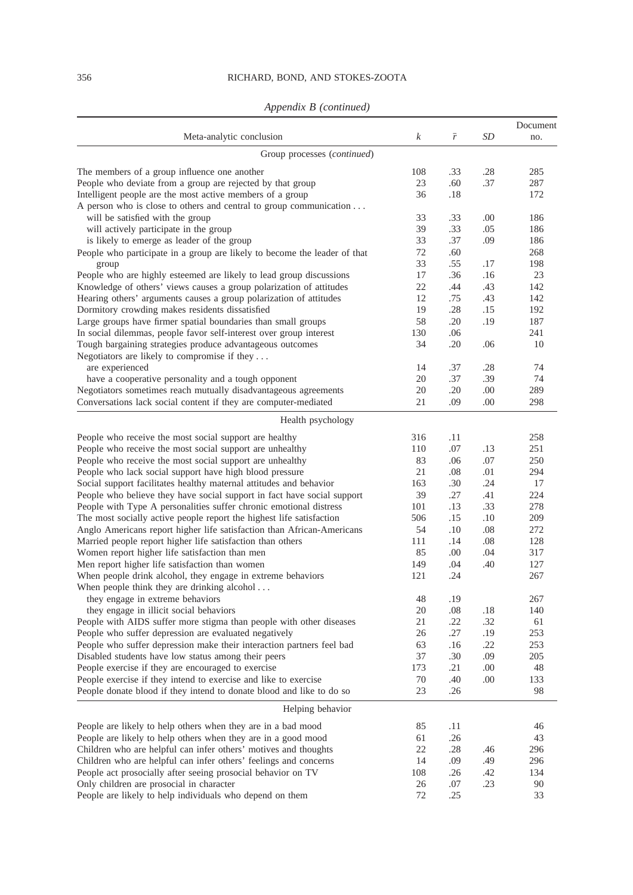## 356 RICHARD, BOND, AND STOKES-ZOOTA

| Meta-analytic conclusion                                                  | k   | $\bar{r}$ | SD  | Document<br>no. |
|---------------------------------------------------------------------------|-----|-----------|-----|-----------------|
| Group processes (continued)                                               |     |           |     |                 |
| The members of a group influence one another                              | 108 | .33       | .28 | 285             |
| People who deviate from a group are rejected by that group                | 23  | .60       | .37 | 287             |
| Intelligent people are the most active members of a group                 | 36  | .18       |     | 172             |
| A person who is close to others and central to group communication        |     |           |     |                 |
| will be satisfied with the group                                          | 33  | .33       | .00 | 186             |
| will actively participate in the group                                    | 39  | .33       | .05 | 186             |
| is likely to emerge as leader of the group                                | 33  | .37       | .09 | 186             |
| People who participate in a group are likely to become the leader of that | 72  | .60       |     | 268             |
| group                                                                     | 33  | .55       | .17 | 198             |
| People who are highly esteemed are likely to lead group discussions       | 17  | .36       | .16 | 23              |
| Knowledge of others' views causes a group polarization of attitudes       | 22  | .44       | .43 | 142             |
| Hearing others' arguments causes a group polarization of attitudes        | 12  | .75       | .43 | 142             |
| Dormitory crowding makes residents dissatisfied                           | 19  | .28       | .15 | 192             |
| Large groups have firmer spatial boundaries than small groups             | 58  | .20       | .19 | 187             |
| In social dilemmas, people favor self-interest over group interest        | 130 | .06       |     | 241             |
| Tough bargaining strategies produce advantageous outcomes                 | 34  | .20       | .06 | 10              |
| Negotiators are likely to compromise if they $\dots$                      |     |           |     |                 |
| are experienced                                                           | 14  | .37       | .28 | 74              |
| have a cooperative personality and a tough opponent                       | 20  | .37       | .39 | 74              |
| Negotiators sometimes reach mutually disadvantageous agreements           | 20  | .20       | .00 | 289             |
| Conversations lack social content if they are computer-mediated           | 21  | .09       | .00 | 298             |
| Health psychology                                                         |     |           |     |                 |
| People who receive the most social support are healthy                    | 316 | .11       |     | 258             |
| People who receive the most social support are unhealthy                  | 110 | .07       | .13 | 251             |
| People who receive the most social support are unhealthy                  | 83  | .06       | .07 | 250             |
| People who lack social support have high blood pressure                   | 21  | .08       | .01 | 294             |
| Social support facilitates healthy maternal attitudes and behavior        | 163 | .30       | .24 | 17              |
| People who believe they have social support in fact have social support   | 39  | .27       | .41 | 224             |
| People with Type A personalities suffer chronic emotional distress        | 101 | .13       | .33 | 278             |
| The most socially active people report the highest life satisfaction      | 506 | .15       | .10 | 209             |
| Anglo Americans report higher life satisfaction than African-Americans    | 54  | .10       | .08 | 272             |
| Married people report higher life satisfaction than others                | 111 | .14       | .08 | 128             |
| Women report higher life satisfaction than men                            | 85  | .00       | .04 | 317             |
| Men report higher life satisfaction than women                            | 149 | .04       | .40 | 127             |
| When people drink alcohol, they engage in extreme behaviors               | 121 | .24       |     | 267             |
| When people think they are drinking alcohol                               |     |           |     |                 |
| they engage in extreme behaviors                                          | 48  | .19       |     | 267             |
| they engage in illicit social behaviors                                   | 20  | .08       | .18 | 140             |
| People with AIDS suffer more stigma than people with other diseases       | 21  | .22       | .32 | 61              |
| People who suffer depression are evaluated negatively                     | 26  | .27       | .19 | 253             |
| People who suffer depression make their interaction partners feel bad     | 63  | .16       | .22 | 253             |
| Disabled students have low status among their peers                       | 37  | .30       | .09 | 205             |
| People exercise if they are encouraged to exercise                        | 173 | .21       | .00 | 48              |
| People exercise if they intend to exercise and like to exercise           | 70  | .40       | .00 | 133             |
| People donate blood if they intend to donate blood and like to do so      | 23  | .26       |     | 98              |
| Helping behavior                                                          |     |           |     |                 |
| People are likely to help others when they are in a bad mood              | 85  | .11       |     | 46              |
| People are likely to help others when they are in a good mood             | 61  | .26       |     | 43              |
| Children who are helpful can infer others' motives and thoughts           | 22  | .28       | .46 | 296             |
| Children who are helpful can infer others' feelings and concerns          | 14  | .09       | .49 | 296             |
| People act prosocially after seeing prosocial behavior on TV              | 108 | .26       | .42 | 134             |
| Only children are prosocial in character                                  | 26  | .07       | .23 | 90              |
| People are likely to help individuals who depend on them                  | 72  | .25       |     | 33              |

## *Appendix B (continued)*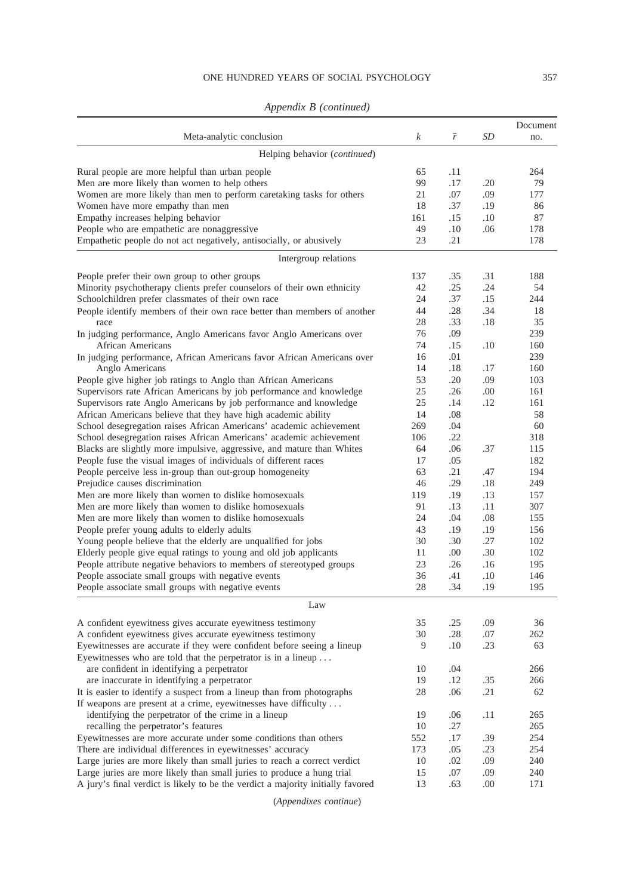|                                                                           |     |           |     | Document |
|---------------------------------------------------------------------------|-----|-----------|-----|----------|
| Meta-analytic conclusion                                                  | k   | $\bar{r}$ | SD  | no.      |
| Helping behavior (continued)                                              |     |           |     |          |
| Rural people are more helpful than urban people                           | 65  | .11       |     | 264      |
| Men are more likely than women to help others                             | 99  | .17       | .20 | 79       |
| Women are more likely than men to perform caretaking tasks for others     | 21  | .07       | .09 | 177      |
| Women have more empathy than men                                          | 18  | .37       | .19 | 86       |
| Empathy increases helping behavior                                        | 161 | .15       | .10 | 87       |
| People who are empathetic are nonaggressive                               | 49  | .10       | .06 | 178      |
| Empathetic people do not act negatively, antisocially, or abusively       | 23  | .21       |     | 178      |
| Intergroup relations                                                      |     |           |     |          |
| People prefer their own group to other groups                             | 137 | .35       | .31 | 188      |
| Minority psychotherapy clients prefer counselors of their own ethnicity   | 42  | .25       | .24 | 54       |
| Schoolchildren prefer classmates of their own race                        | 24  | .37       | .15 | 244      |
| People identify members of their own race better than members of another  | 44  | .28       | .34 | 18       |
| race                                                                      | 28  | .33       | .18 | 35       |
| In judging performance, Anglo Americans favor Anglo Americans over        | 76  | .09       |     | 239      |
| African Americans                                                         | 74  | .15       | .10 | 160      |
| In judging performance, African Americans favor African Americans over    | 16  | .01       |     | 239      |
| Anglo Americans                                                           | 14  | .18       | .17 | 160      |
| People give higher job ratings to Anglo than African Americans            | 53  | .20       | .09 | 103      |
| Supervisors rate African Americans by job performance and knowledge       | 25  | .26       | .00 | 161      |
| Supervisors rate Anglo Americans by job performance and knowledge         | 25  | .14       | .12 | 161      |
| African Americans believe that they have high academic ability            | 14  | .08       |     | 58       |
| School desegregation raises African Americans' academic achievement       | 269 | .04       |     | 60       |
| School desegregation raises African Americans' academic achievement       | 106 | .22       |     | 318      |
| Blacks are slightly more impulsive, aggressive, and mature than Whites    | 64  | .06       | .37 | 115      |
| People fuse the visual images of individuals of different races           | 17  | .05       |     | 182      |
| People perceive less in-group than out-group homogeneity                  | 63  | .21       | .47 | 194      |
| Prejudice causes discrimination                                           | 46  | .29       | .18 | 249      |
| Men are more likely than women to dislike homosexuals                     | 119 | .19       | .13 | 157      |
| Men are more likely than women to dislike homosexuals                     | 91  | .13       | .11 | 307      |
| Men are more likely than women to dislike homosexuals                     | 24  | .04       | .08 | 155      |
| People prefer young adults to elderly adults                              | 43  | .19       | .19 | 156      |
| Young people believe that the elderly are unqualified for jobs            | 30  | .30       | .27 | 102      |
| Elderly people give equal ratings to young and old job applicants         | 11  | .00       | .30 | 102      |
| People attribute negative behaviors to members of stereotyped groups      | 23  | .26       | .16 | 195      |
| People associate small groups with negative events                        | 36  | .41       | .10 | 146      |
| People associate small groups with negative events                        | 28  | .34       | .19 | 195      |
| Law                                                                       |     |           |     |          |
| A confident eyewitness gives accurate eyewitness testimony                | 35  | .25       | .09 | 36       |
| A confident eyewitness gives accurate eyewitness testimony                | 30  | .28       | .07 | 262      |
| Eyewitnesses are accurate if they were confident before seeing a lineup   | 9   | .10       | .23 | 63       |
| Eyewitnesses who are told that the perpetrator is in a lineup             |     |           |     |          |
| are confident in identifying a perpetrator                                | 10  | .04       |     | 266      |
| are inaccurate in identifying a perpetrator                               | 19  | .12       | .35 | 266      |
| It is easier to identify a suspect from a lineup than from photographs    | 28  | .06       | .21 | 62       |
| If weapons are present at a crime, eyewitnesses have difficulty           |     |           |     |          |
| identifying the perpetrator of the crime in a lineup                      | 19  | .06       | .11 | 265      |
| recalling the perpetrator's features                                      | 10  | .27       |     | 265      |
| Eyewitnesses are more accurate under some conditions than others          | 552 | .17       | .39 | 254      |
| There are individual differences in eyewitnesses' accuracy                | 173 | .05       | .23 | 254      |
| Large juries are more likely than small juries to reach a correct verdict | 10  | .02       | .09 | 240      |
| Large juries are more likely than small juries to produce a hung trial    | 15  | .07       | .09 | 240      |

## *Appendix B (continued)*

A jury's final verdict is likely to be the verdict a majority initially favored 13 .63 .00 171 (*Appendixes continue*)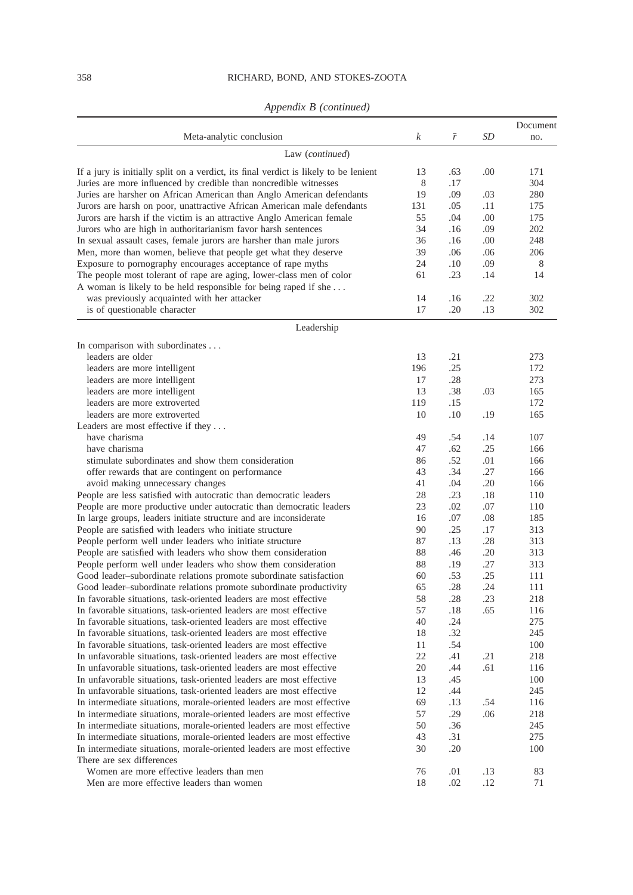### 358 RICHARD, BOND, AND STOKES-ZOOTA

| Appendix B (continued)                                                               |                  |                |           |                 |
|--------------------------------------------------------------------------------------|------------------|----------------|-----------|-----------------|
| Meta-analytic conclusion                                                             | $\boldsymbol{k}$ | $\overline{r}$ | <b>SD</b> | Document<br>no. |
| Law (continued)                                                                      |                  |                |           |                 |
| If a jury is initially split on a verdict, its final verdict is likely to be lenient | 13               | .63            | .00       | 171             |
| Juries are more influenced by credible than noncredible witnesses                    | 8                | .17            |           | 304             |
| Juries are harsher on African American than Anglo American defendants                | 19               | .09            | .03       | 280             |
| Jurors are harsh on poor, unattractive African American male defendants              | 131              | .05            | .11       | 175             |
| Jurors are harsh if the victim is an attractive Anglo American female                | 55               | .04            | .00       | 175             |
| Jurors who are high in authoritarianism favor harsh sentences                        | 34               | .16            | .09       | 202             |
| In sexual assault cases, female jurors are harsher than male jurors                  | 36               | .16            | .00       | 248             |
| Men, more than women, believe that people get what they deserve                      | 39               | .06            | .06       | 206             |
| Exposure to pornography encourages acceptance of rape myths                          | 24               | .10            | .09       | 8               |
| The people most tolerant of rape are aging, lower-class men of color                 | 61               | .23            | .14       | 14              |
| A woman is likely to be held responsible for being raped if she                      |                  |                |           |                 |
| was previously acquainted with her attacker                                          | 14               | .16            | .22       | 302             |
| is of questionable character                                                         | 17               | .20            | .13       | 302             |
| Leadership                                                                           |                  |                |           |                 |
| In comparison with subordinates                                                      |                  |                |           |                 |
| leaders are older                                                                    | 13               | .21            |           | 273             |
| leaders are more intelligent                                                         | 196              | .25            |           | 172             |
| leaders are more intelligent                                                         | 17               | .28            |           | 273             |
| leaders are more intelligent                                                         | 13               | .38            | .03       | 165             |
| leaders are more extroverted                                                         | 119              | .15            |           | 172             |
| leaders are more extroverted                                                         | 10               | .10            | .19       | 165             |
| Leaders are most effective if they                                                   |                  |                |           |                 |
| have charisma                                                                        | 49               | .54            | .14       | 107             |
| have charisma                                                                        | 47               | .62            | .25       | 166             |
| stimulate subordinates and show them consideration                                   | 86               | .52            | .01       | 166             |
| offer rewards that are contingent on performance                                     | 43               | .34            | .27       | 166             |
| avoid making unnecessary changes                                                     | 41               | .04            | .20       | 166             |
| People are less satisfied with autocratic than democratic leaders                    | 28               | .23            | .18       | 110             |
| People are more productive under autocratic than democratic leaders                  | 23               | .02            | .07       | 110             |
| In large groups, leaders initiate structure and are inconsiderate                    | 16               | .07            | .08       | 185             |
| People are satisfied with leaders who initiate structure                             | 90               | .25            | .17       | 313             |
| People perform well under leaders who initiate structure                             | 87               | .13            | .28       | 313             |
| People are satisfied with leaders who show them consideration                        | 88               | .46            | .20       | 313             |
|                                                                                      |                  |                |           |                 |

# *Appendix B (continued)*

| People are satisfied with leaders who initiate structure               | 90 | .25 | .17 | 313 |
|------------------------------------------------------------------------|----|-----|-----|-----|
| People perform well under leaders who initiate structure               | 87 | .13 | .28 | 313 |
| People are satisfied with leaders who show them consideration          | 88 | .46 | .20 | 313 |
| People perform well under leaders who show them consideration          | 88 | .19 | .27 | 313 |
| Good leader-subordinate relations promote subordinate satisfaction     | 60 | .53 | .25 | 111 |
| Good leader-subordinate relations promote subordinate productivity     | 65 | .28 | .24 | 111 |
| In favorable situations, task-oriented leaders are most effective      | 58 | .28 | .23 | 218 |
| In favorable situations, task-oriented leaders are most effective      | 57 | .18 | .65 | 116 |
| In favorable situations, task-oriented leaders are most effective      | 40 | .24 |     | 275 |
| In favorable situations, task-oriented leaders are most effective      | 18 | .32 |     | 245 |
| In favorable situations, task-oriented leaders are most effective      | 11 | .54 |     | 100 |
| In unfavorable situations, task-oriented leaders are most effective    | 22 | .41 | .21 | 218 |
| In unfavorable situations, task-oriented leaders are most effective    | 20 | .44 | .61 | 116 |
| In unfavorable situations, task-oriented leaders are most effective    | 13 | .45 |     | 100 |
| In unfavorable situations, task-oriented leaders are most effective    | 12 | .44 |     | 245 |
| In intermediate situations, morale-oriented leaders are most effective | 69 | .13 | .54 | 116 |
| In intermediate situations, morale-oriented leaders are most effective | 57 | .29 | .06 | 218 |
| In intermediate situations, morale-oriented leaders are most effective | 50 | .36 |     | 245 |
| In intermediate situations, morale-oriented leaders are most effective | 43 | .31 |     | 275 |
| In intermediate situations, morale-oriented leaders are most effective | 30 | .20 |     | 100 |
| There are sex differences                                              |    |     |     |     |
| Women are more effective leaders than men                              | 76 | .01 | .13 | 83  |
| Men are more effective leaders than women                              | 18 | .02 | .12 | 71  |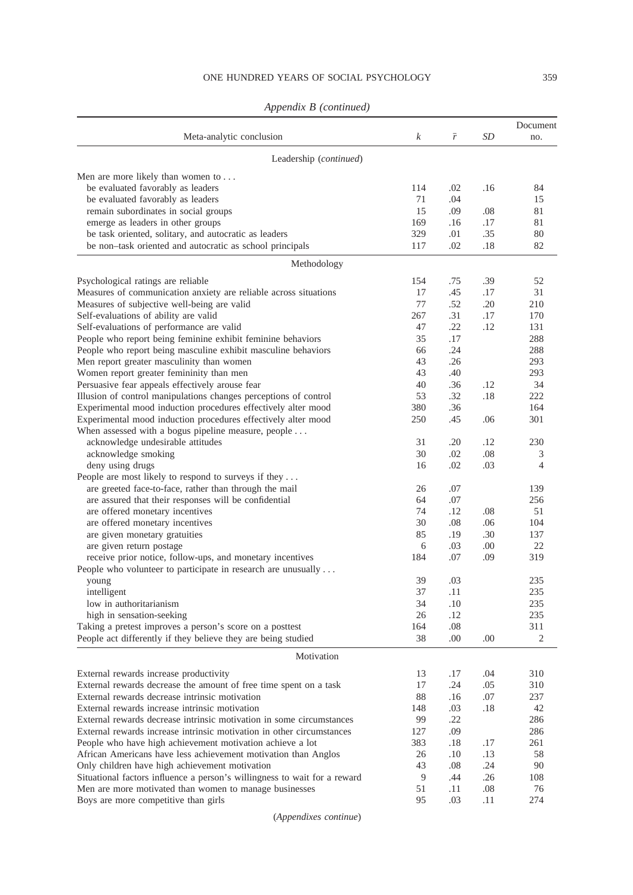## ONE HUNDRED YEARS OF SOCIAL PSYCHOLOGY 359

|                                                                                                        |           |                |            | Document |
|--------------------------------------------------------------------------------------------------------|-----------|----------------|------------|----------|
| Meta-analytic conclusion                                                                               | k         | $\overline{r}$ | SD         | no.      |
| Leadership (continued)                                                                                 |           |                |            |          |
| Men are more likely than women to                                                                      |           |                |            |          |
| be evaluated favorably as leaders                                                                      | 114       | .02            | .16        | 84       |
| be evaluated favorably as leaders                                                                      | 71        | .04            |            | 15       |
| remain subordinates in social groups                                                                   | 15<br>169 | .09<br>.16     | .08<br>.17 | 81<br>81 |
| emerge as leaders in other groups<br>be task oriented, solitary, and autocratic as leaders             | 329       | .01            | .35        | 80       |
| be non-task oriented and autocratic as school principals                                               | 117       | .02            | .18        | 82       |
| Methodology                                                                                            |           |                |            |          |
|                                                                                                        | 154       |                | .39        | 52       |
| Psychological ratings are reliable<br>Measures of communication anxiety are reliable across situations | 17        | .75<br>.45     | .17        | 31       |
| Measures of subjective well-being are valid                                                            | 77        | .52            | .20        | 210      |
| Self-evaluations of ability are valid                                                                  | 267       | .31            | .17        | 170      |
| Self-evaluations of performance are valid                                                              | 47        | .22            | .12        | 131      |
| People who report being feminine exhibit feminine behaviors                                            | 35        | .17            |            | 288      |
| People who report being masculine exhibit masculine behaviors                                          | 66        | .24            |            | 288      |
| Men report greater masculinity than women                                                              | 43        | .26            |            | 293      |
| Women report greater femininity than men                                                               | 43        | .40            |            | 293      |
| Persuasive fear appeals effectively arouse fear                                                        | 40        | .36            | .12        | 34       |
| Illusion of control manipulations changes perceptions of control                                       | 53        | .32            | .18        | 222      |
| Experimental mood induction procedures effectively alter mood                                          | 380       | .36            |            | 164      |
| Experimental mood induction procedures effectively alter mood                                          | 250       | .45            | .06        | 301      |
| When assessed with a bogus pipeline measure, people                                                    |           |                |            |          |
| acknowledge undesirable attitudes                                                                      | 31        | .20            | .12        | 230      |
| acknowledge smoking                                                                                    | 30        | .02            | .08        | 3        |
| deny using drugs                                                                                       | 16        | .02            | .03        | 4        |
| People are most likely to respond to surveys if they                                                   |           |                |            |          |
| are greeted face-to-face, rather than through the mail                                                 | 26        | .07            |            | 139      |
| are assured that their responses will be confidential                                                  | 64        | .07            |            | 256      |
| are offered monetary incentives                                                                        | 74        | .12            | .08        | 51       |
| are offered monetary incentives                                                                        | 30        | .08            | .06        | 104      |
| are given monetary gratuities                                                                          | 85        | .19            | .30        | 137      |
| are given return postage                                                                               | 6         | .03            | .00        | 22       |
| receive prior notice, follow-ups, and monetary incentives                                              | 184       | .07            | .09        | 319      |
| People who volunteer to participate in research are unusually                                          |           |                |            |          |
| young                                                                                                  | 39        | .03            |            | 235      |
| intelligent                                                                                            | 37        | .11            |            | 235      |
| low in authoritarianism                                                                                | 34        | .10            |            | 235      |
| high in sensation-seeking                                                                              | 26        | .12            |            | 235      |
| Taking a pretest improves a person's score on a posttest                                               | 164       | .08            |            | 311      |
| People act differently if they believe they are being studied                                          | 38        | .00            | .00        | 2        |
| Motivation                                                                                             |           |                |            |          |
| External rewards increase productivity                                                                 | 13        | .17            | .04        | 310      |
| External rewards decrease the amount of free time spent on a task                                      | 17        | .24            | .05        | 310      |
| External rewards decrease intrinsic motivation                                                         | 88        | .16            | .07        | 237      |
| External rewards increase intrinsic motivation                                                         | 148       | .03            | .18        | 42       |
| External rewards decrease intrinsic motivation in some circumstances                                   | 99        | .22            |            | 286      |
| External rewards increase intrinsic motivation in other circumstances                                  | 127       | .09            |            | 286      |
| People who have high achievement motivation achieve a lot                                              | 383       | .18            | .17        | 261      |
| African Americans have less achievement motivation than Anglos                                         | 26        | $.10\,$        | .13        | 58       |
| Only children have high achievement motivation                                                         | 43        | .08            | .24        | 90       |
| Situational factors influence a person's willingness to wait for a reward                              | 9         | .44            | .26        | 108      |
| Men are more motivated than women to manage businesses                                                 | 51        | .11            | .08        | 76       |
| Boys are more competitive than girls                                                                   | 95        | .03            | .11        | 274      |

*Appendix B (continued)*

(*Appendixes continue*)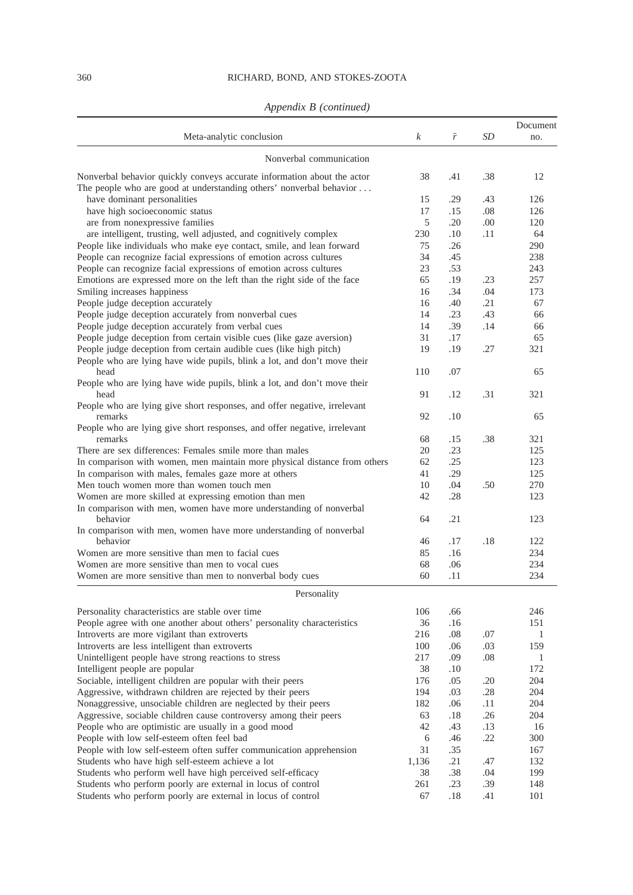## 360 RICHARD, BOND, AND STOKES-ZOOTA

| Meta-analytic conclusion                                                                                                                       | k     | $\overline{r}$ | SD  | Document<br>no. |
|------------------------------------------------------------------------------------------------------------------------------------------------|-------|----------------|-----|-----------------|
| Nonverbal communication                                                                                                                        |       |                |     |                 |
| Nonverbal behavior quickly conveys accurate information about the actor<br>The people who are good at understanding others' nonverbal behavior | 38    | .41            | .38 | 12              |
| have dominant personalities                                                                                                                    | 15    | .29            | .43 | 126             |
| have high socioeconomic status                                                                                                                 | 17    | .15            | .08 | 126             |
| are from nonexpressive families                                                                                                                | 5     | .20            | .00 | 120             |
| are intelligent, trusting, well adjusted, and cognitively complex                                                                              | 230   | .10            | .11 | 64              |
| People like individuals who make eye contact, smile, and lean forward                                                                          | 75    | .26            |     | 290             |
| People can recognize facial expressions of emotion across cultures                                                                             | 34    | .45            |     | 238             |
| People can recognize facial expressions of emotion across cultures                                                                             | 23    | .53            |     | 243             |
| Emotions are expressed more on the left than the right side of the face                                                                        | 65    | .19            | .23 | 257             |
| Smiling increases happiness                                                                                                                    | 16    | .34            | .04 | 173             |
| People judge deception accurately                                                                                                              | 16    | .40            | .21 | 67              |
| People judge deception accurately from nonverbal cues                                                                                          | 14    | .23            | .43 | 66              |
| People judge deception accurately from verbal cues                                                                                             | 14    | .39            | .14 | 66              |
| People judge deception from certain visible cues (like gaze aversion)                                                                          | 31    | .17            |     | 65              |
| People judge deception from certain audible cues (like high pitch)<br>People who are lying have wide pupils, blink a lot, and don't move their | 19    | .19            | .27 | 321             |
| head                                                                                                                                           | 110   | .07            |     | 65              |
| People who are lying have wide pupils, blink a lot, and don't move their<br>head                                                               | 91    | .12            | .31 | 321             |
| People who are lying give short responses, and offer negative, irrelevant<br>remarks                                                           | 92    | .10            |     | 65              |
| People who are lying give short responses, and offer negative, irrelevant                                                                      |       |                |     |                 |
| remarks                                                                                                                                        | 68    | .15            | .38 | 321             |
| There are sex differences: Females smile more than males                                                                                       | 20    | .23            |     | 125             |
| In comparison with women, men maintain more physical distance from others                                                                      | 62    | .25            |     | 123             |
| In comparison with males, females gaze more at others                                                                                          | 41    | .29            |     | 125             |
| Men touch women more than women touch men                                                                                                      | 10    | .04            | .50 | 270             |
| Women are more skilled at expressing emotion than men                                                                                          | 42    | .28            |     | 123             |
| In comparison with men, women have more understanding of nonverbal<br>behavior                                                                 | 64    | .21            |     | 123             |
| In comparison with men, women have more understanding of nonverbal<br>behavior                                                                 | 46    | .17            | .18 | 122             |
| Women are more sensitive than men to facial cues                                                                                               | 85    | .16            |     | 234             |
| Women are more sensitive than men to vocal cues                                                                                                | 68    | .06            |     | 234             |
| Women are more sensitive than men to nonverbal body cues                                                                                       | 60    | .11            |     | 234             |
| Personality                                                                                                                                    |       |                |     |                 |
| Personality characteristics are stable over time                                                                                               | 106   | .66            |     | 246             |
| People agree with one another about others' personality characteristics                                                                        | 36    | .16            |     | 151             |
| Introverts are more vigilant than extroverts                                                                                                   | 216   | .08            | .07 | 1               |
| Introverts are less intelligent than extroverts                                                                                                | 100   | .06            | .03 | 159             |
| Unintelligent people have strong reactions to stress                                                                                           | 217   | .09            | .08 | 1               |
| Intelligent people are popular                                                                                                                 | 38    | .10            |     | 172             |
| Sociable, intelligent children are popular with their peers                                                                                    | 176   | .05            | .20 | 204             |
| Aggressive, withdrawn children are rejected by their peers                                                                                     | 194   | .03            | .28 | 204             |
| Nonaggressive, unsociable children are neglected by their peers                                                                                | 182   | .06            | .11 | 204             |
| Aggressive, sociable children cause controversy among their peers                                                                              | 63    | .18            | .26 | 204             |
| People who are optimistic are usually in a good mood                                                                                           | 42    | .43            | .13 | 16              |
| People with low self-esteem often feel bad                                                                                                     | 6     | .46            | .22 | 300             |
| People with low self-esteem often suffer communication apprehension                                                                            | 31    | .35            |     | 167             |
| Students who have high self-esteem achieve a lot                                                                                               | 1,136 | .21            | .47 | 132             |
| Students who perform well have high perceived self-efficacy                                                                                    | 38    | .38            | .04 | 199             |
| Students who perform poorly are external in locus of control                                                                                   | 261   | .23            | .39 | 148             |
| Students who perform poorly are external in locus of control                                                                                   | 67    | .18            | .41 | 101             |
|                                                                                                                                                |       |                |     |                 |

## *Appendix B (continued)*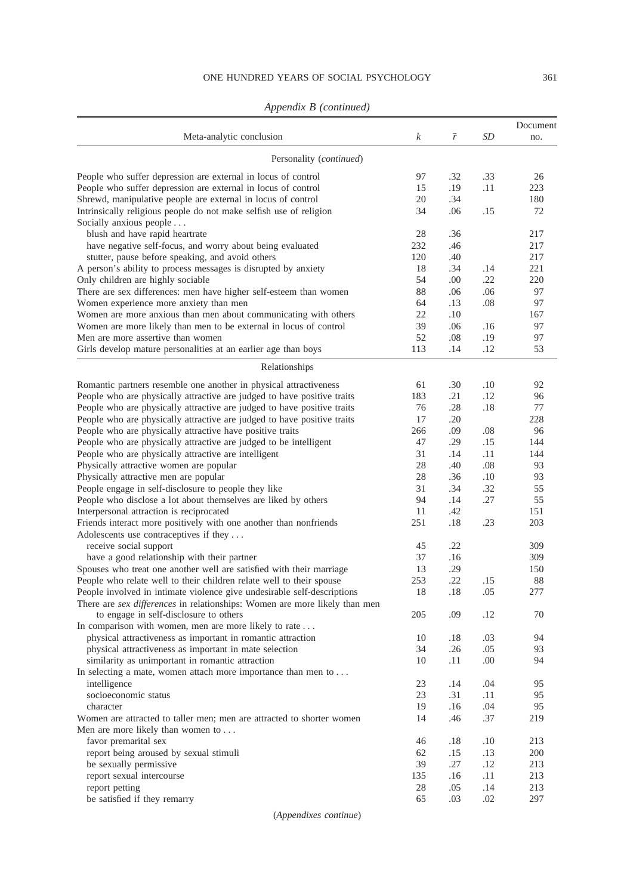### ONE HUNDRED YEARS OF SOCIAL PSYCHOLOGY 361

|                                                                                                                      |          |            |            | Document   |
|----------------------------------------------------------------------------------------------------------------------|----------|------------|------------|------------|
| Meta-analytic conclusion                                                                                             | k        | $\bar{r}$  | SD         | no.        |
| Personality (continued)                                                                                              |          |            |            |            |
| People who suffer depression are external in locus of control                                                        | 97       | .32        | .33        | 26         |
| People who suffer depression are external in locus of control                                                        | 15       | .19        | .11        | 223        |
| Shrewd, manipulative people are external in locus of control                                                         | 20       | .34        |            | 180        |
| Intrinsically religious people do not make selfish use of religion                                                   | 34       | .06        | .15        | 72         |
| Socially anxious people                                                                                              |          |            |            |            |
| blush and have rapid heartrate                                                                                       | 28       | .36        |            | 217        |
| have negative self-focus, and worry about being evaluated                                                            | 232      | .46        |            | 217        |
| stutter, pause before speaking, and avoid others                                                                     | 120      | .40        |            | 217        |
| A person's ability to process messages is disrupted by anxiety<br>Only children are highly sociable                  | 18<br>54 | .34        | .14<br>.22 | 221<br>220 |
| There are sex differences: men have higher self-esteem than women                                                    | 88       | .00<br>.06 | .06        | 97         |
| Women experience more anxiety than men                                                                               | 64       | .13        | .08        | 97         |
| Women are more anxious than men about communicating with others                                                      | 22       | .10        |            | 167        |
| Women are more likely than men to be external in locus of control                                                    | 39       | .06        | .16        | 97         |
| Men are more assertive than women                                                                                    | 52       | .08        | .19        | 97         |
| Girls develop mature personalities at an earlier age than boys                                                       | 113      | .14        | .12        | 53         |
| Relationships                                                                                                        |          |            |            |            |
| Romantic partners resemble one another in physical attractiveness                                                    | 61       | .30        | .10        | 92         |
| People who are physically attractive are judged to have positive traits                                              | 183      | .21        | .12        | 96         |
| People who are physically attractive are judged to have positive traits                                              | 76       | .28        | .18        | 77         |
| People who are physically attractive are judged to have positive traits                                              | 17       | .20        |            | 228        |
| People who are physically attractive have positive traits                                                            | 266      | .09        | .08        | 96         |
| People who are physically attractive are judged to be intelligent                                                    | 47       | .29        | .15        | 144        |
| People who are physically attractive are intelligent                                                                 | 31       | .14        | .11        | 144        |
| Physically attractive women are popular                                                                              | 28       | .40        | .08        | 93         |
| Physically attractive men are popular                                                                                | 28       | .36        | .10        | 93         |
| People engage in self-disclosure to people they like                                                                 | 31       | .34        | .32        | 55         |
| People who disclose a lot about themselves are liked by others                                                       | 94       | .14        | .27        | 55         |
| Interpersonal attraction is reciprocated                                                                             | 11       | .42        |            | 151        |
| Friends interact more positively with one another than nonfriends                                                    | 251      | .18        | .23        | 203        |
| Adolescents use contraceptives if they                                                                               |          |            |            |            |
| receive social support                                                                                               | 45       | .22        |            | 309        |
| have a good relationship with their partner                                                                          | 37       | .16        |            | 309        |
| Spouses who treat one another well are satisfied with their marriage                                                 | 13       | .29        |            | 150        |
| People who relate well to their children relate well to their spouse                                                 | 253      | .22        | .15        | 88         |
| People involved in intimate violence give undesirable self-descriptions                                              | 18       | .18        | .05        | 277        |
| There are <i>sex differences</i> in relationships: Women are more likely than men                                    |          |            |            |            |
| to engage in self-disclosure to others                                                                               | 205      | .09        | .12        | 70         |
| In comparison with women, men are more likely to rate<br>physical attractiveness as important in romantic attraction | 10       | .18        | .03        | 94         |
| physical attractiveness as important in mate selection                                                               | 34       | .26        | .05        | 93         |
| similarity as unimportant in romantic attraction                                                                     | 10       | .11        | .00        | 94         |
| In selecting a mate, women attach more importance than men to                                                        |          |            |            |            |
| intelligence                                                                                                         | 23       | .14        | .04        | 95         |
| socioeconomic status                                                                                                 | 23       | .31        | .11        | 95         |
| character                                                                                                            | 19       | .16        | .04        | 95         |
| Women are attracted to taller men; men are attracted to shorter women                                                | 14       | .46        | .37        | 219        |
| Men are more likely than women to                                                                                    |          |            |            |            |
| favor premarital sex                                                                                                 | 46       | .18        | .10        | 213        |
| report being aroused by sexual stimuli                                                                               | 62       | .15        | .13        | 200        |
| be sexually permissive                                                                                               | 39       | .27        | .12        | 213        |
| report sexual intercourse                                                                                            | 135      | .16        | .11        | 213        |
| report petting                                                                                                       | 28       | .05        | .14        | 213        |
| be satisfied if they remarry                                                                                         | 65       | .03        | .02        | 297        |

(*Appendixes continue*)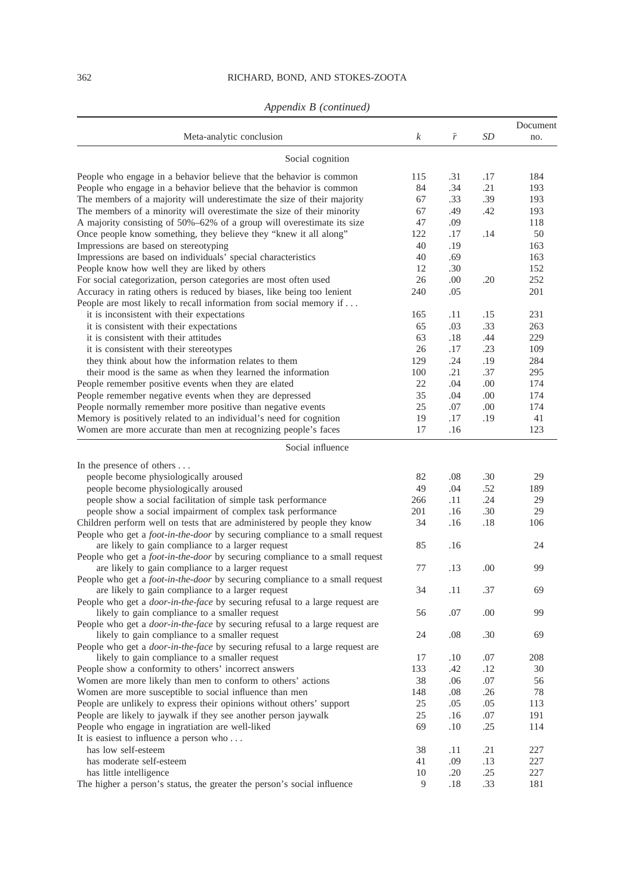## 362 RICHARD, BOND, AND STOKES-ZOOTA

| Social cognition<br>People who engage in a behavior believe that the behavior is common<br>115<br>.31<br>.17<br>184<br>.34<br>.21<br>193<br>People who engage in a behavior believe that the behavior is common<br>84<br>.39<br>The members of a majority will underestimate the size of their majority<br>67<br>.33<br>193<br>The members of a minority will overestimate the size of their minority<br>67<br>.49<br>.42<br>193<br>A majority consisting of 50%–62% of a group will overestimate its size<br>47<br>.09<br>118<br>Once people know something, they believe they "knew it all along"<br>122<br>.14<br>50<br>.17<br>.19<br>163<br>Impressions are based on stereotyping<br>40<br>Impressions are based on individuals' special characteristics<br>40<br>.69<br>163<br>.30<br>152<br>People know how well they are liked by others<br>12<br>.20<br>252<br>For social categorization, person categories are most often used<br>26<br>.00<br>201<br>Accuracy in rating others is reduced by biases, like being too lenient<br>240<br>.05<br>People are most likely to recall information from social memory if<br>231<br>it is inconsistent with their expectations<br>165<br>.11<br>.15<br>.03<br>.33<br>263<br>it is consistent with their expectations<br>65<br>229<br>it is consistent with their attitudes<br>63<br>.18<br>.44<br>it is consistent with their stereotypes<br>109<br>26<br>.17<br>.23<br>129<br>.24<br>.19<br>284<br>they think about how the information relates to them<br>100<br>.21<br>.37<br>295<br>their mood is the same as when they learned the information<br>22<br>.04<br>.00<br>174<br>People remember positive events when they are elated<br>35<br>.00<br>People remember negative events when they are depressed<br>.04<br>174<br>People normally remember more positive than negative events<br>25<br>.07<br>.00<br>174<br>Memory is positively related to an individual's need for cognition<br>19<br>.17<br>.19<br>41<br>Women are more accurate than men at recognizing people's faces<br>17<br>.16<br>123<br>Social influence<br>In the presence of others<br>.30<br>29<br>people become physiologically aroused<br>82<br>.08<br>.04<br>.52<br>people become physiologically aroused<br>49<br>189<br>.24<br>.11<br>29<br>people show a social facilitation of simple task performance<br>266<br>people show a social impairment of complex task performance<br>201<br>.16<br>.30<br>29<br>Children perform well on tests that are administered by people they know<br>.18<br>34<br>.16<br>106<br>People who get a <i>foot-in-the-door</i> by securing compliance to a small request<br>are likely to gain compliance to a larger request<br>85<br>.16<br>24<br>People who get a <i>foot-in-the-door</i> by securing compliance to a small request<br>77<br>.13<br>.00<br>99<br>are likely to gain compliance to a larger request<br>People who get a <i>foot-in-the-door</i> by securing compliance to a small request<br>34<br>.37<br>are likely to gain compliance to a larger request<br>.11<br>69<br>People who get a <i>door-in-the-face</i> by securing refusal to a large request are<br>99<br>likely to gain compliance to a smaller request<br>56<br>.07<br>.00<br>People who get a <i>door-in-the-face</i> by securing refusal to a large request are<br>24<br>.08<br>.30<br>likely to gain compliance to a smaller request<br>69<br>People who get a <i>door-in-the-face</i> by securing refusal to a large request are<br>208<br>likely to gain compliance to a smaller request<br>17<br>10<br>.07<br>30<br>People show a conformity to others' incorrect answers<br>133<br>.42<br>.12<br>Women are more likely than men to conform to others' actions<br>38<br>.07<br>.06<br>56<br>Women are more susceptible to social influence than men<br>.26<br>78<br>148<br>.08<br>25<br>People are unlikely to express their opinions without others' support<br>.05<br>.05<br>113<br>People are likely to jaywalk if they see another person jaywalk<br>25<br>.07<br>191<br>.16<br>.25<br>114<br>People who engage in ingratiation are well-liked<br>69<br>.10<br>It is easiest to influence a person who | Meta-analytic conclusion | k  | $\bar{r}$ | SD  | Document<br>no. |
|-------------------------------------------------------------------------------------------------------------------------------------------------------------------------------------------------------------------------------------------------------------------------------------------------------------------------------------------------------------------------------------------------------------------------------------------------------------------------------------------------------------------------------------------------------------------------------------------------------------------------------------------------------------------------------------------------------------------------------------------------------------------------------------------------------------------------------------------------------------------------------------------------------------------------------------------------------------------------------------------------------------------------------------------------------------------------------------------------------------------------------------------------------------------------------------------------------------------------------------------------------------------------------------------------------------------------------------------------------------------------------------------------------------------------------------------------------------------------------------------------------------------------------------------------------------------------------------------------------------------------------------------------------------------------------------------------------------------------------------------------------------------------------------------------------------------------------------------------------------------------------------------------------------------------------------------------------------------------------------------------------------------------------------------------------------------------------------------------------------------------------------------------------------------------------------------------------------------------------------------------------------------------------------------------------------------------------------------------------------------------------------------------------------------------------------------------------------------------------------------------------------------------------------------------------------------------------------------------------------------------------------------------------------------------------------------------------------------------------------------------------------------------------------------------------------------------------------------------------------------------------------------------------------------------------------------------------------------------------------------------------------------------------------------------------------------------------------------------------------------------------------------------------------------------------------------------------------------------------------------------------------------------------------------------------------------------------------------------------------------------------------------------------------------------------------------------------------------------------------------------------------------------------------------------------------------------------------------------------------------------------------------------------------------------------------------------------------------------------------------------------------------------------------------------------------------------------------------------------------------------------------------------------------------------------------------------------------------------------------------------------------------------------------------------------------------------------------------------------------------------------------------------------------------|--------------------------|----|-----------|-----|-----------------|
|                                                                                                                                                                                                                                                                                                                                                                                                                                                                                                                                                                                                                                                                                                                                                                                                                                                                                                                                                                                                                                                                                                                                                                                                                                                                                                                                                                                                                                                                                                                                                                                                                                                                                                                                                                                                                                                                                                                                                                                                                                                                                                                                                                                                                                                                                                                                                                                                                                                                                                                                                                                                                                                                                                                                                                                                                                                                                                                                                                                                                                                                                                                                                                                                                                                                                                                                                                                                                                                                                                                                                                                                                                                                                                                                                                                                                                                                                                                                                                                                                                                                                                                                                                   |                          |    |           |     |                 |
|                                                                                                                                                                                                                                                                                                                                                                                                                                                                                                                                                                                                                                                                                                                                                                                                                                                                                                                                                                                                                                                                                                                                                                                                                                                                                                                                                                                                                                                                                                                                                                                                                                                                                                                                                                                                                                                                                                                                                                                                                                                                                                                                                                                                                                                                                                                                                                                                                                                                                                                                                                                                                                                                                                                                                                                                                                                                                                                                                                                                                                                                                                                                                                                                                                                                                                                                                                                                                                                                                                                                                                                                                                                                                                                                                                                                                                                                                                                                                                                                                                                                                                                                                                   |                          |    |           |     |                 |
|                                                                                                                                                                                                                                                                                                                                                                                                                                                                                                                                                                                                                                                                                                                                                                                                                                                                                                                                                                                                                                                                                                                                                                                                                                                                                                                                                                                                                                                                                                                                                                                                                                                                                                                                                                                                                                                                                                                                                                                                                                                                                                                                                                                                                                                                                                                                                                                                                                                                                                                                                                                                                                                                                                                                                                                                                                                                                                                                                                                                                                                                                                                                                                                                                                                                                                                                                                                                                                                                                                                                                                                                                                                                                                                                                                                                                                                                                                                                                                                                                                                                                                                                                                   |                          |    |           |     |                 |
|                                                                                                                                                                                                                                                                                                                                                                                                                                                                                                                                                                                                                                                                                                                                                                                                                                                                                                                                                                                                                                                                                                                                                                                                                                                                                                                                                                                                                                                                                                                                                                                                                                                                                                                                                                                                                                                                                                                                                                                                                                                                                                                                                                                                                                                                                                                                                                                                                                                                                                                                                                                                                                                                                                                                                                                                                                                                                                                                                                                                                                                                                                                                                                                                                                                                                                                                                                                                                                                                                                                                                                                                                                                                                                                                                                                                                                                                                                                                                                                                                                                                                                                                                                   |                          |    |           |     |                 |
|                                                                                                                                                                                                                                                                                                                                                                                                                                                                                                                                                                                                                                                                                                                                                                                                                                                                                                                                                                                                                                                                                                                                                                                                                                                                                                                                                                                                                                                                                                                                                                                                                                                                                                                                                                                                                                                                                                                                                                                                                                                                                                                                                                                                                                                                                                                                                                                                                                                                                                                                                                                                                                                                                                                                                                                                                                                                                                                                                                                                                                                                                                                                                                                                                                                                                                                                                                                                                                                                                                                                                                                                                                                                                                                                                                                                                                                                                                                                                                                                                                                                                                                                                                   |                          |    |           |     |                 |
|                                                                                                                                                                                                                                                                                                                                                                                                                                                                                                                                                                                                                                                                                                                                                                                                                                                                                                                                                                                                                                                                                                                                                                                                                                                                                                                                                                                                                                                                                                                                                                                                                                                                                                                                                                                                                                                                                                                                                                                                                                                                                                                                                                                                                                                                                                                                                                                                                                                                                                                                                                                                                                                                                                                                                                                                                                                                                                                                                                                                                                                                                                                                                                                                                                                                                                                                                                                                                                                                                                                                                                                                                                                                                                                                                                                                                                                                                                                                                                                                                                                                                                                                                                   |                          |    |           |     |                 |
|                                                                                                                                                                                                                                                                                                                                                                                                                                                                                                                                                                                                                                                                                                                                                                                                                                                                                                                                                                                                                                                                                                                                                                                                                                                                                                                                                                                                                                                                                                                                                                                                                                                                                                                                                                                                                                                                                                                                                                                                                                                                                                                                                                                                                                                                                                                                                                                                                                                                                                                                                                                                                                                                                                                                                                                                                                                                                                                                                                                                                                                                                                                                                                                                                                                                                                                                                                                                                                                                                                                                                                                                                                                                                                                                                                                                                                                                                                                                                                                                                                                                                                                                                                   |                          |    |           |     |                 |
|                                                                                                                                                                                                                                                                                                                                                                                                                                                                                                                                                                                                                                                                                                                                                                                                                                                                                                                                                                                                                                                                                                                                                                                                                                                                                                                                                                                                                                                                                                                                                                                                                                                                                                                                                                                                                                                                                                                                                                                                                                                                                                                                                                                                                                                                                                                                                                                                                                                                                                                                                                                                                                                                                                                                                                                                                                                                                                                                                                                                                                                                                                                                                                                                                                                                                                                                                                                                                                                                                                                                                                                                                                                                                                                                                                                                                                                                                                                                                                                                                                                                                                                                                                   |                          |    |           |     |                 |
|                                                                                                                                                                                                                                                                                                                                                                                                                                                                                                                                                                                                                                                                                                                                                                                                                                                                                                                                                                                                                                                                                                                                                                                                                                                                                                                                                                                                                                                                                                                                                                                                                                                                                                                                                                                                                                                                                                                                                                                                                                                                                                                                                                                                                                                                                                                                                                                                                                                                                                                                                                                                                                                                                                                                                                                                                                                                                                                                                                                                                                                                                                                                                                                                                                                                                                                                                                                                                                                                                                                                                                                                                                                                                                                                                                                                                                                                                                                                                                                                                                                                                                                                                                   |                          |    |           |     |                 |
|                                                                                                                                                                                                                                                                                                                                                                                                                                                                                                                                                                                                                                                                                                                                                                                                                                                                                                                                                                                                                                                                                                                                                                                                                                                                                                                                                                                                                                                                                                                                                                                                                                                                                                                                                                                                                                                                                                                                                                                                                                                                                                                                                                                                                                                                                                                                                                                                                                                                                                                                                                                                                                                                                                                                                                                                                                                                                                                                                                                                                                                                                                                                                                                                                                                                                                                                                                                                                                                                                                                                                                                                                                                                                                                                                                                                                                                                                                                                                                                                                                                                                                                                                                   |                          |    |           |     |                 |
|                                                                                                                                                                                                                                                                                                                                                                                                                                                                                                                                                                                                                                                                                                                                                                                                                                                                                                                                                                                                                                                                                                                                                                                                                                                                                                                                                                                                                                                                                                                                                                                                                                                                                                                                                                                                                                                                                                                                                                                                                                                                                                                                                                                                                                                                                                                                                                                                                                                                                                                                                                                                                                                                                                                                                                                                                                                                                                                                                                                                                                                                                                                                                                                                                                                                                                                                                                                                                                                                                                                                                                                                                                                                                                                                                                                                                                                                                                                                                                                                                                                                                                                                                                   |                          |    |           |     |                 |
|                                                                                                                                                                                                                                                                                                                                                                                                                                                                                                                                                                                                                                                                                                                                                                                                                                                                                                                                                                                                                                                                                                                                                                                                                                                                                                                                                                                                                                                                                                                                                                                                                                                                                                                                                                                                                                                                                                                                                                                                                                                                                                                                                                                                                                                                                                                                                                                                                                                                                                                                                                                                                                                                                                                                                                                                                                                                                                                                                                                                                                                                                                                                                                                                                                                                                                                                                                                                                                                                                                                                                                                                                                                                                                                                                                                                                                                                                                                                                                                                                                                                                                                                                                   |                          |    |           |     |                 |
|                                                                                                                                                                                                                                                                                                                                                                                                                                                                                                                                                                                                                                                                                                                                                                                                                                                                                                                                                                                                                                                                                                                                                                                                                                                                                                                                                                                                                                                                                                                                                                                                                                                                                                                                                                                                                                                                                                                                                                                                                                                                                                                                                                                                                                                                                                                                                                                                                                                                                                                                                                                                                                                                                                                                                                                                                                                                                                                                                                                                                                                                                                                                                                                                                                                                                                                                                                                                                                                                                                                                                                                                                                                                                                                                                                                                                                                                                                                                                                                                                                                                                                                                                                   |                          |    |           |     |                 |
|                                                                                                                                                                                                                                                                                                                                                                                                                                                                                                                                                                                                                                                                                                                                                                                                                                                                                                                                                                                                                                                                                                                                                                                                                                                                                                                                                                                                                                                                                                                                                                                                                                                                                                                                                                                                                                                                                                                                                                                                                                                                                                                                                                                                                                                                                                                                                                                                                                                                                                                                                                                                                                                                                                                                                                                                                                                                                                                                                                                                                                                                                                                                                                                                                                                                                                                                                                                                                                                                                                                                                                                                                                                                                                                                                                                                                                                                                                                                                                                                                                                                                                                                                                   |                          |    |           |     |                 |
|                                                                                                                                                                                                                                                                                                                                                                                                                                                                                                                                                                                                                                                                                                                                                                                                                                                                                                                                                                                                                                                                                                                                                                                                                                                                                                                                                                                                                                                                                                                                                                                                                                                                                                                                                                                                                                                                                                                                                                                                                                                                                                                                                                                                                                                                                                                                                                                                                                                                                                                                                                                                                                                                                                                                                                                                                                                                                                                                                                                                                                                                                                                                                                                                                                                                                                                                                                                                                                                                                                                                                                                                                                                                                                                                                                                                                                                                                                                                                                                                                                                                                                                                                                   |                          |    |           |     |                 |
|                                                                                                                                                                                                                                                                                                                                                                                                                                                                                                                                                                                                                                                                                                                                                                                                                                                                                                                                                                                                                                                                                                                                                                                                                                                                                                                                                                                                                                                                                                                                                                                                                                                                                                                                                                                                                                                                                                                                                                                                                                                                                                                                                                                                                                                                                                                                                                                                                                                                                                                                                                                                                                                                                                                                                                                                                                                                                                                                                                                                                                                                                                                                                                                                                                                                                                                                                                                                                                                                                                                                                                                                                                                                                                                                                                                                                                                                                                                                                                                                                                                                                                                                                                   |                          |    |           |     |                 |
|                                                                                                                                                                                                                                                                                                                                                                                                                                                                                                                                                                                                                                                                                                                                                                                                                                                                                                                                                                                                                                                                                                                                                                                                                                                                                                                                                                                                                                                                                                                                                                                                                                                                                                                                                                                                                                                                                                                                                                                                                                                                                                                                                                                                                                                                                                                                                                                                                                                                                                                                                                                                                                                                                                                                                                                                                                                                                                                                                                                                                                                                                                                                                                                                                                                                                                                                                                                                                                                                                                                                                                                                                                                                                                                                                                                                                                                                                                                                                                                                                                                                                                                                                                   |                          |    |           |     |                 |
|                                                                                                                                                                                                                                                                                                                                                                                                                                                                                                                                                                                                                                                                                                                                                                                                                                                                                                                                                                                                                                                                                                                                                                                                                                                                                                                                                                                                                                                                                                                                                                                                                                                                                                                                                                                                                                                                                                                                                                                                                                                                                                                                                                                                                                                                                                                                                                                                                                                                                                                                                                                                                                                                                                                                                                                                                                                                                                                                                                                                                                                                                                                                                                                                                                                                                                                                                                                                                                                                                                                                                                                                                                                                                                                                                                                                                                                                                                                                                                                                                                                                                                                                                                   |                          |    |           |     |                 |
|                                                                                                                                                                                                                                                                                                                                                                                                                                                                                                                                                                                                                                                                                                                                                                                                                                                                                                                                                                                                                                                                                                                                                                                                                                                                                                                                                                                                                                                                                                                                                                                                                                                                                                                                                                                                                                                                                                                                                                                                                                                                                                                                                                                                                                                                                                                                                                                                                                                                                                                                                                                                                                                                                                                                                                                                                                                                                                                                                                                                                                                                                                                                                                                                                                                                                                                                                                                                                                                                                                                                                                                                                                                                                                                                                                                                                                                                                                                                                                                                                                                                                                                                                                   |                          |    |           |     |                 |
|                                                                                                                                                                                                                                                                                                                                                                                                                                                                                                                                                                                                                                                                                                                                                                                                                                                                                                                                                                                                                                                                                                                                                                                                                                                                                                                                                                                                                                                                                                                                                                                                                                                                                                                                                                                                                                                                                                                                                                                                                                                                                                                                                                                                                                                                                                                                                                                                                                                                                                                                                                                                                                                                                                                                                                                                                                                                                                                                                                                                                                                                                                                                                                                                                                                                                                                                                                                                                                                                                                                                                                                                                                                                                                                                                                                                                                                                                                                                                                                                                                                                                                                                                                   |                          |    |           |     |                 |
|                                                                                                                                                                                                                                                                                                                                                                                                                                                                                                                                                                                                                                                                                                                                                                                                                                                                                                                                                                                                                                                                                                                                                                                                                                                                                                                                                                                                                                                                                                                                                                                                                                                                                                                                                                                                                                                                                                                                                                                                                                                                                                                                                                                                                                                                                                                                                                                                                                                                                                                                                                                                                                                                                                                                                                                                                                                                                                                                                                                                                                                                                                                                                                                                                                                                                                                                                                                                                                                                                                                                                                                                                                                                                                                                                                                                                                                                                                                                                                                                                                                                                                                                                                   |                          |    |           |     |                 |
|                                                                                                                                                                                                                                                                                                                                                                                                                                                                                                                                                                                                                                                                                                                                                                                                                                                                                                                                                                                                                                                                                                                                                                                                                                                                                                                                                                                                                                                                                                                                                                                                                                                                                                                                                                                                                                                                                                                                                                                                                                                                                                                                                                                                                                                                                                                                                                                                                                                                                                                                                                                                                                                                                                                                                                                                                                                                                                                                                                                                                                                                                                                                                                                                                                                                                                                                                                                                                                                                                                                                                                                                                                                                                                                                                                                                                                                                                                                                                                                                                                                                                                                                                                   |                          |    |           |     |                 |
|                                                                                                                                                                                                                                                                                                                                                                                                                                                                                                                                                                                                                                                                                                                                                                                                                                                                                                                                                                                                                                                                                                                                                                                                                                                                                                                                                                                                                                                                                                                                                                                                                                                                                                                                                                                                                                                                                                                                                                                                                                                                                                                                                                                                                                                                                                                                                                                                                                                                                                                                                                                                                                                                                                                                                                                                                                                                                                                                                                                                                                                                                                                                                                                                                                                                                                                                                                                                                                                                                                                                                                                                                                                                                                                                                                                                                                                                                                                                                                                                                                                                                                                                                                   |                          |    |           |     |                 |
|                                                                                                                                                                                                                                                                                                                                                                                                                                                                                                                                                                                                                                                                                                                                                                                                                                                                                                                                                                                                                                                                                                                                                                                                                                                                                                                                                                                                                                                                                                                                                                                                                                                                                                                                                                                                                                                                                                                                                                                                                                                                                                                                                                                                                                                                                                                                                                                                                                                                                                                                                                                                                                                                                                                                                                                                                                                                                                                                                                                                                                                                                                                                                                                                                                                                                                                                                                                                                                                                                                                                                                                                                                                                                                                                                                                                                                                                                                                                                                                                                                                                                                                                                                   |                          |    |           |     |                 |
|                                                                                                                                                                                                                                                                                                                                                                                                                                                                                                                                                                                                                                                                                                                                                                                                                                                                                                                                                                                                                                                                                                                                                                                                                                                                                                                                                                                                                                                                                                                                                                                                                                                                                                                                                                                                                                                                                                                                                                                                                                                                                                                                                                                                                                                                                                                                                                                                                                                                                                                                                                                                                                                                                                                                                                                                                                                                                                                                                                                                                                                                                                                                                                                                                                                                                                                                                                                                                                                                                                                                                                                                                                                                                                                                                                                                                                                                                                                                                                                                                                                                                                                                                                   |                          |    |           |     |                 |
|                                                                                                                                                                                                                                                                                                                                                                                                                                                                                                                                                                                                                                                                                                                                                                                                                                                                                                                                                                                                                                                                                                                                                                                                                                                                                                                                                                                                                                                                                                                                                                                                                                                                                                                                                                                                                                                                                                                                                                                                                                                                                                                                                                                                                                                                                                                                                                                                                                                                                                                                                                                                                                                                                                                                                                                                                                                                                                                                                                                                                                                                                                                                                                                                                                                                                                                                                                                                                                                                                                                                                                                                                                                                                                                                                                                                                                                                                                                                                                                                                                                                                                                                                                   |                          |    |           |     |                 |
|                                                                                                                                                                                                                                                                                                                                                                                                                                                                                                                                                                                                                                                                                                                                                                                                                                                                                                                                                                                                                                                                                                                                                                                                                                                                                                                                                                                                                                                                                                                                                                                                                                                                                                                                                                                                                                                                                                                                                                                                                                                                                                                                                                                                                                                                                                                                                                                                                                                                                                                                                                                                                                                                                                                                                                                                                                                                                                                                                                                                                                                                                                                                                                                                                                                                                                                                                                                                                                                                                                                                                                                                                                                                                                                                                                                                                                                                                                                                                                                                                                                                                                                                                                   |                          |    |           |     |                 |
|                                                                                                                                                                                                                                                                                                                                                                                                                                                                                                                                                                                                                                                                                                                                                                                                                                                                                                                                                                                                                                                                                                                                                                                                                                                                                                                                                                                                                                                                                                                                                                                                                                                                                                                                                                                                                                                                                                                                                                                                                                                                                                                                                                                                                                                                                                                                                                                                                                                                                                                                                                                                                                                                                                                                                                                                                                                                                                                                                                                                                                                                                                                                                                                                                                                                                                                                                                                                                                                                                                                                                                                                                                                                                                                                                                                                                                                                                                                                                                                                                                                                                                                                                                   |                          |    |           |     |                 |
|                                                                                                                                                                                                                                                                                                                                                                                                                                                                                                                                                                                                                                                                                                                                                                                                                                                                                                                                                                                                                                                                                                                                                                                                                                                                                                                                                                                                                                                                                                                                                                                                                                                                                                                                                                                                                                                                                                                                                                                                                                                                                                                                                                                                                                                                                                                                                                                                                                                                                                                                                                                                                                                                                                                                                                                                                                                                                                                                                                                                                                                                                                                                                                                                                                                                                                                                                                                                                                                                                                                                                                                                                                                                                                                                                                                                                                                                                                                                                                                                                                                                                                                                                                   |                          |    |           |     |                 |
|                                                                                                                                                                                                                                                                                                                                                                                                                                                                                                                                                                                                                                                                                                                                                                                                                                                                                                                                                                                                                                                                                                                                                                                                                                                                                                                                                                                                                                                                                                                                                                                                                                                                                                                                                                                                                                                                                                                                                                                                                                                                                                                                                                                                                                                                                                                                                                                                                                                                                                                                                                                                                                                                                                                                                                                                                                                                                                                                                                                                                                                                                                                                                                                                                                                                                                                                                                                                                                                                                                                                                                                                                                                                                                                                                                                                                                                                                                                                                                                                                                                                                                                                                                   |                          |    |           |     |                 |
|                                                                                                                                                                                                                                                                                                                                                                                                                                                                                                                                                                                                                                                                                                                                                                                                                                                                                                                                                                                                                                                                                                                                                                                                                                                                                                                                                                                                                                                                                                                                                                                                                                                                                                                                                                                                                                                                                                                                                                                                                                                                                                                                                                                                                                                                                                                                                                                                                                                                                                                                                                                                                                                                                                                                                                                                                                                                                                                                                                                                                                                                                                                                                                                                                                                                                                                                                                                                                                                                                                                                                                                                                                                                                                                                                                                                                                                                                                                                                                                                                                                                                                                                                                   |                          |    |           |     |                 |
|                                                                                                                                                                                                                                                                                                                                                                                                                                                                                                                                                                                                                                                                                                                                                                                                                                                                                                                                                                                                                                                                                                                                                                                                                                                                                                                                                                                                                                                                                                                                                                                                                                                                                                                                                                                                                                                                                                                                                                                                                                                                                                                                                                                                                                                                                                                                                                                                                                                                                                                                                                                                                                                                                                                                                                                                                                                                                                                                                                                                                                                                                                                                                                                                                                                                                                                                                                                                                                                                                                                                                                                                                                                                                                                                                                                                                                                                                                                                                                                                                                                                                                                                                                   |                          |    |           |     |                 |
|                                                                                                                                                                                                                                                                                                                                                                                                                                                                                                                                                                                                                                                                                                                                                                                                                                                                                                                                                                                                                                                                                                                                                                                                                                                                                                                                                                                                                                                                                                                                                                                                                                                                                                                                                                                                                                                                                                                                                                                                                                                                                                                                                                                                                                                                                                                                                                                                                                                                                                                                                                                                                                                                                                                                                                                                                                                                                                                                                                                                                                                                                                                                                                                                                                                                                                                                                                                                                                                                                                                                                                                                                                                                                                                                                                                                                                                                                                                                                                                                                                                                                                                                                                   |                          |    |           |     |                 |
|                                                                                                                                                                                                                                                                                                                                                                                                                                                                                                                                                                                                                                                                                                                                                                                                                                                                                                                                                                                                                                                                                                                                                                                                                                                                                                                                                                                                                                                                                                                                                                                                                                                                                                                                                                                                                                                                                                                                                                                                                                                                                                                                                                                                                                                                                                                                                                                                                                                                                                                                                                                                                                                                                                                                                                                                                                                                                                                                                                                                                                                                                                                                                                                                                                                                                                                                                                                                                                                                                                                                                                                                                                                                                                                                                                                                                                                                                                                                                                                                                                                                                                                                                                   |                          |    |           |     |                 |
|                                                                                                                                                                                                                                                                                                                                                                                                                                                                                                                                                                                                                                                                                                                                                                                                                                                                                                                                                                                                                                                                                                                                                                                                                                                                                                                                                                                                                                                                                                                                                                                                                                                                                                                                                                                                                                                                                                                                                                                                                                                                                                                                                                                                                                                                                                                                                                                                                                                                                                                                                                                                                                                                                                                                                                                                                                                                                                                                                                                                                                                                                                                                                                                                                                                                                                                                                                                                                                                                                                                                                                                                                                                                                                                                                                                                                                                                                                                                                                                                                                                                                                                                                                   |                          |    |           |     |                 |
|                                                                                                                                                                                                                                                                                                                                                                                                                                                                                                                                                                                                                                                                                                                                                                                                                                                                                                                                                                                                                                                                                                                                                                                                                                                                                                                                                                                                                                                                                                                                                                                                                                                                                                                                                                                                                                                                                                                                                                                                                                                                                                                                                                                                                                                                                                                                                                                                                                                                                                                                                                                                                                                                                                                                                                                                                                                                                                                                                                                                                                                                                                                                                                                                                                                                                                                                                                                                                                                                                                                                                                                                                                                                                                                                                                                                                                                                                                                                                                                                                                                                                                                                                                   |                          |    |           |     |                 |
|                                                                                                                                                                                                                                                                                                                                                                                                                                                                                                                                                                                                                                                                                                                                                                                                                                                                                                                                                                                                                                                                                                                                                                                                                                                                                                                                                                                                                                                                                                                                                                                                                                                                                                                                                                                                                                                                                                                                                                                                                                                                                                                                                                                                                                                                                                                                                                                                                                                                                                                                                                                                                                                                                                                                                                                                                                                                                                                                                                                                                                                                                                                                                                                                                                                                                                                                                                                                                                                                                                                                                                                                                                                                                                                                                                                                                                                                                                                                                                                                                                                                                                                                                                   |                          |    |           |     |                 |
|                                                                                                                                                                                                                                                                                                                                                                                                                                                                                                                                                                                                                                                                                                                                                                                                                                                                                                                                                                                                                                                                                                                                                                                                                                                                                                                                                                                                                                                                                                                                                                                                                                                                                                                                                                                                                                                                                                                                                                                                                                                                                                                                                                                                                                                                                                                                                                                                                                                                                                                                                                                                                                                                                                                                                                                                                                                                                                                                                                                                                                                                                                                                                                                                                                                                                                                                                                                                                                                                                                                                                                                                                                                                                                                                                                                                                                                                                                                                                                                                                                                                                                                                                                   |                          |    |           |     |                 |
|                                                                                                                                                                                                                                                                                                                                                                                                                                                                                                                                                                                                                                                                                                                                                                                                                                                                                                                                                                                                                                                                                                                                                                                                                                                                                                                                                                                                                                                                                                                                                                                                                                                                                                                                                                                                                                                                                                                                                                                                                                                                                                                                                                                                                                                                                                                                                                                                                                                                                                                                                                                                                                                                                                                                                                                                                                                                                                                                                                                                                                                                                                                                                                                                                                                                                                                                                                                                                                                                                                                                                                                                                                                                                                                                                                                                                                                                                                                                                                                                                                                                                                                                                                   |                          |    |           |     |                 |
|                                                                                                                                                                                                                                                                                                                                                                                                                                                                                                                                                                                                                                                                                                                                                                                                                                                                                                                                                                                                                                                                                                                                                                                                                                                                                                                                                                                                                                                                                                                                                                                                                                                                                                                                                                                                                                                                                                                                                                                                                                                                                                                                                                                                                                                                                                                                                                                                                                                                                                                                                                                                                                                                                                                                                                                                                                                                                                                                                                                                                                                                                                                                                                                                                                                                                                                                                                                                                                                                                                                                                                                                                                                                                                                                                                                                                                                                                                                                                                                                                                                                                                                                                                   |                          |    |           |     |                 |
|                                                                                                                                                                                                                                                                                                                                                                                                                                                                                                                                                                                                                                                                                                                                                                                                                                                                                                                                                                                                                                                                                                                                                                                                                                                                                                                                                                                                                                                                                                                                                                                                                                                                                                                                                                                                                                                                                                                                                                                                                                                                                                                                                                                                                                                                                                                                                                                                                                                                                                                                                                                                                                                                                                                                                                                                                                                                                                                                                                                                                                                                                                                                                                                                                                                                                                                                                                                                                                                                                                                                                                                                                                                                                                                                                                                                                                                                                                                                                                                                                                                                                                                                                                   |                          |    |           |     |                 |
|                                                                                                                                                                                                                                                                                                                                                                                                                                                                                                                                                                                                                                                                                                                                                                                                                                                                                                                                                                                                                                                                                                                                                                                                                                                                                                                                                                                                                                                                                                                                                                                                                                                                                                                                                                                                                                                                                                                                                                                                                                                                                                                                                                                                                                                                                                                                                                                                                                                                                                                                                                                                                                                                                                                                                                                                                                                                                                                                                                                                                                                                                                                                                                                                                                                                                                                                                                                                                                                                                                                                                                                                                                                                                                                                                                                                                                                                                                                                                                                                                                                                                                                                                                   |                          |    |           |     |                 |
|                                                                                                                                                                                                                                                                                                                                                                                                                                                                                                                                                                                                                                                                                                                                                                                                                                                                                                                                                                                                                                                                                                                                                                                                                                                                                                                                                                                                                                                                                                                                                                                                                                                                                                                                                                                                                                                                                                                                                                                                                                                                                                                                                                                                                                                                                                                                                                                                                                                                                                                                                                                                                                                                                                                                                                                                                                                                                                                                                                                                                                                                                                                                                                                                                                                                                                                                                                                                                                                                                                                                                                                                                                                                                                                                                                                                                                                                                                                                                                                                                                                                                                                                                                   |                          |    |           |     |                 |
|                                                                                                                                                                                                                                                                                                                                                                                                                                                                                                                                                                                                                                                                                                                                                                                                                                                                                                                                                                                                                                                                                                                                                                                                                                                                                                                                                                                                                                                                                                                                                                                                                                                                                                                                                                                                                                                                                                                                                                                                                                                                                                                                                                                                                                                                                                                                                                                                                                                                                                                                                                                                                                                                                                                                                                                                                                                                                                                                                                                                                                                                                                                                                                                                                                                                                                                                                                                                                                                                                                                                                                                                                                                                                                                                                                                                                                                                                                                                                                                                                                                                                                                                                                   |                          |    |           |     |                 |
|                                                                                                                                                                                                                                                                                                                                                                                                                                                                                                                                                                                                                                                                                                                                                                                                                                                                                                                                                                                                                                                                                                                                                                                                                                                                                                                                                                                                                                                                                                                                                                                                                                                                                                                                                                                                                                                                                                                                                                                                                                                                                                                                                                                                                                                                                                                                                                                                                                                                                                                                                                                                                                                                                                                                                                                                                                                                                                                                                                                                                                                                                                                                                                                                                                                                                                                                                                                                                                                                                                                                                                                                                                                                                                                                                                                                                                                                                                                                                                                                                                                                                                                                                                   |                          |    |           |     |                 |
|                                                                                                                                                                                                                                                                                                                                                                                                                                                                                                                                                                                                                                                                                                                                                                                                                                                                                                                                                                                                                                                                                                                                                                                                                                                                                                                                                                                                                                                                                                                                                                                                                                                                                                                                                                                                                                                                                                                                                                                                                                                                                                                                                                                                                                                                                                                                                                                                                                                                                                                                                                                                                                                                                                                                                                                                                                                                                                                                                                                                                                                                                                                                                                                                                                                                                                                                                                                                                                                                                                                                                                                                                                                                                                                                                                                                                                                                                                                                                                                                                                                                                                                                                                   |                          |    |           |     |                 |
|                                                                                                                                                                                                                                                                                                                                                                                                                                                                                                                                                                                                                                                                                                                                                                                                                                                                                                                                                                                                                                                                                                                                                                                                                                                                                                                                                                                                                                                                                                                                                                                                                                                                                                                                                                                                                                                                                                                                                                                                                                                                                                                                                                                                                                                                                                                                                                                                                                                                                                                                                                                                                                                                                                                                                                                                                                                                                                                                                                                                                                                                                                                                                                                                                                                                                                                                                                                                                                                                                                                                                                                                                                                                                                                                                                                                                                                                                                                                                                                                                                                                                                                                                                   |                          |    |           |     |                 |
|                                                                                                                                                                                                                                                                                                                                                                                                                                                                                                                                                                                                                                                                                                                                                                                                                                                                                                                                                                                                                                                                                                                                                                                                                                                                                                                                                                                                                                                                                                                                                                                                                                                                                                                                                                                                                                                                                                                                                                                                                                                                                                                                                                                                                                                                                                                                                                                                                                                                                                                                                                                                                                                                                                                                                                                                                                                                                                                                                                                                                                                                                                                                                                                                                                                                                                                                                                                                                                                                                                                                                                                                                                                                                                                                                                                                                                                                                                                                                                                                                                                                                                                                                                   |                          |    |           |     |                 |
|                                                                                                                                                                                                                                                                                                                                                                                                                                                                                                                                                                                                                                                                                                                                                                                                                                                                                                                                                                                                                                                                                                                                                                                                                                                                                                                                                                                                                                                                                                                                                                                                                                                                                                                                                                                                                                                                                                                                                                                                                                                                                                                                                                                                                                                                                                                                                                                                                                                                                                                                                                                                                                                                                                                                                                                                                                                                                                                                                                                                                                                                                                                                                                                                                                                                                                                                                                                                                                                                                                                                                                                                                                                                                                                                                                                                                                                                                                                                                                                                                                                                                                                                                                   |                          |    |           |     |                 |
|                                                                                                                                                                                                                                                                                                                                                                                                                                                                                                                                                                                                                                                                                                                                                                                                                                                                                                                                                                                                                                                                                                                                                                                                                                                                                                                                                                                                                                                                                                                                                                                                                                                                                                                                                                                                                                                                                                                                                                                                                                                                                                                                                                                                                                                                                                                                                                                                                                                                                                                                                                                                                                                                                                                                                                                                                                                                                                                                                                                                                                                                                                                                                                                                                                                                                                                                                                                                                                                                                                                                                                                                                                                                                                                                                                                                                                                                                                                                                                                                                                                                                                                                                                   |                          |    |           |     |                 |
|                                                                                                                                                                                                                                                                                                                                                                                                                                                                                                                                                                                                                                                                                                                                                                                                                                                                                                                                                                                                                                                                                                                                                                                                                                                                                                                                                                                                                                                                                                                                                                                                                                                                                                                                                                                                                                                                                                                                                                                                                                                                                                                                                                                                                                                                                                                                                                                                                                                                                                                                                                                                                                                                                                                                                                                                                                                                                                                                                                                                                                                                                                                                                                                                                                                                                                                                                                                                                                                                                                                                                                                                                                                                                                                                                                                                                                                                                                                                                                                                                                                                                                                                                                   | has low self-esteem      | 38 | .11       | .21 | 227             |
| has moderate self-esteem<br>.09<br>.13<br>227<br>41                                                                                                                                                                                                                                                                                                                                                                                                                                                                                                                                                                                                                                                                                                                                                                                                                                                                                                                                                                                                                                                                                                                                                                                                                                                                                                                                                                                                                                                                                                                                                                                                                                                                                                                                                                                                                                                                                                                                                                                                                                                                                                                                                                                                                                                                                                                                                                                                                                                                                                                                                                                                                                                                                                                                                                                                                                                                                                                                                                                                                                                                                                                                                                                                                                                                                                                                                                                                                                                                                                                                                                                                                                                                                                                                                                                                                                                                                                                                                                                                                                                                                                               |                          |    |           |     |                 |
| .25<br>227<br>has little intelligence<br>10<br>.20                                                                                                                                                                                                                                                                                                                                                                                                                                                                                                                                                                                                                                                                                                                                                                                                                                                                                                                                                                                                                                                                                                                                                                                                                                                                                                                                                                                                                                                                                                                                                                                                                                                                                                                                                                                                                                                                                                                                                                                                                                                                                                                                                                                                                                                                                                                                                                                                                                                                                                                                                                                                                                                                                                                                                                                                                                                                                                                                                                                                                                                                                                                                                                                                                                                                                                                                                                                                                                                                                                                                                                                                                                                                                                                                                                                                                                                                                                                                                                                                                                                                                                                |                          |    |           |     |                 |
| The higher a person's status, the greater the person's social influence<br>9<br>.33<br>181<br>.18                                                                                                                                                                                                                                                                                                                                                                                                                                                                                                                                                                                                                                                                                                                                                                                                                                                                                                                                                                                                                                                                                                                                                                                                                                                                                                                                                                                                                                                                                                                                                                                                                                                                                                                                                                                                                                                                                                                                                                                                                                                                                                                                                                                                                                                                                                                                                                                                                                                                                                                                                                                                                                                                                                                                                                                                                                                                                                                                                                                                                                                                                                                                                                                                                                                                                                                                                                                                                                                                                                                                                                                                                                                                                                                                                                                                                                                                                                                                                                                                                                                                 |                          |    |           |     |                 |

## *Appendix B (continued)*